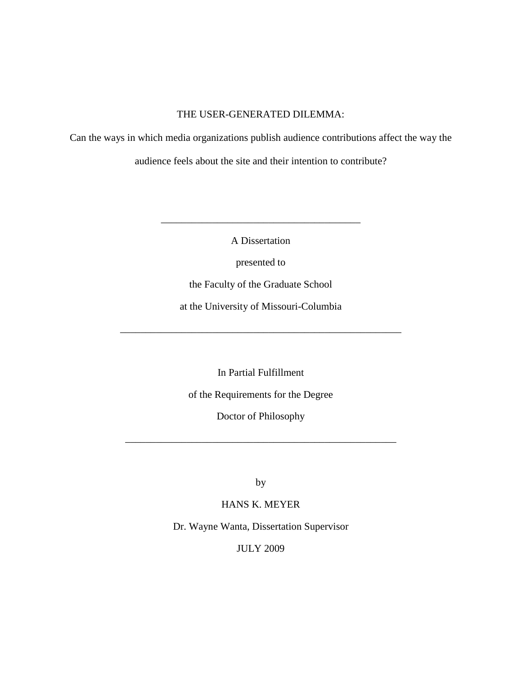# THE USER-GENERATED DILEMMA:

Can the ways in which media organizations publish audience contributions affect the way the audience feels about the site and their intention to contribute?

A Dissertation

\_\_\_\_\_\_\_\_\_\_\_\_\_\_\_\_\_\_\_\_\_\_\_\_\_\_\_\_\_\_\_\_\_\_\_\_\_\_\_

presented to

the Faculty of the Graduate School

at the University of Missouri-Columbia

\_\_\_\_\_\_\_\_\_\_\_\_\_\_\_\_\_\_\_\_\_\_\_\_\_\_\_\_\_\_\_\_\_\_\_\_\_\_\_\_\_\_\_\_\_\_\_\_\_\_\_\_\_\_\_

In Partial Fulfillment

of the Requirements for the Degree

Doctor of Philosophy

\_\_\_\_\_\_\_\_\_\_\_\_\_\_\_\_\_\_\_\_\_\_\_\_\_\_\_\_\_\_\_\_\_\_\_\_\_\_\_\_\_\_\_\_\_\_\_\_\_\_\_\_\_

by

HANS K. MEYER

Dr. Wayne Wanta, Dissertation Supervisor

JULY 2009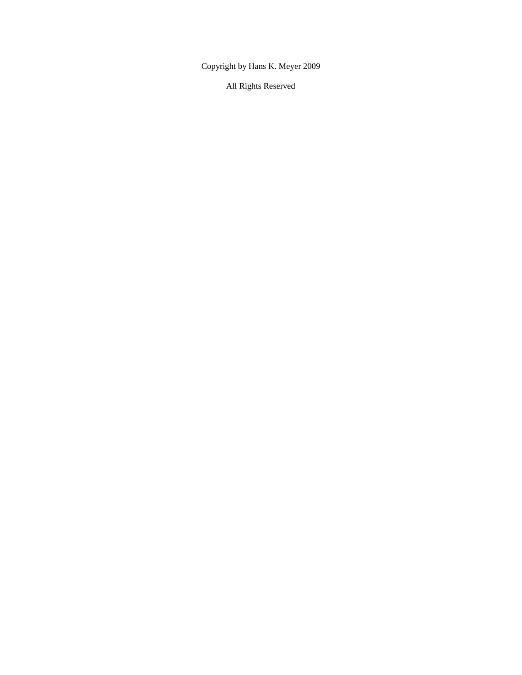Copyright by Hans K. Meyer 2009

All Rights Reserved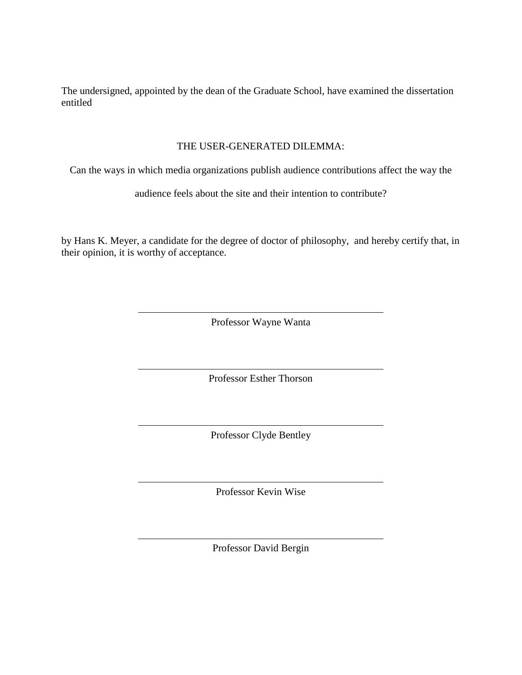The undersigned, appointed by the dean of the Graduate School, have examined the dissertation entitled

# THE USER-GENERATED DILEMMA:

Can the ways in which media organizations publish audience contributions affect the way the

audience feels about the site and their intention to contribute?

by Hans K. Meyer, a candidate for the degree of doctor of philosophy, and hereby certify that, in their opinion, it is worthy of acceptance.

Professor Wayne Wanta

Professor Esther Thorson

Professor Clyde Bentley

Professor Kevin Wise

Professor David Bergin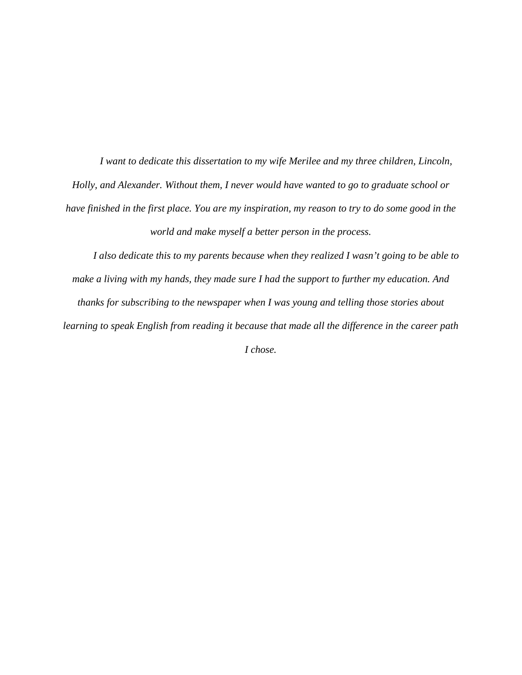*I want to dedicate this dissertation to my wife Merilee and my three children, Lincoln, Holly, and Alexander. Without them, I never would have wanted to go to graduate school or have finished in the first place. You are my inspiration, my reason to try to do some good in the world and make myself a better person in the process.*

*I also dedicate this to my parents because when they realized I wasn't going to be able to make a living with my hands, they made sure I had the support to further my education. And thanks for subscribing to the newspaper when I was young and telling those stories about learning to speak English from reading it because that made all the difference in the career path I chose.*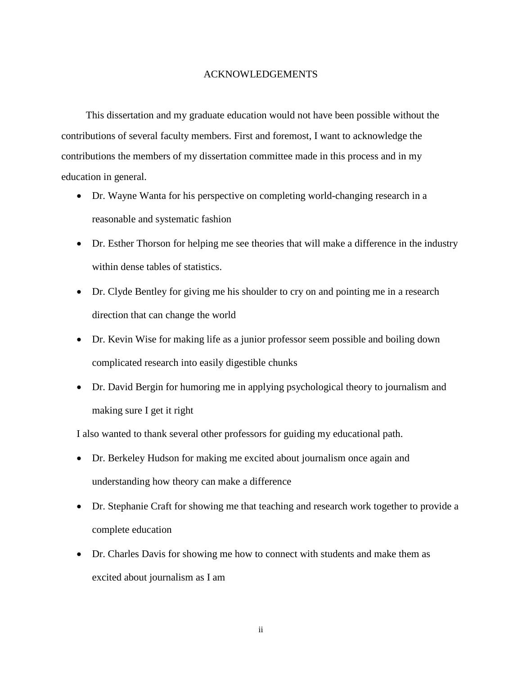## ACKNOWLEDGEMENTS

This dissertation and my graduate education would not have been possible without the contributions of several faculty members. First and foremost, I want to acknowledge the contributions the members of my dissertation committee made in this process and in my education in general.

- Dr. Wayne Wanta for his perspective on completing world-changing research in a reasonable and systematic fashion
- Dr. Esther Thorson for helping me see theories that will make a difference in the industry within dense tables of statistics.
- Dr. Clyde Bentley for giving me his shoulder to cry on and pointing me in a research direction that can change the world
- Dr. Kevin Wise for making life as a junior professor seem possible and boiling down complicated research into easily digestible chunks
- Dr. David Bergin for humoring me in applying psychological theory to journalism and making sure I get it right

I also wanted to thank several other professors for guiding my educational path.

- Dr. Berkeley Hudson for making me excited about journalism once again and understanding how theory can make a difference
- Dr. Stephanie Craft for showing me that teaching and research work together to provide a complete education
- Dr. Charles Davis for showing me how to connect with students and make them as excited about journalism as I am

ii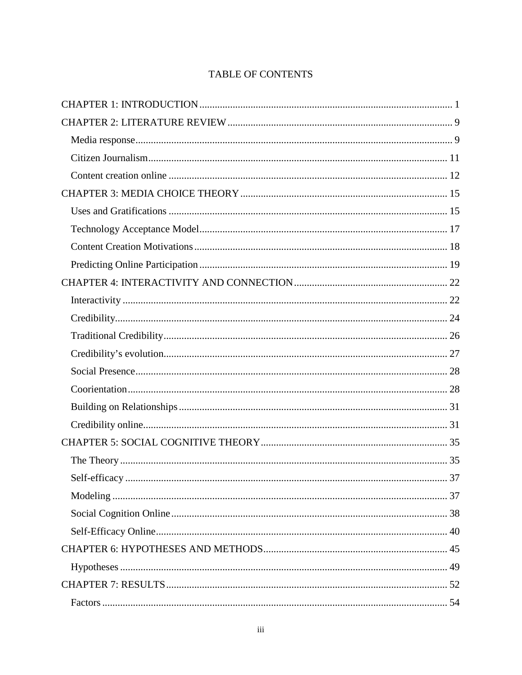# TABLE OF CONTENTS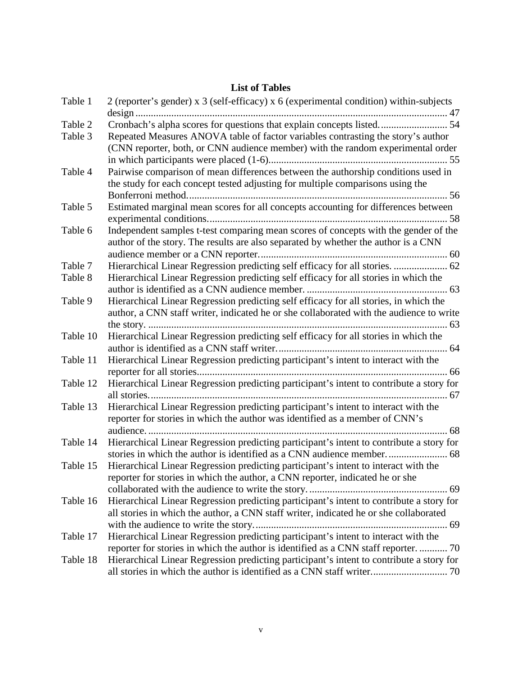# **List of Tables**

| Table 1  | 2 (reporter's gender) x 3 (self-efficacy) x 6 (experimental condition) within-subjects                                                                                            |
|----------|-----------------------------------------------------------------------------------------------------------------------------------------------------------------------------------|
| Table 2  | Cronbach's alpha scores for questions that explain concepts listed 54                                                                                                             |
| Table 3  | Repeated Measures ANOVA table of factor variables contrasting the story's author<br>(CNN reporter, both, or CNN audience member) with the random experimental order               |
| Table 4  | Pairwise comparison of mean differences between the authorship conditions used in<br>the study for each concept tested adjusting for multiple comparisons using the               |
| Table 5  | Estimated marginal mean scores for all concepts accounting for differences between                                                                                                |
| Table 6  | Independent samples t-test comparing mean scores of concepts with the gender of the<br>author of the story. The results are also separated by whether the author is a CNN         |
| Table 7  | Hierarchical Linear Regression predicting self efficacy for all stories.  62                                                                                                      |
| Table 8  | Hierarchical Linear Regression predicting self efficacy for all stories in which the                                                                                              |
| Table 9  | Hierarchical Linear Regression predicting self efficacy for all stories, in which the<br>author, a CNN staff writer, indicated he or she collaborated with the audience to write  |
| Table 10 | Hierarchical Linear Regression predicting self efficacy for all stories in which the                                                                                              |
| Table 11 | Hierarchical Linear Regression predicting participant's intent to interact with the                                                                                               |
| Table 12 | Hierarchical Linear Regression predicting participant's intent to contribute a story for                                                                                          |
| Table 13 | Hierarchical Linear Regression predicting participant's intent to interact with the<br>reporter for stories in which the author was identified as a member of CNN's               |
| Table 14 | Hierarchical Linear Regression predicting participant's intent to contribute a story for                                                                                          |
| Table 15 | Hierarchical Linear Regression predicting participant's intent to interact with the<br>reporter for stories in which the author, a CNN reporter, indicated he or she              |
| Table 16 | Hierarchical Linear Regression predicting participant's intent to contribute a story for<br>all stories in which the author, a CNN staff writer, indicated he or she collaborated |
| Table 17 | Hierarchical Linear Regression predicting participant's intent to interact with the<br>reporter for stories in which the author is identified as a CNN staff reporter.  70        |
| Table 18 | Hierarchical Linear Regression predicting participant's intent to contribute a story for                                                                                          |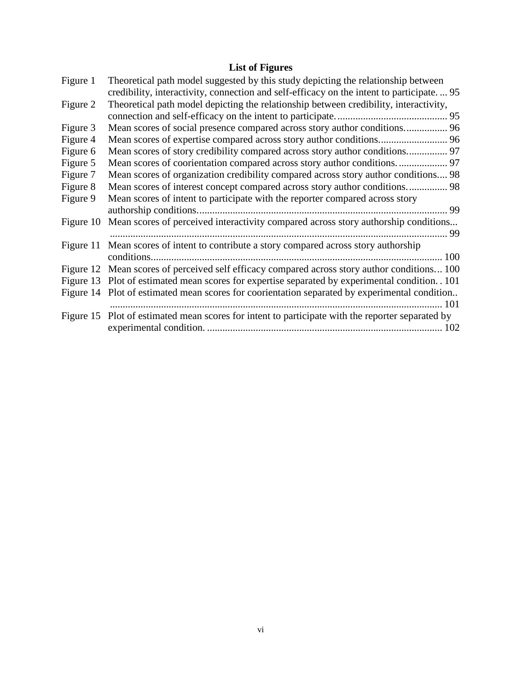# **List of Figures**

| Figure 1  | Theoretical path model suggested by this study depicting the relationship between                |
|-----------|--------------------------------------------------------------------------------------------------|
|           | credibility, interactivity, connection and self-efficacy on the intent to participate 95         |
| Figure 2  | Theoretical path model depicting the relationship between credibility, interactivity,            |
|           |                                                                                                  |
| Figure 3  |                                                                                                  |
| Figure 4  |                                                                                                  |
| Figure 6  |                                                                                                  |
| Figure 5  |                                                                                                  |
| Figure 7  | Mean scores of organization credibility compared across story author conditions 98               |
| Figure 8  | Mean scores of interest concept compared across story author conditions 98                       |
| Figure 9  | Mean scores of intent to participate with the reporter compared across story                     |
|           | 99                                                                                               |
| Figure 10 | Mean scores of perceived interactivity compared across story authorship conditions               |
|           |                                                                                                  |
| Figure 11 | Mean scores of intent to contribute a story compared across story authorship                     |
|           | 100                                                                                              |
|           | Figure 12 Mean scores of perceived self efficacy compared across story author conditions 100     |
|           | Figure 13 Plot of estimated mean scores for expertise separated by experimental condition. 101   |
|           | Figure 14 Plot of estimated mean scores for coorientation separated by experimental condition    |
|           | 101                                                                                              |
|           | Figure 15 Plot of estimated mean scores for intent to participate with the reporter separated by |
|           |                                                                                                  |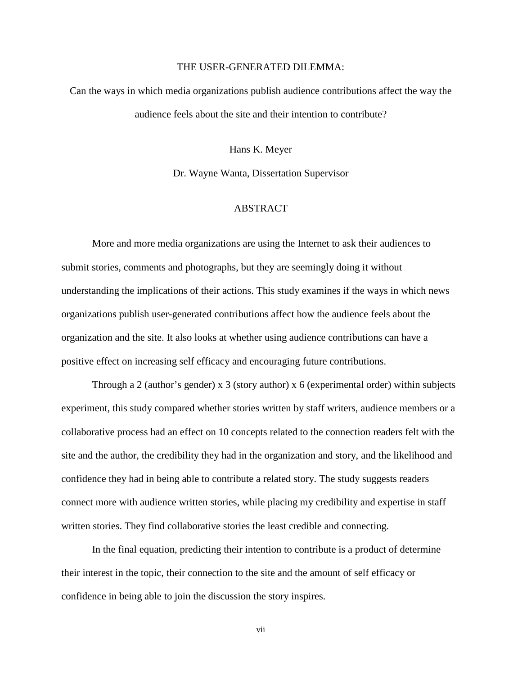## THE USER-GENERATED DILEMMA:

Can the ways in which media organizations publish audience contributions affect the way the audience feels about the site and their intention to contribute?

Hans K. Meyer

Dr. Wayne Wanta, Dissertation Supervisor

# ABSTRACT

More and more media organizations are using the Internet to ask their audiences to submit stories, comments and photographs, but they are seemingly doing it without understanding the implications of their actions. This study examines if the ways in which news organizations publish user-generated contributions affect how the audience feels about the organization and the site. It also looks at whether using audience contributions can have a positive effect on increasing self efficacy and encouraging future contributions.

Through a 2 (author's gender) x 3 (story author) x 6 (experimental order) within subjects experiment, this study compared whether stories written by staff writers, audience members or a collaborative process had an effect on 10 concepts related to the connection readers felt with the site and the author, the credibility they had in the organization and story, and the likelihood and confidence they had in being able to contribute a related story. The study suggests readers connect more with audience written stories, while placing my credibility and expertise in staff written stories. They find collaborative stories the least credible and connecting.

In the final equation, predicting their intention to contribute is a product of determine their interest in the topic, their connection to the site and the amount of self efficacy or confidence in being able to join the discussion the story inspires.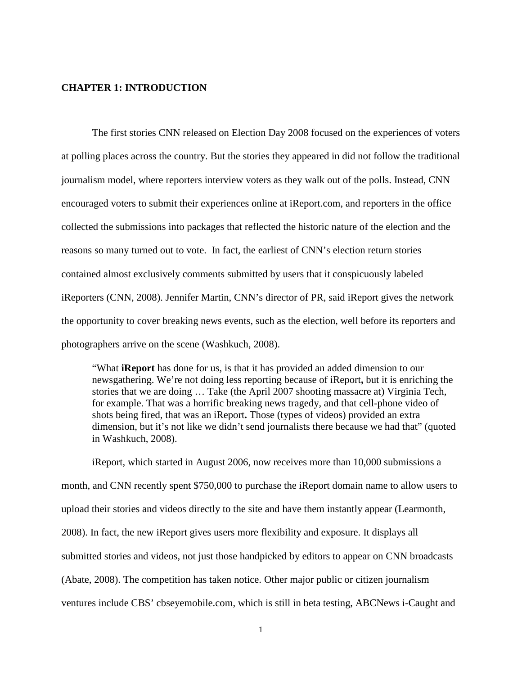#### <span id="page-10-0"></span>**CHAPTER 1: INTRODUCTION**

The first stories CNN released on Election Day 2008 focused on the experiences of voters at polling places across the country. But the stories they appeared in did not follow the traditional journalism model, where reporters interview voters as they walk out of the polls. Instead, CNN encouraged voters to submit their experiences online at iReport.com, and reporters in the office collected the submissions into packages that reflected the historic nature of the election and the reasons so many turned out to vote. In fact, the earliest of CNN's election return stories contained almost exclusively comments submitted by users that it conspicuously labeled iReporters (CNN, 2008). Jennifer Martin, CNN's director of PR, said iReport gives the network the opportunity to cover breaking news events, such as the election, well before its reporters and photographers arrive on the scene (Washkuch, 2008).

"What **iReport** has done for us, is that it has provided an added dimension to our newsgathering. We're not doing less reporting because of iReport**,** but it is enriching the stories that we are doing … Take (the April 2007 shooting massacre at) Virginia Tech, for example. That was a horrific breaking news tragedy, and that cell-phone video of shots being fired, that was an iReport**.** Those (types of videos) provided an extra dimension, but it's not like we didn't send journalists there because we had that" (quoted in Washkuch, 2008).

iReport, which started in August 2006, now receives more than 10,000 submissions a month, and CNN recently spent \$750,000 to purchase the iReport domain name to allow users to upload their stories and videos directly to the site and have them instantly appear (Learmonth, 2008). In fact, the new iReport gives users more flexibility and exposure. It displays all submitted stories and videos, not just those handpicked by editors to appear on CNN broadcasts (Abate, 2008). The competition has taken notice. Other major public or citizen journalism ventures include CBS' cbseyemobile.com, which is still in beta testing, ABCNews i-Caught and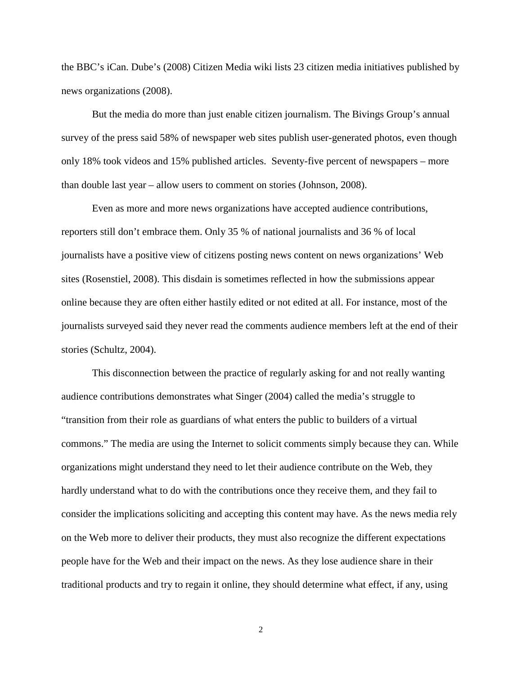the BBC's iCan. Dube's (2008) Citizen Media wiki lists 23 citizen media initiatives published by news organizations (2008).

But the media do more than just enable citizen journalism. The Bivings Group's [annual](http://www.bivingsreport.com/2008/the-use-of-the-internet-by-americas-largest-newspapers-2008-edition/)  [survey](http://www.bivingsreport.com/2008/the-use-of-the-internet-by-americas-largest-newspapers-2008-edition/) of the press said 58% of newspaper web sites publish user-generated photos, even though only 18% took videos and 15% published articles. Seventy-five percent of newspapers – more than double last year – allow users to comment on stories (Johnson, 2008).

Even as more and more news organizations have accepted audience contributions, reporters still don't embrace them. Only 35 % of national journalists and 36 % of local journalists have a positive view of citizens posting news content on news organizations' Web sites (Rosenstiel, 2008). This disdain is sometimes reflected in how the submissions appear online because they are often either hastily edited or not edited at all. For instance, most of the journalists surveyed said they never read the comments audience members left at the end of their stories (Schultz, 2004).

This disconnection between the practice of regularly asking for and not really wanting audience contributions demonstrates what Singer (2004) called the media's struggle to "transition from their role as guardians of what enters the public to builders of a virtual commons." The media are using the Internet to solicit comments simply because they can. While organizations might understand they need to let their audience contribute on the Web, they hardly understand what to do with the contributions once they receive them, and they fail to consider the implications soliciting and accepting this content may have. As the news media rely on the Web more to deliver their products, they must also recognize the different expectations people have for the Web and their impact on the news. As they lose audience share in their traditional products and try to regain it online, they should determine what effect, if any, using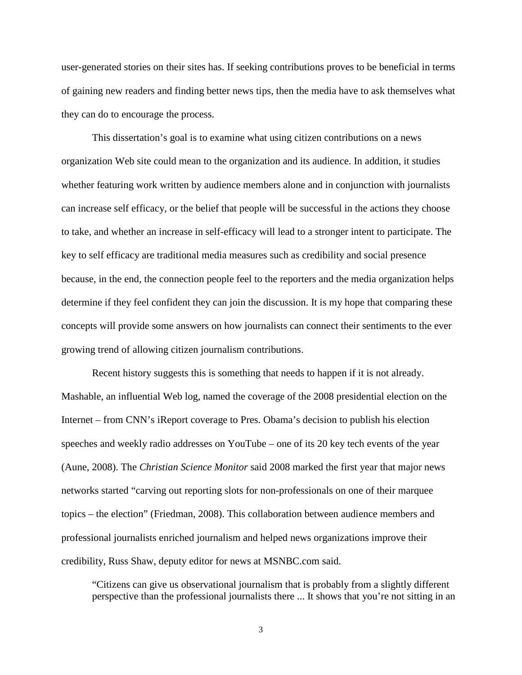user-generated stories on their sites has. If seeking contributions proves to be beneficial in terms of gaining new readers and finding better news tips, then the media have to ask themselves what they can do to encourage the process.

This dissertation's goal is to examine what using citizen contributions on a news organization Web site could mean to the organization and its audience. In addition, it studies whether featuring work written by audience members alone and in conjunction with journalists can increase self efficacy, or the belief that people will be successful in the actions they choose to take, and whether an increase in self-efficacy will lead to a stronger intent to participate. The key to self efficacy are traditional media measures such as credibility and social presence because, in the end, the connection people feel to the reporters and the media organization helps determine if they feel confident they can join the discussion. It is my hope that comparing these concepts will provide some answers on how journalists can connect their sentiments to the ever growing trend of allowing citizen journalism contributions.

Recent history suggests this is something that needs to happen if it is not already. Mashable, an influential Web log, named the coverage of the 2008 presidential election on the Internet – from CNN's iReport coverage to Pres. Obama's decision to publish his election speeches and weekly radio addresses on YouTube – one of its 20 key tech events of the year (Aune, 2008). The *Christian Science Monitor* said 2008 marked the first year that major news networks started "carving out reporting slots for non-professionals on one of their marquee topics – the election" (Friedman, 2008). This collaboration between audience members and professional journalists enriched journalism and helped news organizations improve their credibility, Russ Shaw, deputy editor for news at MSNBC.com said.

"Citizens can give us observational journalism that is probably from a slightly different perspective than the professional journalists there ... It shows that you're not sitting in an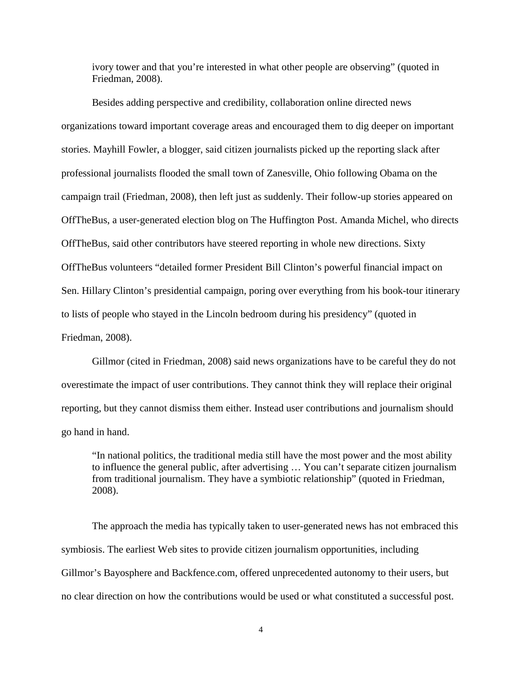ivory tower and that you're interested in what other people are observing" (quoted in Friedman, 2008).

Besides adding perspective and credibility, collaboration online directed news organizations toward important coverage areas and encouraged them to dig deeper on important stories. Mayhill Fowler, a blogger, said citizen journalists picked up the reporting slack after professional journalists flooded the small town of Zanesville, Ohio following Obama on the campaign trail (Friedman, 2008), then left just as suddenly. Their follow-up stories appeared on OffTheBus, a user-generated election blog on The Huffington Post. Amanda Michel, who directs OffTheBus, said other contributors have steered reporting in whole new directions. Sixty OffTheBus volunteers "detailed former President Bill Clinton's powerful financial impact on Sen. Hillary Clinton's presidential campaign, poring over everything from his book-tour itinerary to lists of people who stayed in the Lincoln bedroom during his presidency" (quoted in Friedman, 2008).

Gillmor (cited in Friedman, 2008) said news organizations have to be careful they do not overestimate the impact of user contributions. They cannot think they will replace their original reporting, but they cannot dismiss them either. Instead user contributions and journalism should go hand in hand.

"In national politics, the traditional media still have the most power and the most ability to influence the general public, after advertising … You can't separate citizen journalism from traditional journalism. They have a symbiotic relationship" (quoted in Friedman, 2008).

The approach the media has typically taken to user-generated news has not embraced this symbiosis. The earliest Web sites to provide citizen journalism opportunities, including Gillmor's Bayosphere and Backfence.com, offered unprecedented autonomy to their users, but no clear direction on how the contributions would be used or what constituted a successful post.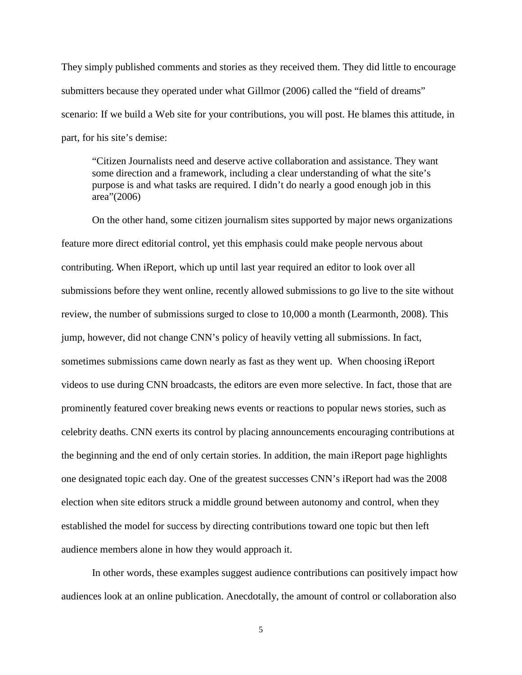They simply published comments and stories as they received them. They did little to encourage submitters because they operated under what Gillmor (2006) called the "field of dreams" scenario: If we build a Web site for your contributions, you will post. He blames this attitude, in part, for his site's demise:

"Citizen Journalists need and deserve active collaboration and assistance. They want some direction and a framework, including a clear understanding of what the site's purpose is and what tasks are required. I didn't do nearly a good enough job in this area"(2006)

On the other hand, some citizen journalism sites supported by major news organizations feature more direct editorial control, yet this emphasis could make people nervous about contributing. When iReport, which up until last year required an editor to look over all submissions before they went online, recently allowed submissions to go live to the site without review, the number of submissions surged to close to 10,000 a month (Learmonth, 2008). This jump, however, did not change CNN's policy of heavily vetting all submissions. In fact, sometimes submissions came down nearly as fast as they went up. When choosing iReport videos to use during CNN broadcasts, the editors are even more selective. In fact, those that are prominently featured cover breaking news events or reactions to popular news stories, such as celebrity deaths. CNN exerts its control by placing announcements encouraging contributions at the beginning and the end of only certain stories. In addition, the main iReport page highlights one designated topic each day. One of the greatest successes CNN's iReport had was the 2008 election when site editors struck a middle ground between autonomy and control, when they established the model for success by directing contributions toward one topic but then left audience members alone in how they would approach it.

In other words, these examples suggest audience contributions can positively impact how audiences look at an online publication. Anecdotally, the amount of control or collaboration also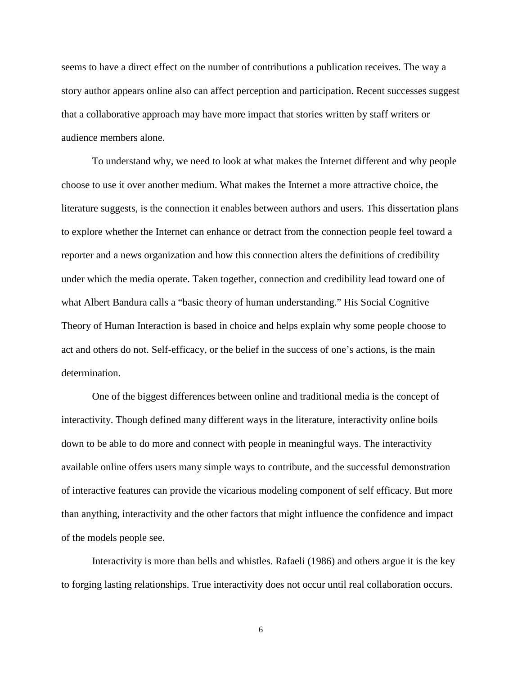seems to have a direct effect on the number of contributions a publication receives. The way a story author appears online also can affect perception and participation. Recent successes suggest that a collaborative approach may have more impact that stories written by staff writers or audience members alone.

To understand why, we need to look at what makes the Internet different and why people choose to use it over another medium. What makes the Internet a more attractive choice, the literature suggests, is the connection it enables between authors and users. This dissertation plans to explore whether the Internet can enhance or detract from the connection people feel toward a reporter and a news organization and how this connection alters the definitions of credibility under which the media operate. Taken together, connection and credibility lead toward one of what Albert Bandura calls a "basic theory of human understanding." His Social Cognitive Theory of Human Interaction is based in choice and helps explain why some people choose to act and others do not. Self-efficacy, or the belief in the success of one's actions, is the main determination.

One of the biggest differences between online and traditional media is the concept of interactivity. Though defined many different ways in the literature, interactivity online boils down to be able to do more and connect with people in meaningful ways. The interactivity available online offers users many simple ways to contribute, and the successful demonstration of interactive features can provide the vicarious modeling component of self efficacy. But more than anything, interactivity and the other factors that might influence the confidence and impact of the models people see.

Interactivity is more than bells and whistles. Rafaeli (1986) and others argue it is the key to forging lasting relationships. True interactivity does not occur until real collaboration occurs.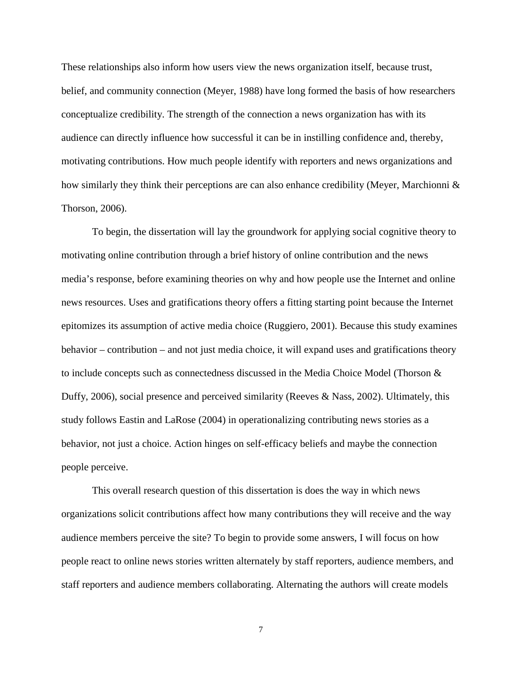These relationships also inform how users view the news organization itself, because trust, belief, and community connection (Meyer, 1988) have long formed the basis of how researchers conceptualize credibility. The strength of the connection a news organization has with its audience can directly influence how successful it can be in instilling confidence and, thereby, motivating contributions. How much people identify with reporters and news organizations and how similarly they think their perceptions are can also enhance credibility (Meyer, Marchionni & Thorson, 2006).

To begin, the dissertation will lay the groundwork for applying social cognitive theory to motivating online contribution through a brief history of online contribution and the news media's response, before examining theories on why and how people use the Internet and online news resources. Uses and gratifications theory offers a fitting starting point because the Internet epitomizes its assumption of active media choice (Ruggiero, 2001). Because this study examines behavior – contribution – and not just media choice, it will expand uses and gratifications theory to include concepts such as connectedness discussed in the Media Choice Model (Thorson & Duffy, 2006), social presence and perceived similarity (Reeves & Nass, 2002). Ultimately, this study follows Eastin and LaRose (2004) in operationalizing contributing news stories as a behavior, not just a choice. Action hinges on self-efficacy beliefs and maybe the connection people perceive.

This overall research question of this dissertation is does the way in which news organizations solicit contributions affect how many contributions they will receive and the way audience members perceive the site? To begin to provide some answers, I will focus on how people react to online news stories written alternately by staff reporters, audience members, and staff reporters and audience members collaborating. Alternating the authors will create models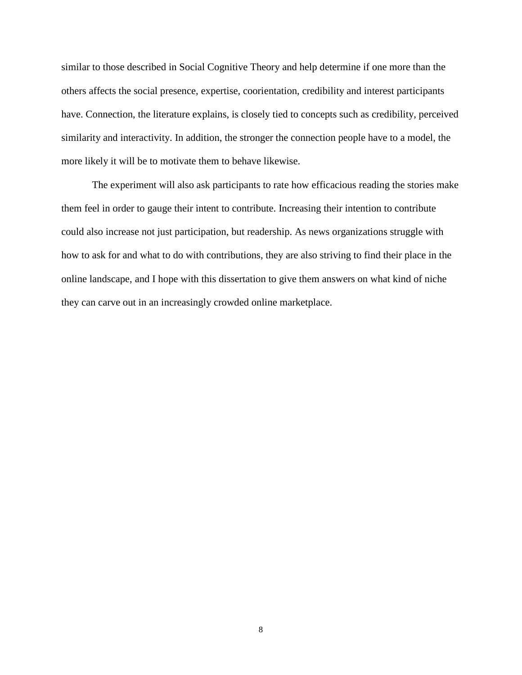similar to those described in Social Cognitive Theory and help determine if one more than the others affects the social presence, expertise, coorientation, credibility and interest participants have. Connection, the literature explains, is closely tied to concepts such as credibility, perceived similarity and interactivity. In addition, the stronger the connection people have to a model, the more likely it will be to motivate them to behave likewise.

The experiment will also ask participants to rate how efficacious reading the stories make them feel in order to gauge their intent to contribute. Increasing their intention to contribute could also increase not just participation, but readership. As news organizations struggle with how to ask for and what to do with contributions, they are also striving to find their place in the online landscape, and I hope with this dissertation to give them answers on what kind of niche they can carve out in an increasingly crowded online marketplace.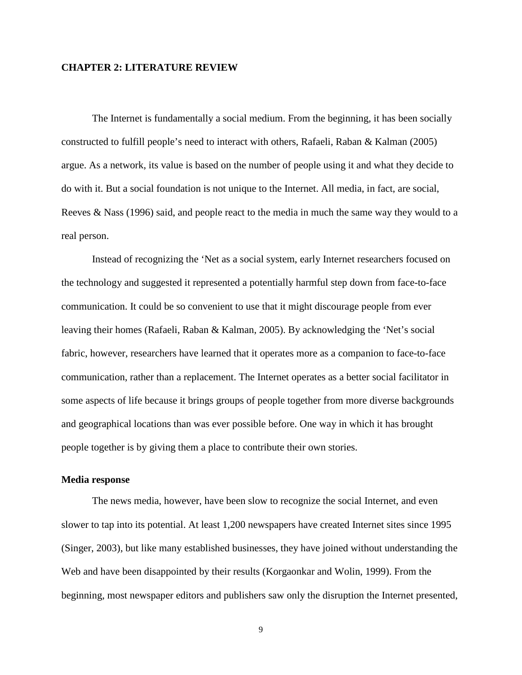## <span id="page-18-0"></span>**CHAPTER 2: LITERATURE REVIEW**

The Internet is fundamentally a social medium. From the beginning, it has been socially constructed to fulfill people's need to interact with others, Rafaeli, Raban & Kalman (2005) argue. As a network, its value is based on the number of people using it and what they decide to do with it. But a social foundation is not unique to the Internet. All media, in fact, are social, Reeves & Nass (1996) said, and people react to the media in much the same way they would to a real person.

Instead of recognizing the 'Net as a social system, early Internet researchers focused on the technology and suggested it represented a potentially harmful step down from face-to-face communication. It could be so convenient to use that it might discourage people from ever leaving their homes (Rafaeli, Raban & Kalman, 2005). By acknowledging the 'Net's social fabric, however, researchers have learned that it operates more as a companion to face-to-face communication, rather than a replacement. The Internet operates as a better social facilitator in some aspects of life because it brings groups of people together from more diverse backgrounds and geographical locations than was ever possible before. One way in which it has brought people together is by giving them a place to contribute their own stories.

## <span id="page-18-1"></span>**Media response**

The news media, however, have been slow to recognize the social Internet, and even slower to tap into its potential. At least 1,200 newspapers have created Internet sites since 1995 (Singer, 2003), but like many established businesses, they have joined without understanding the Web and have been disappointed by their results (Korgaonkar and Wolin, 1999). From the beginning, most newspaper editors and publishers saw only the disruption the Internet presented,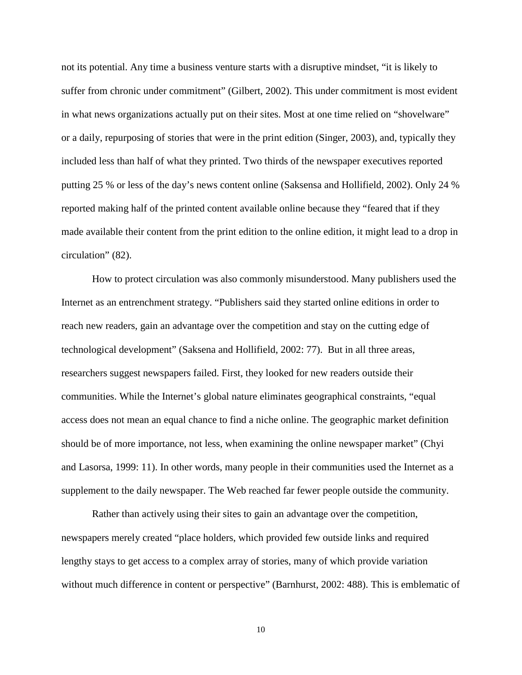not its potential. Any time a business venture starts with a disruptive mindset, "it is likely to suffer from chronic under commitment" (Gilbert, 2002). This under commitment is most evident in what news organizations actually put on their sites. Most at one time relied on "shovelware" or a daily, repurposing of stories that were in the print edition (Singer, 2003), and, typically they included less than half of what they printed. Two thirds of the newspaper executives reported putting 25 % or less of the day's news content online (Saksensa and Hollifield, 2002). Only 24 % reported making half of the printed content available online because they "feared that if they made available their content from the print edition to the online edition, it might lead to a drop in circulation" (82).

How to protect circulation was also commonly misunderstood. Many publishers used the Internet as an entrenchment strategy. "Publishers said they started online editions in order to reach new readers, gain an advantage over the competition and stay on the cutting edge of technological development" (Saksena and Hollifield, 2002: 77). But in all three areas, researchers suggest newspapers failed. First, they looked for new readers outside their communities. While the Internet's global nature eliminates geographical constraints, "equal access does not mean an equal chance to find a niche online. The geographic market definition should be of more importance, not less, when examining the online newspaper market" (Chyi and Lasorsa, 1999: 11). In other words, many people in their communities used the Internet as a supplement to the daily newspaper. The Web reached far fewer people outside the community.

Rather than actively using their sites to gain an advantage over the competition, newspapers merely created "place holders, which provided few outside links and required lengthy stays to get access to a complex array of stories, many of which provide variation without much difference in content or perspective" (Barnhurst, 2002: 488). This is emblematic of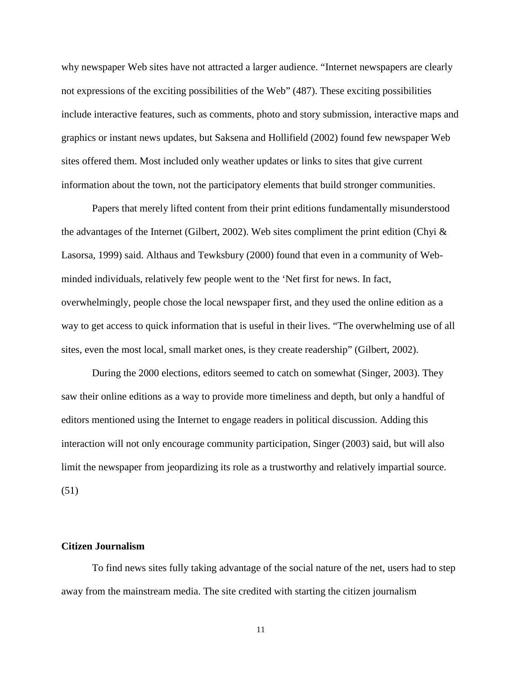why newspaper Web sites have not attracted a larger audience. "Internet newspapers are clearly not expressions of the exciting possibilities of the Web" (487). These exciting possibilities include interactive features, such as comments, photo and story submission, interactive maps and graphics or instant news updates, but Saksena and Hollifield (2002) found few newspaper Web sites offered them. Most included only weather updates or links to sites that give current information about the town, not the participatory elements that build stronger communities.

Papers that merely lifted content from their print editions fundamentally misunderstood the advantages of the Internet (Gilbert, 2002). Web sites compliment the print edition (Chyi  $\&$ Lasorsa, 1999) said. Althaus and Tewksbury (2000) found that even in a community of Webminded individuals, relatively few people went to the 'Net first for news. In fact, overwhelmingly, people chose the local newspaper first, and they used the online edition as a way to get access to quick information that is useful in their lives. "The overwhelming use of all sites, even the most local, small market ones, is they create readership" (Gilbert, 2002).

During the 2000 elections, editors seemed to catch on somewhat (Singer, 2003). They saw their online editions as a way to provide more timeliness and depth, but only a handful of editors mentioned using the Internet to engage readers in political discussion. Adding this interaction will not only encourage community participation, Singer (2003) said, but will also limit the newspaper from jeopardizing its role as a trustworthy and relatively impartial source. (51)

# <span id="page-20-0"></span>**Citizen Journalism**

To find news sites fully taking advantage of the social nature of the net, users had to step away from the mainstream media. The site credited with starting the citizen journalism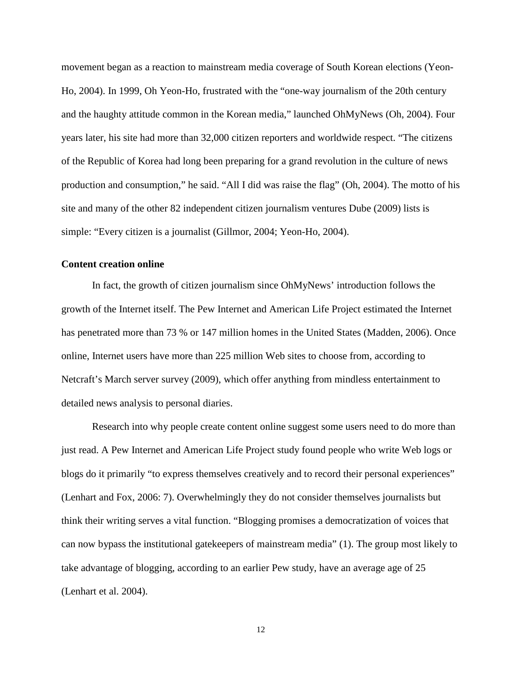movement began as a reaction to mainstream media coverage of South Korean elections (Yeon-Ho, 2004). In 1999, Oh Yeon-Ho, frustrated with the "one-way journalism of the 20th century and the haughty attitude common in the Korean media," launched OhMyNews (Oh, 2004). Four years later, his site had more than 32,000 citizen reporters and worldwide respect. "The citizens of the Republic of Korea had long been preparing for a grand revolution in the culture of news production and consumption," he said. "All I did was raise the flag" (Oh, 2004). The motto of his site and many of the other 82 independent citizen journalism ventures Dube (2009) lists is simple: "Every citizen is a journalist (Gillmor, 2004; Yeon-Ho, 2004).

# <span id="page-21-0"></span>**Content creation online**

In fact, the growth of citizen journalism since OhMyNews' introduction follows the growth of the Internet itself. The Pew Internet and American Life Project estimated the Internet has penetrated more than 73 % or 147 million homes in the United States (Madden, 2006). Once online, Internet users have more than 225 million Web sites to choose from, according to Netcraft's March server survey (2009), which offer anything from mindless entertainment to detailed news analysis to personal diaries.

Research into why people create content online suggest some users need to do more than just read. A Pew Internet and American Life Project study found people who write Web logs or blogs do it primarily "to express themselves creatively and to record their personal experiences" (Lenhart and Fox, 2006: 7). Overwhelmingly they do not consider themselves journalists but think their writing serves a vital function. "Blogging promises a democratization of voices that can now bypass the institutional gatekeepers of mainstream media" (1). The group most likely to take advantage of blogging, according to an earlier Pew study, have an average age of 25 (Lenhart et al. 2004).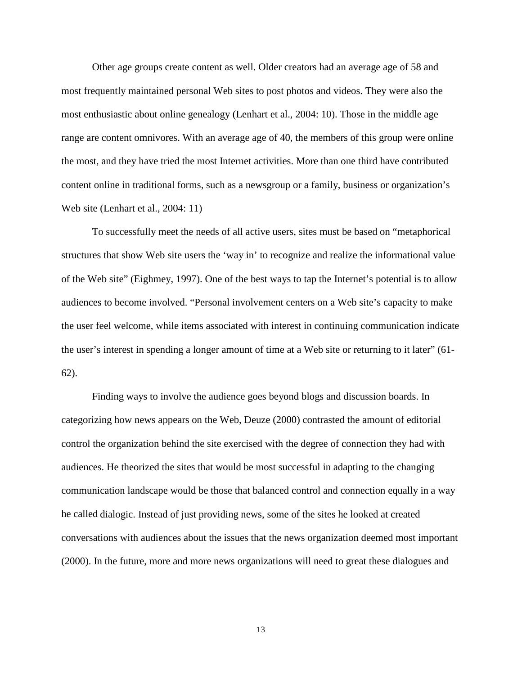Other age groups create content as well. Older creators had an average age of 58 and most frequently maintained personal Web sites to post photos and videos. They were also the most enthusiastic about online genealogy (Lenhart et al., 2004: 10). Those in the middle age range are content omnivores. With an average age of 40, the members of this group were online the most, and they have tried the most Internet activities. More than one third have contributed content online in traditional forms, such as a newsgroup or a family, business or organization's Web site (Lenhart et al., 2004: 11)

To successfully meet the needs of all active users, sites must be based on "metaphorical structures that show Web site users the 'way in' to recognize and realize the informational value of the Web site" (Eighmey, 1997). One of the best ways to tap the Internet's potential is to allow audiences to become involved. "Personal involvement centers on a Web site's capacity to make the user feel welcome, while items associated with interest in continuing communication indicate the user's interest in spending a longer amount of time at a Web site or returning to it later" (61- 62).

Finding ways to involve the audience goes beyond blogs and discussion boards. In categorizing how news appears on the Web, Deuze (2000) contrasted the amount of editorial control the organization behind the site exercised with the degree of connection they had with audiences. He theorized the sites that would be most successful in adapting to the changing communication landscape would be those that balanced control and connection equally in a way he called dialogic. Instead of just providing news, some of the sites he looked at created conversations with audiences about the issues that the news organization deemed most important (2000). In the future, more and more news organizations will need to great these dialogues and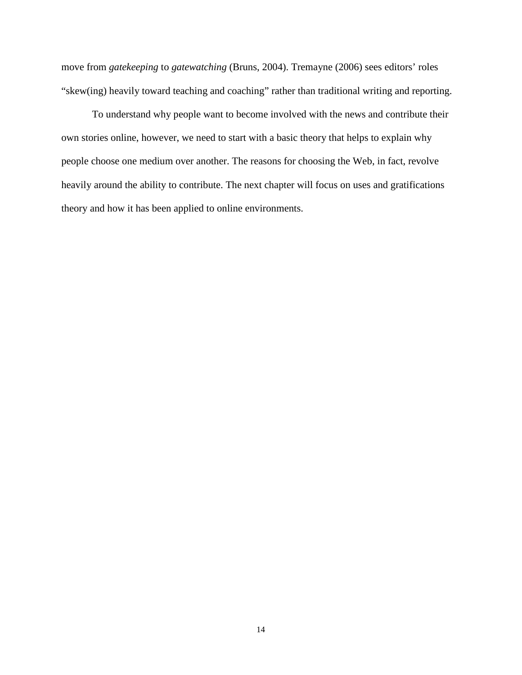move from *gatekeeping* to *gatewatching* (Bruns, 2004). Tremayne (2006) sees editors' roles "skew(ing) heavily toward teaching and coaching" rather than traditional writing and reporting.

To understand why people want to become involved with the news and contribute their own stories online, however, we need to start with a basic theory that helps to explain why people choose one medium over another. The reasons for choosing the Web, in fact, revolve heavily around the ability to contribute. The next chapter will focus on uses and gratifications theory and how it has been applied to online environments.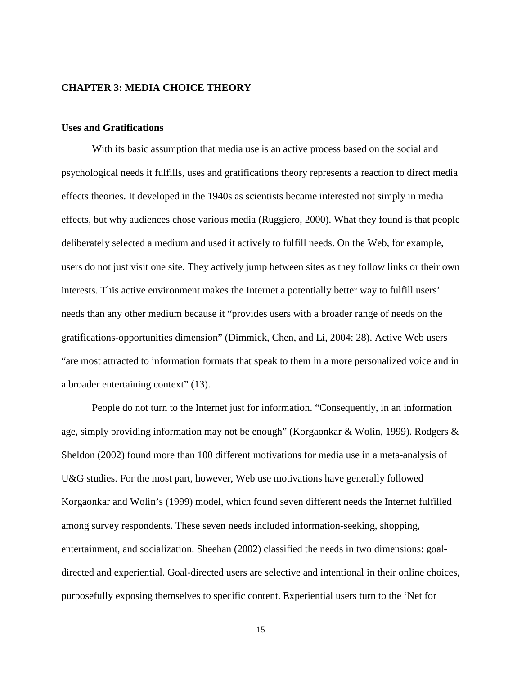#### <span id="page-24-0"></span>**CHAPTER 3: MEDIA CHOICE THEORY**

# <span id="page-24-1"></span>**Uses and Gratifications**

With its basic assumption that media use is an active process based on the social and psychological needs it fulfills, uses and gratifications theory represents a reaction to direct media effects theories. It developed in the 1940s as scientists became interested not simply in media effects, but why audiences chose various media (Ruggiero, 2000). What they found is that people deliberately selected a medium and used it actively to fulfill needs. On the Web, for example, users do not just visit one site. They actively jump between sites as they follow links or their own interests. This active environment makes the Internet a potentially better way to fulfill users' needs than any other medium because it "provides users with a broader range of needs on the gratifications-opportunities dimension" (Dimmick, Chen, and Li, 2004: 28). Active Web users "are most attracted to information formats that speak to them in a more personalized voice and in a broader entertaining context" (13).

People do not turn to the Internet just for information. "Consequently, in an information age, simply providing information may not be enough" (Korgaonkar & Wolin, 1999). Rodgers & Sheldon (2002) found more than 100 different motivations for media use in a meta-analysis of U&G studies. For the most part, however, Web use motivations have generally followed Korgaonkar and Wolin's (1999) model, which found seven different needs the Internet fulfilled among survey respondents. These seven needs included information-seeking, shopping, entertainment, and socialization. Sheehan (2002) classified the needs in two dimensions: goaldirected and experiential. Goal-directed users are selective and intentional in their online choices, purposefully exposing themselves to specific content. Experiential users turn to the 'Net for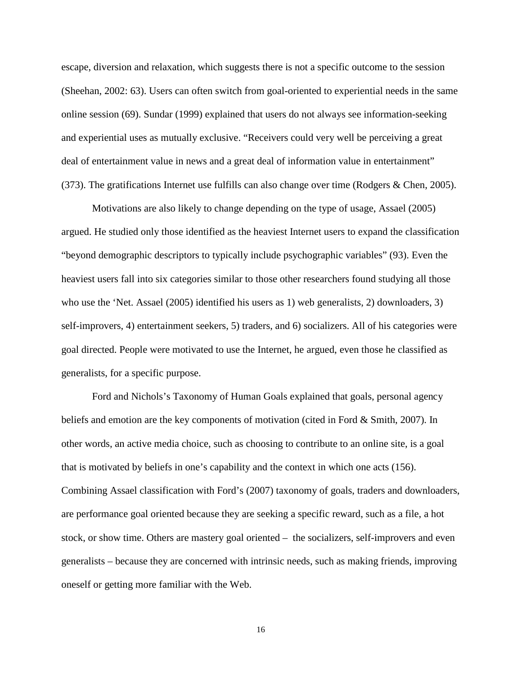escape, diversion and relaxation, which suggests there is not a specific outcome to the session (Sheehan, 2002: 63). Users can often switch from goal-oriented to experiential needs in the same online session (69). Sundar (1999) explained that users do not always see information-seeking and experiential uses as mutually exclusive. "Receivers could very well be perceiving a great deal of entertainment value in news and a great deal of information value in entertainment" (373). The gratifications Internet use fulfills can also change over time (Rodgers & Chen, 2005).

Motivations are also likely to change depending on the type of usage, Assael (2005) argued. He studied only those identified as the heaviest Internet users to expand the classification "beyond demographic descriptors to typically include psychographic variables" (93). Even the heaviest users fall into six categories similar to those other researchers found studying all those who use the 'Net. Assael (2005) identified his users as 1) web generalists, 2) downloaders, 3) self-improvers, 4) entertainment seekers, 5) traders, and 6) socializers. All of his categories were goal directed. People were motivated to use the Internet, he argued, even those he classified as generalists, for a specific purpose.

Ford and Nichols's Taxonomy of Human Goals explained that goals, personal agency beliefs and emotion are the key components of motivation (cited in Ford & Smith, 2007). In other words, an active media choice, such as choosing to contribute to an online site, is a goal that is motivated by beliefs in one's capability and the context in which one acts (156). Combining Assael classification with Ford's (2007) taxonomy of goals, traders and downloaders, are performance goal oriented because they are seeking a specific reward, such as a file, a hot stock, or show time. Others are mastery goal oriented – the socializers, self-improvers and even generalists – because they are concerned with intrinsic needs, such as making friends, improving oneself or getting more familiar with the Web.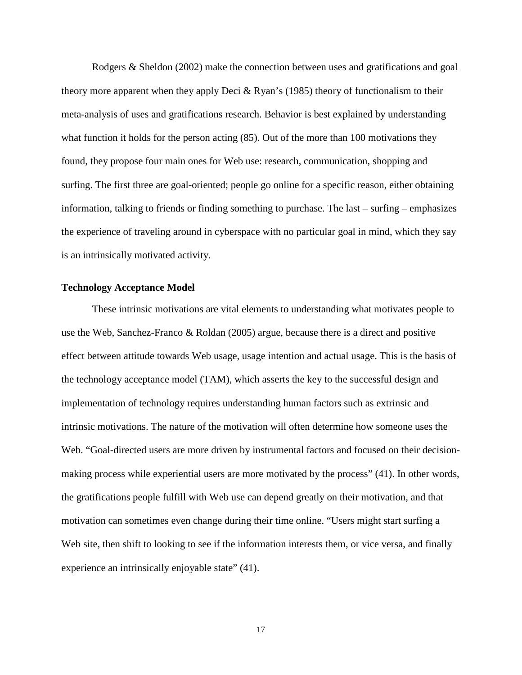Rodgers & Sheldon (2002) make the connection between uses and gratifications and goal theory more apparent when they apply Deci & Ryan's (1985) theory of functionalism to their meta-analysis of uses and gratifications research. Behavior is best explained by understanding what function it holds for the person acting (85). Out of the more than 100 motivations they found, they propose four main ones for Web use: research, communication, shopping and surfing. The first three are goal-oriented; people go online for a specific reason, either obtaining information, talking to friends or finding something to purchase. The last – surfing – emphasizes the experience of traveling around in cyberspace with no particular goal in mind, which they say is an intrinsically motivated activity.

### <span id="page-26-0"></span>**Technology Acceptance Model**

These intrinsic motivations are vital elements to understanding what motivates people to use the Web, Sanchez-Franco & Roldan (2005) argue, because there is a direct and positive effect between attitude towards Web usage, usage intention and actual usage. This is the basis of the technology acceptance model (TAM), which asserts the key to the successful design and implementation of technology requires understanding human factors such as extrinsic and intrinsic motivations. The nature of the motivation will often determine how someone uses the Web. "Goal-directed users are more driven by instrumental factors and focused on their decisionmaking process while experiential users are more motivated by the process" (41). In other words, the gratifications people fulfill with Web use can depend greatly on their motivation, and that motivation can sometimes even change during their time online. "Users might start surfing a Web site, then shift to looking to see if the information interests them, or vice versa, and finally experience an intrinsically enjoyable state" (41).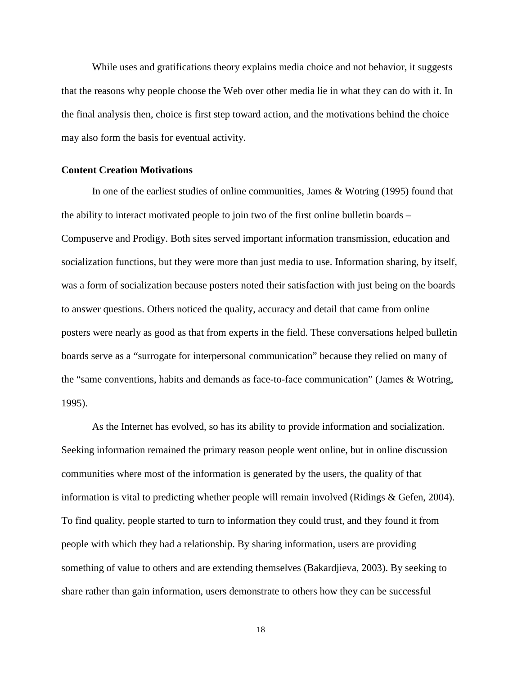While uses and gratifications theory explains media choice and not behavior, it suggests that the reasons why people choose the Web over other media lie in what they can do with it. In the final analysis then, choice is first step toward action, and the motivations behind the choice may also form the basis for eventual activity.

# <span id="page-27-0"></span>**Content Creation Motivations**

In one of the earliest studies of online communities, James & Wotring (1995) found that the ability to interact motivated people to join two of the first online bulletin boards – Compuserve and Prodigy. Both sites served important information transmission, education and socialization functions, but they were more than just media to use. Information sharing, by itself, was a form of socialization because posters noted their satisfaction with just being on the boards to answer questions. Others noticed the quality, accuracy and detail that came from online posters were nearly as good as that from experts in the field. These conversations helped bulletin boards serve as a "surrogate for interpersonal communication" because they relied on many of the "same conventions, habits and demands as face-to-face communication" (James & Wotring, 1995).

As the Internet has evolved, so has its ability to provide information and socialization. Seeking information remained the primary reason people went online, but in online discussion communities where most of the information is generated by the users, the quality of that information is vital to predicting whether people will remain involved (Ridings & Gefen, 2004). To find quality, people started to turn to information they could trust, and they found it from people with which they had a relationship. By sharing information, users are providing something of value to others and are extending themselves (Bakardjieva, 2003). By seeking to share rather than gain information, users demonstrate to others how they can be successful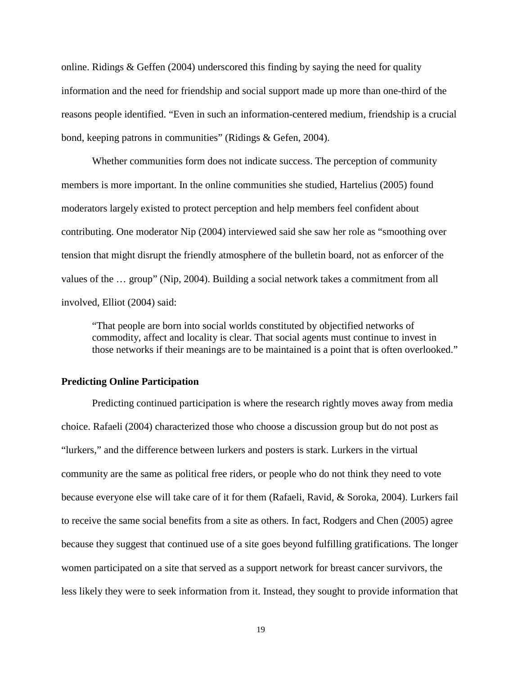online. Ridings  $& Geffen (2004)$  underscored this finding by saying the need for quality information and the need for friendship and social support made up more than one-third of the reasons people identified. "Even in such an information-centered medium, friendship is a crucial bond, keeping patrons in communities" (Ridings & Gefen, 2004).

Whether communities form does not indicate success. The perception of community members is more important. In the online communities she studied, Hartelius (2005) found moderators largely existed to protect perception and help members feel confident about contributing. One moderator Nip (2004) interviewed said she saw her role as "smoothing over tension that might disrupt the friendly atmosphere of the bulletin board, not as enforcer of the values of the … group" (Nip, 2004). Building a social network takes a commitment from all involved, Elliot (2004) said:

"That people are born into social worlds constituted by objectified networks of commodity, affect and locality is clear. That social agents must continue to invest in those networks if their meanings are to be maintained is a point that is often overlooked."

### <span id="page-28-0"></span>**Predicting Online Participation**

Predicting continued participation is where the research rightly moves away from media choice. Rafaeli (2004) characterized those who choose a discussion group but do not post as "lurkers," and the difference between lurkers and posters is stark. Lurkers in the virtual community are the same as political free riders, or people who do not think they need to vote because everyone else will take care of it for them (Rafaeli, Ravid, & Soroka, 2004). Lurkers fail to receive the same social benefits from a site as others. In fact, Rodgers and Chen (2005) agree because they suggest that continued use of a site goes beyond fulfilling gratifications. The longer women participated on a site that served as a support network for breast cancer survivors, the less likely they were to seek information from it. Instead, they sought to provide information that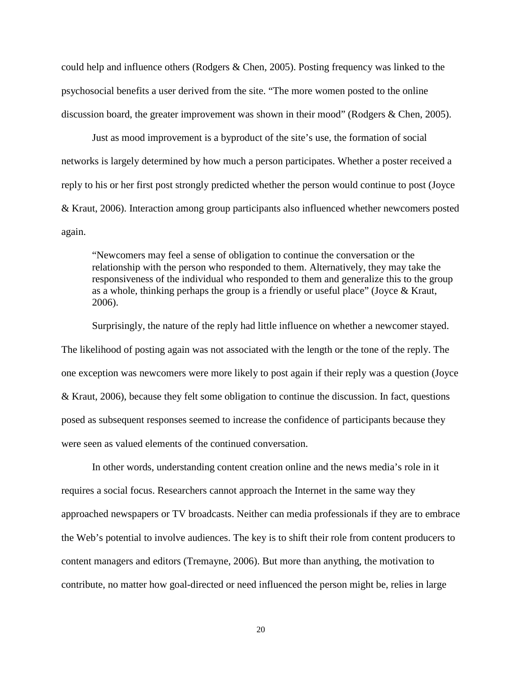could help and influence others (Rodgers & Chen, 2005). Posting frequency was linked to the psychosocial benefits a user derived from the site. "The more women posted to the online discussion board, the greater improvement was shown in their mood" (Rodgers & Chen, 2005).

Just as mood improvement is a byproduct of the site's use, the formation of social networks is largely determined by how much a person participates. Whether a poster received a reply to his or her first post strongly predicted whether the person would continue to post (Joyce & Kraut, 2006). Interaction among group participants also influenced whether newcomers posted again.

"Newcomers may feel a sense of obligation to continue the conversation or the relationship with the person who responded to them. Alternatively, they may take the responsiveness of the individual who responded to them and generalize this to the group as a whole, thinking perhaps the group is a friendly or useful place" (Joyce & Kraut, 2006).

Surprisingly, the nature of the reply had little influence on whether a newcomer stayed. The likelihood of posting again was not associated with the length or the tone of the reply. The one exception was newcomers were more likely to post again if their reply was a question (Joyce & Kraut, 2006), because they felt some obligation to continue the discussion. In fact, questions posed as subsequent responses seemed to increase the confidence of participants because they were seen as valued elements of the continued conversation.

In other words, understanding content creation online and the news media's role in it requires a social focus. Researchers cannot approach the Internet in the same way they approached newspapers or TV broadcasts. Neither can media professionals if they are to embrace the Web's potential to involve audiences. The key is to shift their role from content producers to content managers and editors (Tremayne, 2006). But more than anything, the motivation to contribute, no matter how goal-directed or need influenced the person might be, relies in large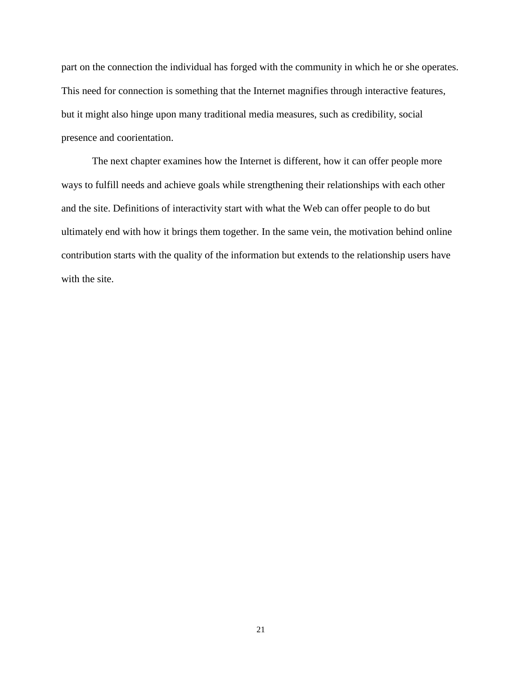part on the connection the individual has forged with the community in which he or she operates. This need for connection is something that the Internet magnifies through interactive features, but it might also hinge upon many traditional media measures, such as credibility, social presence and coorientation.

The next chapter examines how the Internet is different, how it can offer people more ways to fulfill needs and achieve goals while strengthening their relationships with each other and the site. Definitions of interactivity start with what the Web can offer people to do but ultimately end with how it brings them together. In the same vein, the motivation behind online contribution starts with the quality of the information but extends to the relationship users have with the site.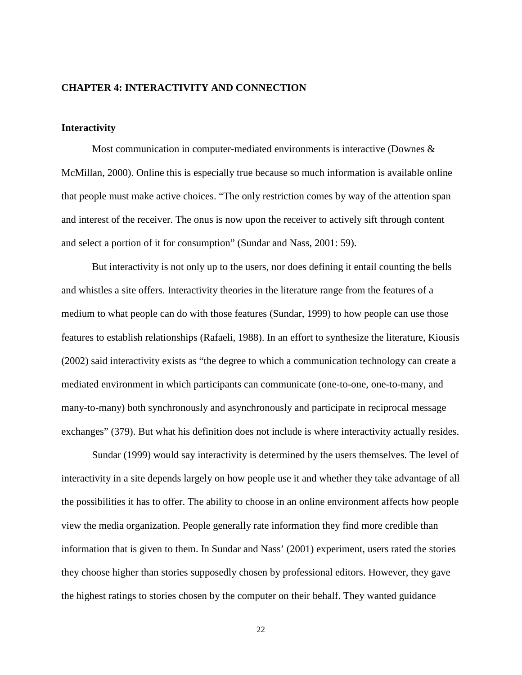#### <span id="page-31-0"></span>**CHAPTER 4: INTERACTIVITY AND CONNECTION**

# <span id="page-31-1"></span>**Interactivity**

Most communication in computer-mediated environments is interactive (Downes  $\&$ McMillan, 2000). Online this is especially true because so much information is available online that people must make active choices. "The only restriction comes by way of the attention span and interest of the receiver. The onus is now upon the receiver to actively sift through content and select a portion of it for consumption" (Sundar and Nass, 2001: 59).

But interactivity is not only up to the users, nor does defining it entail counting the bells and whistles a site offers. Interactivity theories in the literature range from the features of a medium to what people can do with those features (Sundar, 1999) to how people can use those features to establish relationships (Rafaeli, 1988). In an effort to synthesize the literature, Kiousis (2002) said interactivity exists as "the degree to which a communication technology can create a mediated environment in which participants can communicate (one-to-one, one-to-many, and many-to-many) both synchronously and asynchronously and participate in reciprocal message exchanges" (379). But what his definition does not include is where interactivity actually resides.

Sundar (1999) would say interactivity is determined by the users themselves. The level of interactivity in a site depends largely on how people use it and whether they take advantage of all the possibilities it has to offer. The ability to choose in an online environment affects how people view the media organization. People generally rate information they find more credible than information that is given to them. In Sundar and Nass' (2001) experiment, users rated the stories they choose higher than stories supposedly chosen by professional editors. However, they gave the highest ratings to stories chosen by the computer on their behalf. They wanted guidance

<sup>22</sup>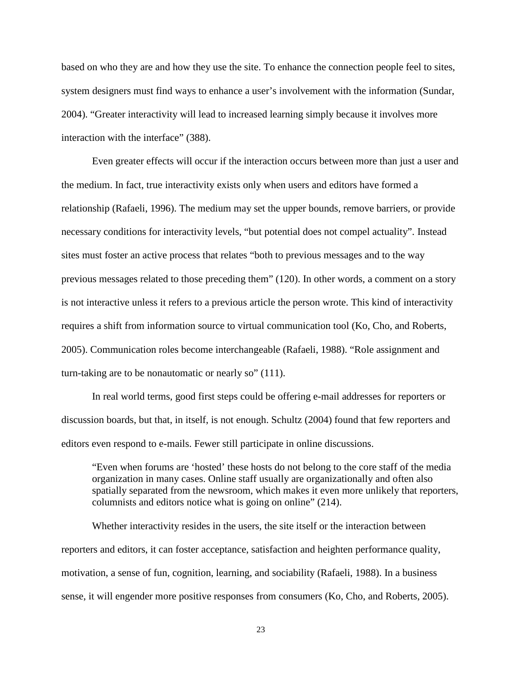based on who they are and how they use the site. To enhance the connection people feel to sites, system designers must find ways to enhance a user's involvement with the information (Sundar, 2004). "Greater interactivity will lead to increased learning simply because it involves more interaction with the interface" (388).

Even greater effects will occur if the interaction occurs between more than just a user and the medium. In fact, true interactivity exists only when users and editors have formed a relationship (Rafaeli, 1996). The medium may set the upper bounds, remove barriers, or provide necessary conditions for interactivity levels, "but potential does not compel actuality". Instead sites must foster an active process that relates "both to previous messages and to the way previous messages related to those preceding them" (120). In other words, a comment on a story is not interactive unless it refers to a previous article the person wrote. This kind of interactivity requires a shift from information source to virtual communication tool (Ko, Cho, and Roberts, 2005). Communication roles become interchangeable (Rafaeli, 1988). "Role assignment and turn-taking are to be nonautomatic or nearly so" (111).

In real world terms, good first steps could be offering e-mail addresses for reporters or discussion boards, but that, in itself, is not enough. Schultz (2004) found that few reporters and editors even respond to e-mails. Fewer still participate in online discussions.

"Even when forums are 'hosted' these hosts do not belong to the core staff of the media organization in many cases. Online staff usually are organizationally and often also spatially separated from the newsroom, which makes it even more unlikely that reporters, columnists and editors notice what is going on online" (214).

Whether interactivity resides in the users, the site itself or the interaction between reporters and editors, it can foster acceptance, satisfaction and heighten performance quality, motivation, a sense of fun, cognition, learning, and sociability (Rafaeli, 1988). In a business sense, it will engender more positive responses from consumers (Ko, Cho, and Roberts, 2005).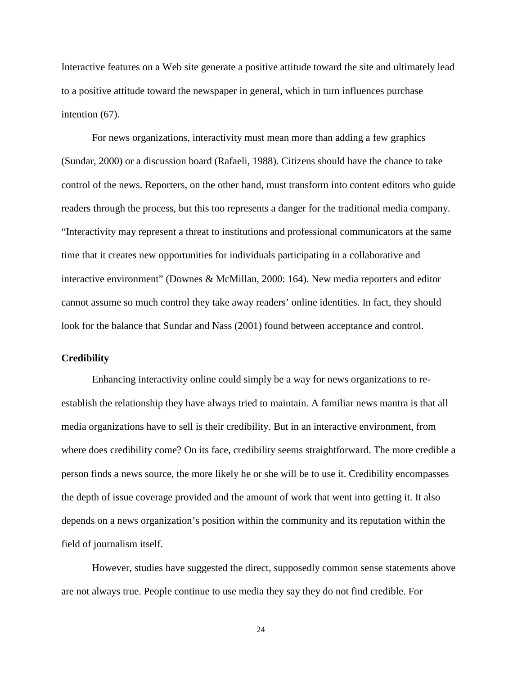Interactive features on a Web site generate a positive attitude toward the site and ultimately lead to a positive attitude toward the newspaper in general, which in turn influences purchase intention (67).

For news organizations, interactivity must mean more than adding a few graphics (Sundar, 2000) or a discussion board (Rafaeli, 1988). Citizens should have the chance to take control of the news. Reporters, on the other hand, must transform into content editors who guide readers through the process, but this too represents a danger for the traditional media company. "Interactivity may represent a threat to institutions and professional communicators at the same time that it creates new opportunities for individuals participating in a collaborative and interactive environment" (Downes & McMillan, 2000: 164). New media reporters and editor cannot assume so much control they take away readers' online identities. In fact, they should look for the balance that Sundar and Nass (2001) found between acceptance and control.

#### <span id="page-33-0"></span>**Credibility**

Enhancing interactivity online could simply be a way for news organizations to reestablish the relationship they have always tried to maintain. A familiar news mantra is that all media organizations have to sell is their credibility. But in an interactive environment, from where does credibility come? On its face, credibility seems straightforward. The more credible a person finds a news source, the more likely he or she will be to use it. Credibility encompasses the depth of issue coverage provided and the amount of work that went into getting it. It also depends on a news organization's position within the community and its reputation within the field of journalism itself.

However, studies have suggested the direct, supposedly common sense statements above are not always true. People continue to use media they say they do not find credible. For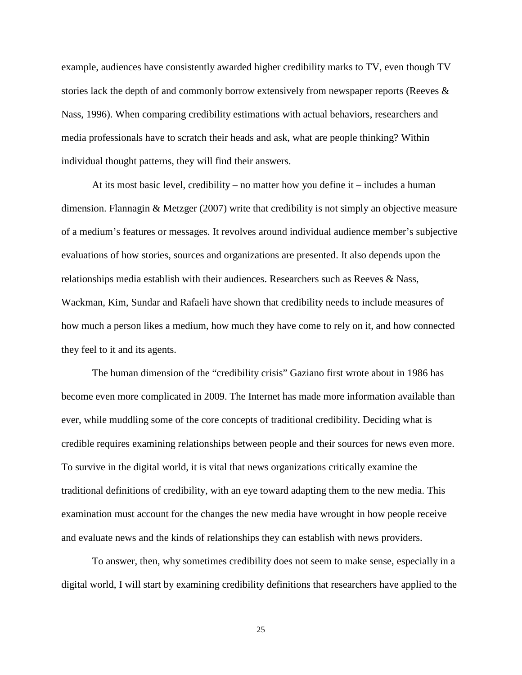example, audiences have consistently awarded higher credibility marks to TV, even though TV stories lack the depth of and commonly borrow extensively from newspaper reports (Reeves & Nass, 1996). When comparing credibility estimations with actual behaviors, researchers and media professionals have to scratch their heads and ask, what are people thinking? Within individual thought patterns, they will find their answers.

At its most basic level, credibility – no matter how you define it – includes a human dimension. Flannagin & Metzger (2007) write that credibility is not simply an objective measure of a medium's features or messages. It revolves around individual audience member's subjective evaluations of how stories, sources and organizations are presented. It also depends upon the relationships media establish with their audiences. Researchers such as Reeves & Nass, Wackman, Kim, Sundar and Rafaeli have shown that credibility needs to include measures of how much a person likes a medium, how much they have come to rely on it, and how connected they feel to it and its agents.

The human dimension of the "credibility crisis" Gaziano first wrote about in 1986 has become even more complicated in 2009. The Internet has made more information available than ever, while muddling some of the core concepts of traditional credibility. Deciding what is credible requires examining relationships between people and their sources for news even more. To survive in the digital world, it is vital that news organizations critically examine the traditional definitions of credibility, with an eye toward adapting them to the new media. This examination must account for the changes the new media have wrought in how people receive and evaluate news and the kinds of relationships they can establish with news providers.

To answer, then, why sometimes credibility does not seem to make sense, especially in a digital world, I will start by examining credibility definitions that researchers have applied to the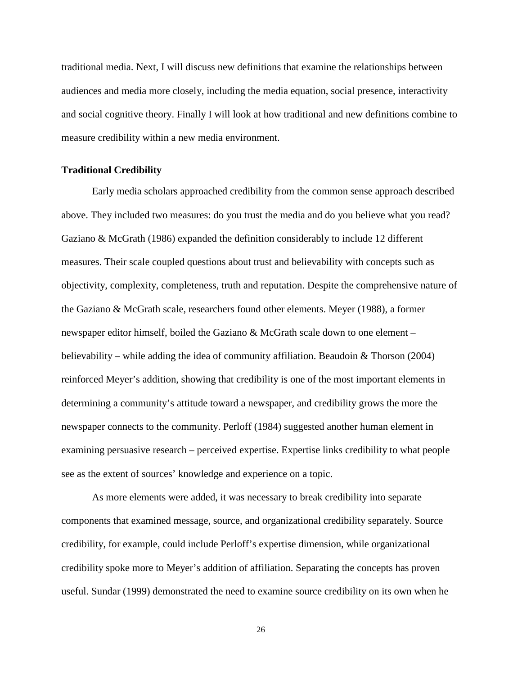traditional media. Next, I will discuss new definitions that examine the relationships between audiences and media more closely, including the media equation, social presence, interactivity and social cognitive theory. Finally I will look at how traditional and new definitions combine to measure credibility within a new media environment.

#### <span id="page-35-0"></span>**Traditional Credibility**

Early media scholars approached credibility from the common sense approach described above. They included two measures: do you trust the media and do you believe what you read? Gaziano & McGrath (1986) expanded the definition considerably to include 12 different measures. Their scale coupled questions about trust and believability with concepts such as objectivity, complexity, completeness, truth and reputation. Despite the comprehensive nature of the Gaziano & McGrath scale, researchers found other elements. Meyer (1988), a former newspaper editor himself, boiled the Gaziano & McGrath scale down to one element – believability – while adding the idea of community affiliation. Beaudoin & Thorson (2004) reinforced Meyer's addition, showing that credibility is one of the most important elements in determining a community's attitude toward a newspaper, and credibility grows the more the newspaper connects to the community. Perloff (1984) suggested another human element in examining persuasive research – perceived expertise. Expertise links credibility to what people see as the extent of sources' knowledge and experience on a topic.

As more elements were added, it was necessary to break credibility into separate components that examined message, source, and organizational credibility separately. Source credibility, for example, could include Perloff's expertise dimension, while organizational credibility spoke more to Meyer's addition of affiliation. Separating the concepts has proven useful. Sundar (1999) demonstrated the need to examine source credibility on its own when he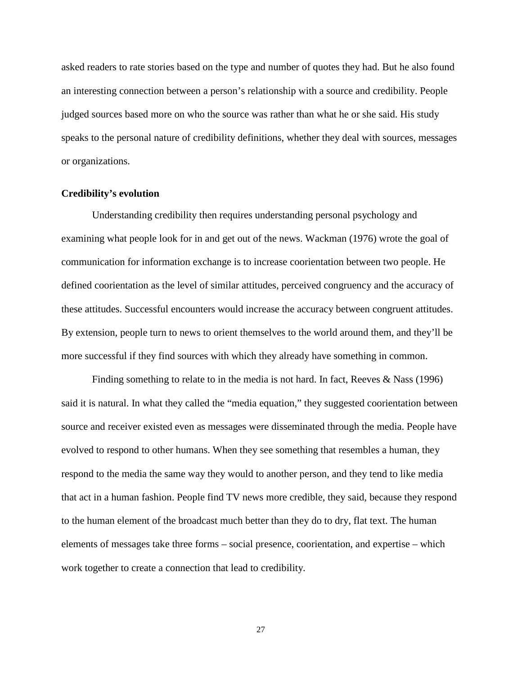asked readers to rate stories based on the type and number of quotes they had. But he also found an interesting connection between a person's relationship with a source and credibility. People judged sources based more on who the source was rather than what he or she said. His study speaks to the personal nature of credibility definitions, whether they deal with sources, messages or organizations.

### **Credibility's evolution**

Understanding credibility then requires understanding personal psychology and examining what people look for in and get out of the news. Wackman (1976) wrote the goal of communication for information exchange is to increase coorientation between two people. He defined coorientation as the level of similar attitudes, perceived congruency and the accuracy of these attitudes. Successful encounters would increase the accuracy between congruent attitudes. By extension, people turn to news to orient themselves to the world around them, and they'll be more successful if they find sources with which they already have something in common.

Finding something to relate to in the media is not hard. In fact, Reeves & Nass (1996) said it is natural. In what they called the "media equation," they suggested coorientation between source and receiver existed even as messages were disseminated through the media. People have evolved to respond to other humans. When they see something that resembles a human, they respond to the media the same way they would to another person, and they tend to like media that act in a human fashion. People find TV news more credible, they said, because they respond to the human element of the broadcast much better than they do to dry, flat text. The human elements of messages take three forms – social presence, coorientation, and expertise – which work together to create a connection that lead to credibility.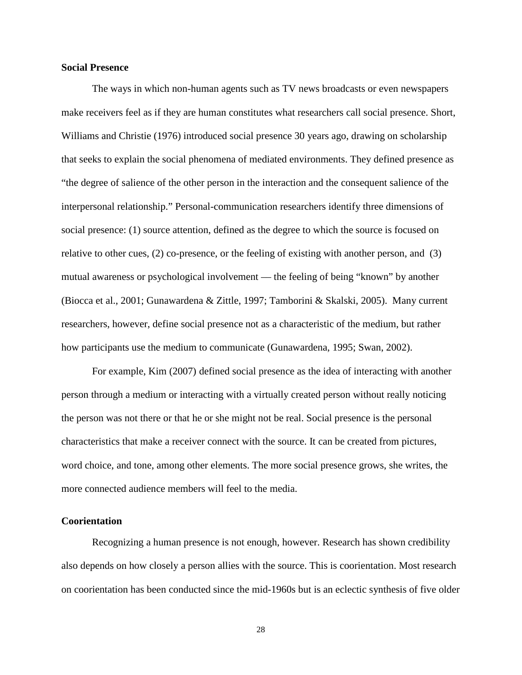### **Social Presence**

The ways in which non-human agents such as TV news broadcasts or even newspapers make receivers feel as if they are human constitutes what researchers call social presence. Short, Williams and Christie (1976) introduced social presence 30 years ago, drawing on scholarship that seeks to explain the social phenomena of mediated environments. They defined presence as "the degree of salience of the other person in the interaction and the consequent salience of the interpersonal relationship." Personal-communication researchers identify three dimensions of social presence: (1) source attention, defined as the degree to which the source is focused on relative to other cues, (2) co-presence, or the feeling of existing with another person, and (3) mutual awareness or psychological involvement –– the feeling of being "known" by another (Biocca et al., 2001; Gunawardena & Zittle, 1997; Tamborini & Skalski, 2005). Many current researchers, however, define social presence not as a characteristic of the medium, but rather how participants use the medium to communicate (Gunawardena, 1995; Swan, 2002).

For example, Kim (2007) defined social presence as the idea of interacting with another person through a medium or interacting with a virtually created person without really noticing the person was not there or that he or she might not be real. Social presence is the personal characteristics that make a receiver connect with the source. It can be created from pictures, word choice, and tone, among other elements. The more social presence grows, she writes, the more connected audience members will feel to the media.

## **Coorientation**

Recognizing a human presence is not enough, however. Research has shown credibility also depends on how closely a person allies with the source. This is coorientation. Most research on coorientation has been conducted since the mid-1960s but is an eclectic synthesis of five older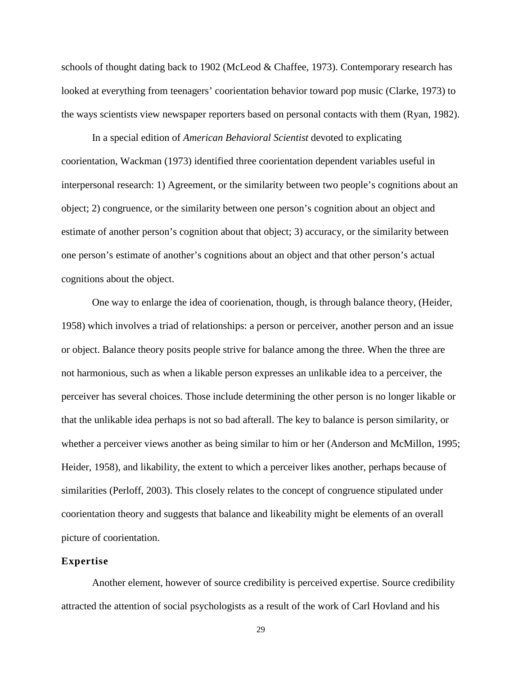schools of thought dating back to 1902 (McLeod & Chaffee, 1973). Contemporary research has looked at everything from teenagers' coorientation behavior toward pop music (Clarke, 1973) to the ways scientists view newspaper reporters based on personal contacts with them (Ryan, 1982).

In a special edition of *American Behavioral Scientist* devoted to explicating coorientation, Wackman (1973) identified three coorientation dependent variables useful in interpersonal research: 1) Agreement, or the similarity between two people's cognitions about an object; 2) congruence, or the similarity between one person's cognition about an object and estimate of another person's cognition about that object; 3) accuracy, or the similarity between one person's estimate of another's cognitions about an object and that other person's actual cognitions about the object.

One way to enlarge the idea of coorienation, though, is through balance theory, (Heider, 1958) which involves a triad of relationships: a person or perceiver, another person and an issue or object. Balance theory posits people strive for balance among the three. When the three are not harmonious, such as when a likable person expresses an unlikable idea to a perceiver, the perceiver has several choices. Those include determining the other person is no longer likable or that the unlikable idea perhaps is not so bad afterall. The key to balance is person similarity, or whether a perceiver views another as being similar to him or her (Anderson and McMillon, 1995; Heider, 1958), and likability, the extent to which a perceiver likes another, perhaps because of similarities (Perloff, 2003). This closely relates to the concept of congruence stipulated under coorientation theory and suggests that balance and likeability might be elements of an overall picture of coorientation.

## **Expertise**

Another element, however of source credibility is perceived expertise. Source credibility attracted the attention of social psychologists as a result of the work of Carl Hovland and his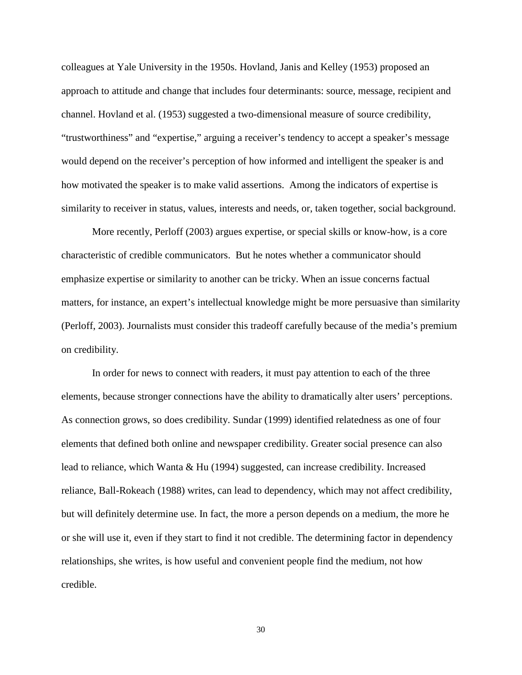colleagues at Yale University in the 1950s. Hovland, Janis and Kelley (1953) proposed an approach to attitude and change that includes four determinants: source, message, recipient and channel. Hovland et al. (1953) suggested a two-dimensional measure of source credibility, "trustworthiness" and "expertise," arguing a receiver's tendency to accept a speaker's message would depend on the receiver's perception of how informed and intelligent the speaker is and how motivated the speaker is to make valid assertions. Among the indicators of expertise is similarity to receiver in status, values, interests and needs, or, taken together, social background.

More recently, Perloff (2003) argues expertise, or special skills or know-how, is a core characteristic of credible communicators. But he notes whether a communicator should emphasize expertise or similarity to another can be tricky. When an issue concerns factual matters, for instance, an expert's intellectual knowledge might be more persuasive than similarity (Perloff, 2003). Journalists must consider this tradeoff carefully because of the media's premium on credibility.

In order for news to connect with readers, it must pay attention to each of the three elements, because stronger connections have the ability to dramatically alter users' perceptions. As connection grows, so does credibility. Sundar (1999) identified relatedness as one of four elements that defined both online and newspaper credibility. Greater social presence can also lead to reliance, which Wanta & Hu (1994) suggested, can increase credibility. Increased reliance, Ball-Rokeach (1988) writes, can lead to dependency, which may not affect credibility, but will definitely determine use. In fact, the more a person depends on a medium, the more he or she will use it, even if they start to find it not credible. The determining factor in dependency relationships, she writes, is how useful and convenient people find the medium, not how credible.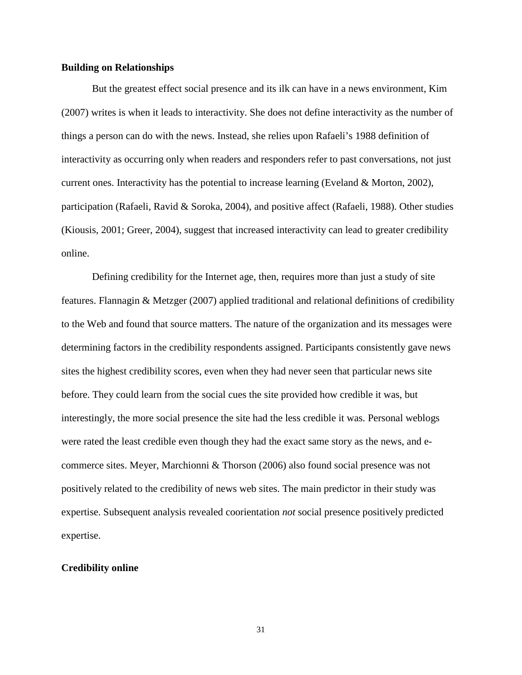### **Building on Relationships**

But the greatest effect social presence and its ilk can have in a news environment, Kim (2007) writes is when it leads to interactivity. She does not define interactivity as the number of things a person can do with the news. Instead, she relies upon Rafaeli's 1988 definition of interactivity as occurring only when readers and responders refer to past conversations, not just current ones. Interactivity has the potential to increase learning (Eveland & Morton, 2002), participation (Rafaeli, Ravid & Soroka, 2004), and positive affect (Rafaeli, 1988). Other studies (Kiousis, 2001; Greer, 2004), suggest that increased interactivity can lead to greater credibility online.

Defining credibility for the Internet age, then, requires more than just a study of site features. Flannagin & Metzger (2007) applied traditional and relational definitions of credibility to the Web and found that source matters. The nature of the organization and its messages were determining factors in the credibility respondents assigned. Participants consistently gave news sites the highest credibility scores, even when they had never seen that particular news site before. They could learn from the social cues the site provided how credible it was, but interestingly, the more social presence the site had the less credible it was. Personal weblogs were rated the least credible even though they had the exact same story as the news, and ecommerce sites. Meyer, Marchionni & Thorson (2006) also found social presence was not positively related to the credibility of news web sites. The main predictor in their study was expertise. Subsequent analysis revealed coorientation *not* social presence positively predicted expertise.

### **Credibility online**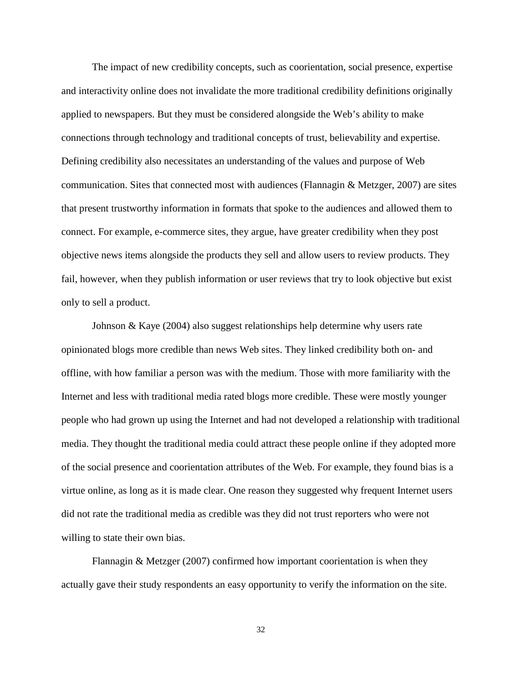The impact of new credibility concepts, such as coorientation, social presence, expertise and interactivity online does not invalidate the more traditional credibility definitions originally applied to newspapers. But they must be considered alongside the Web's ability to make connections through technology and traditional concepts of trust, believability and expertise. Defining credibility also necessitates an understanding of the values and purpose of Web communication. Sites that connected most with audiences (Flannagin & Metzger, 2007) are sites that present trustworthy information in formats that spoke to the audiences and allowed them to connect. For example, e-commerce sites, they argue, have greater credibility when they post objective news items alongside the products they sell and allow users to review products. They fail, however, when they publish information or user reviews that try to look objective but exist only to sell a product.

Johnson & Kaye (2004) also suggest relationships help determine why users rate opinionated blogs more credible than news Web sites. They linked credibility both on- and offline, with how familiar a person was with the medium. Those with more familiarity with the Internet and less with traditional media rated blogs more credible. These were mostly younger people who had grown up using the Internet and had not developed a relationship with traditional media. They thought the traditional media could attract these people online if they adopted more of the social presence and coorientation attributes of the Web. For example, they found bias is a virtue online, as long as it is made clear. One reason they suggested why frequent Internet users did not rate the traditional media as credible was they did not trust reporters who were not willing to state their own bias.

Flannagin & Metzger (2007) confirmed how important coorientation is when they actually gave their study respondents an easy opportunity to verify the information on the site.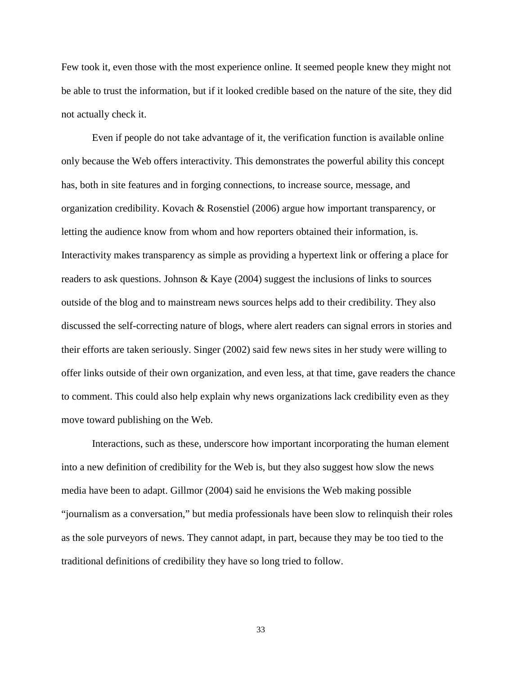Few took it, even those with the most experience online. It seemed people knew they might not be able to trust the information, but if it looked credible based on the nature of the site, they did not actually check it.

Even if people do not take advantage of it, the verification function is available online only because the Web offers interactivity. This demonstrates the powerful ability this concept has, both in site features and in forging connections, to increase source, message, and organization credibility. Kovach & Rosenstiel (2006) argue how important transparency, or letting the audience know from whom and how reporters obtained their information, is. Interactivity makes transparency as simple as providing a hypertext link or offering a place for readers to ask questions. Johnson & Kaye (2004) suggest the inclusions of links to sources outside of the blog and to mainstream news sources helps add to their credibility. They also discussed the self-correcting nature of blogs, where alert readers can signal errors in stories and their efforts are taken seriously. Singer (2002) said few news sites in her study were willing to offer links outside of their own organization, and even less, at that time, gave readers the chance to comment. This could also help explain why news organizations lack credibility even as they move toward publishing on the Web.

Interactions, such as these, underscore how important incorporating the human element into a new definition of credibility for the Web is, but they also suggest how slow the news media have been to adapt. Gillmor (2004) said he envisions the Web making possible "journalism as a conversation," but media professionals have been slow to relinquish their roles as the sole purveyors of news. They cannot adapt, in part, because they may be too tied to the traditional definitions of credibility they have so long tried to follow.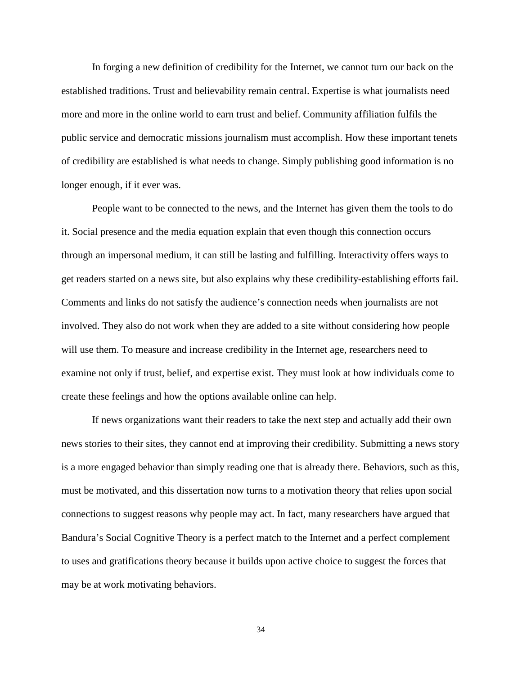In forging a new definition of credibility for the Internet, we cannot turn our back on the established traditions. Trust and believability remain central. Expertise is what journalists need more and more in the online world to earn trust and belief. Community affiliation fulfils the public service and democratic missions journalism must accomplish. How these important tenets of credibility are established is what needs to change. Simply publishing good information is no longer enough, if it ever was.

People want to be connected to the news, and the Internet has given them the tools to do it. Social presence and the media equation explain that even though this connection occurs through an impersonal medium, it can still be lasting and fulfilling. Interactivity offers ways to get readers started on a news site, but also explains why these credibility-establishing efforts fail. Comments and links do not satisfy the audience's connection needs when journalists are not involved. They also do not work when they are added to a site without considering how people will use them. To measure and increase credibility in the Internet age, researchers need to examine not only if trust, belief, and expertise exist. They must look at how individuals come to create these feelings and how the options available online can help.

If news organizations want their readers to take the next step and actually add their own news stories to their sites, they cannot end at improving their credibility. Submitting a news story is a more engaged behavior than simply reading one that is already there. Behaviors, such as this, must be motivated, and this dissertation now turns to a motivation theory that relies upon social connections to suggest reasons why people may act. In fact, many researchers have argued that Bandura's Social Cognitive Theory is a perfect match to the Internet and a perfect complement to uses and gratifications theory because it builds upon active choice to suggest the forces that may be at work motivating behaviors.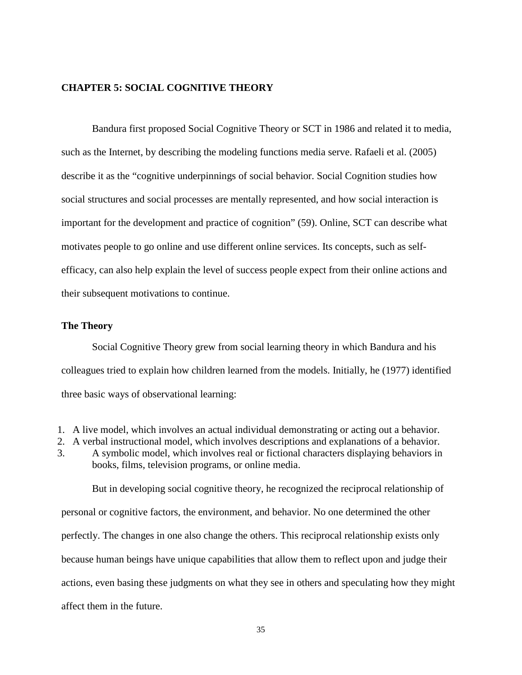## **CHAPTER 5: SOCIAL COGNITIVE THEORY**

Bandura first proposed Social Cognitive Theory or SCT in 1986 and related it to media, such as the Internet, by describing the modeling functions media serve. Rafaeli et al. (2005) describe it as the "cognitive underpinnings of social behavior. Social Cognition studies how social structures and social processes are mentally represented, and how social interaction is important for the development and practice of cognition" (59). Online, SCT can describe what motivates people to go online and use different online services. Its concepts, such as selfefficacy, can also help explain the level of success people expect from their online actions and their subsequent motivations to continue.

### **The Theory**

Social Cognitive Theory grew from social learning theory in which Bandura and his colleagues tried to explain how children learned from the models. Initially, he (1977) identified three basic ways of observational learning:

- 1. A live model, which involves an actual individual demonstrating or acting out a behavior.
- 2. A verbal instructional model, which involves descriptions and explanations of a behavior.
- 3. A symbolic model, which involves real or fictional characters displaying behaviors in books, films, television programs, or online media.

But in developing social cognitive theory, he recognized the reciprocal relationship of personal or cognitive factors, the environment, and behavior. No one determined the other perfectly. The changes in one also change the others. This reciprocal relationship exists only because human beings have unique capabilities that allow them to reflect upon and judge their actions, even basing these judgments on what they see in others and speculating how they might affect them in the future.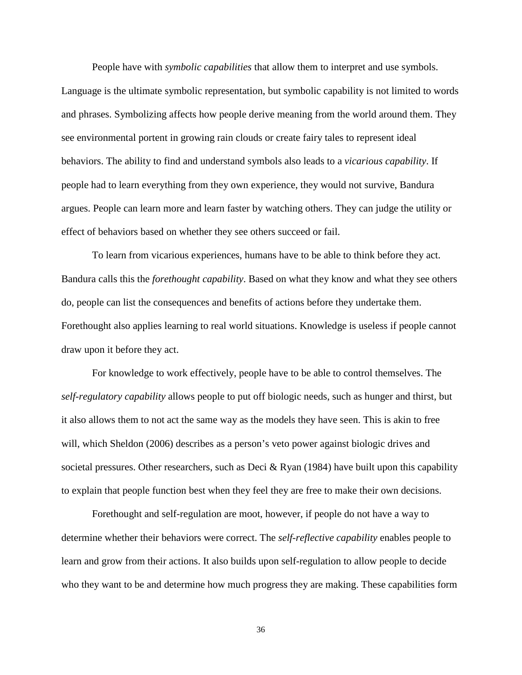People have with *symbolic capabilities* that allow them to interpret and use symbols. Language is the ultimate symbolic representation, but symbolic capability is not limited to words and phrases. Symbolizing affects how people derive meaning from the world around them. They see environmental portent in growing rain clouds or create fairy tales to represent ideal behaviors. The ability to find and understand symbols also leads to a *vicarious capability*. If people had to learn everything from they own experience, they would not survive, Bandura argues. People can learn more and learn faster by watching others. They can judge the utility or effect of behaviors based on whether they see others succeed or fail.

To learn from vicarious experiences, humans have to be able to think before they act. Bandura calls this the *forethought capability*. Based on what they know and what they see others do, people can list the consequences and benefits of actions before they undertake them. Forethought also applies learning to real world situations. Knowledge is useless if people cannot draw upon it before they act.

For knowledge to work effectively, people have to be able to control themselves. The *self-regulatory capability* allows people to put off biologic needs, such as hunger and thirst, but it also allows them to not act the same way as the models they have seen. This is akin to free will, which Sheldon (2006) describes as a person's veto power against biologic drives and societal pressures. Other researchers, such as Deci  $\&$  Ryan (1984) have built upon this capability to explain that people function best when they feel they are free to make their own decisions.

Forethought and self-regulation are moot, however, if people do not have a way to determine whether their behaviors were correct. The *self-reflective capability* enables people to learn and grow from their actions. It also builds upon self-regulation to allow people to decide who they want to be and determine how much progress they are making. These capabilities form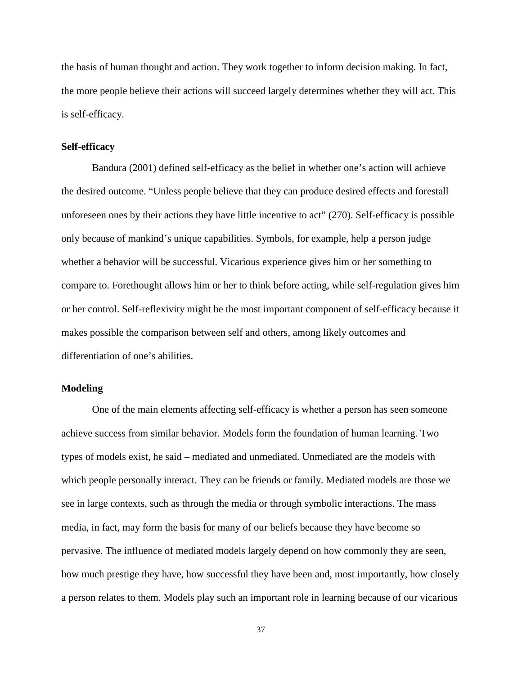the basis of human thought and action. They work together to inform decision making. In fact, the more people believe their actions will succeed largely determines whether they will act. This is self-efficacy.

### **Self-efficacy**

Bandura (2001) defined self-efficacy as the belief in whether one's action will achieve the desired outcome. "Unless people believe that they can produce desired effects and forestall unforeseen ones by their actions they have little incentive to act" (270). Self-efficacy is possible only because of mankind's unique capabilities. Symbols, for example, help a person judge whether a behavior will be successful. Vicarious experience gives him or her something to compare to. Forethought allows him or her to think before acting, while self-regulation gives him or her control. Self-reflexivity might be the most important component of self-efficacy because it makes possible the comparison between self and others, among likely outcomes and differentiation of one's abilities.

## **Modeling**

One of the main elements affecting self-efficacy is whether a person has seen someone achieve success from similar behavior. Models form the foundation of human learning. Two types of models exist, he said – mediated and unmediated. Unmediated are the models with which people personally interact. They can be friends or family. Mediated models are those we see in large contexts, such as through the media or through symbolic interactions. The mass media, in fact, may form the basis for many of our beliefs because they have become so pervasive. The influence of mediated models largely depend on how commonly they are seen, how much prestige they have, how successful they have been and, most importantly, how closely a person relates to them. Models play such an important role in learning because of our vicarious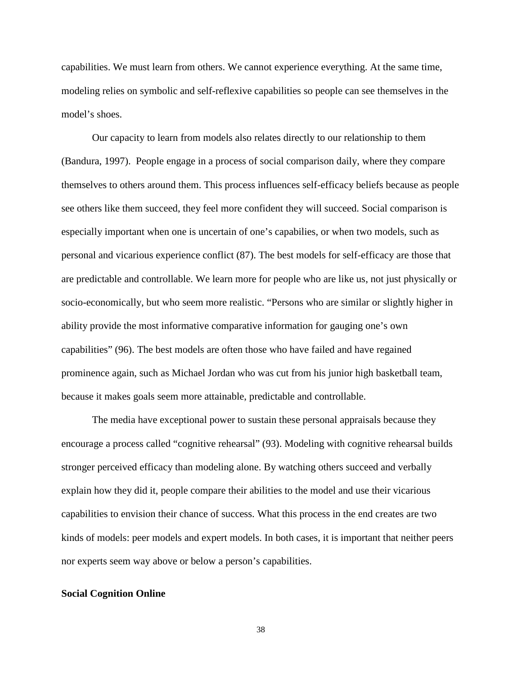capabilities. We must learn from others. We cannot experience everything. At the same time, modeling relies on symbolic and self-reflexive capabilities so people can see themselves in the model's shoes.

Our capacity to learn from models also relates directly to our relationship to them (Bandura, 1997). People engage in a process of social comparison daily, where they compare themselves to others around them. This process influences self-efficacy beliefs because as people see others like them succeed, they feel more confident they will succeed. Social comparison is especially important when one is uncertain of one's capabilies, or when two models, such as personal and vicarious experience conflict (87). The best models for self-efficacy are those that are predictable and controllable. We learn more for people who are like us, not just physically or socio-economically, but who seem more realistic. "Persons who are similar or slightly higher in ability provide the most informative comparative information for gauging one's own capabilities" (96). The best models are often those who have failed and have regained prominence again, such as Michael Jordan who was cut from his junior high basketball team, because it makes goals seem more attainable, predictable and controllable.

The media have exceptional power to sustain these personal appraisals because they encourage a process called "cognitive rehearsal" (93). Modeling with cognitive rehearsal builds stronger perceived efficacy than modeling alone. By watching others succeed and verbally explain how they did it, people compare their abilities to the model and use their vicarious capabilities to envision their chance of success. What this process in the end creates are two kinds of models: peer models and expert models. In both cases, it is important that neither peers nor experts seem way above or below a person's capabilities.

#### **Social Cognition Online**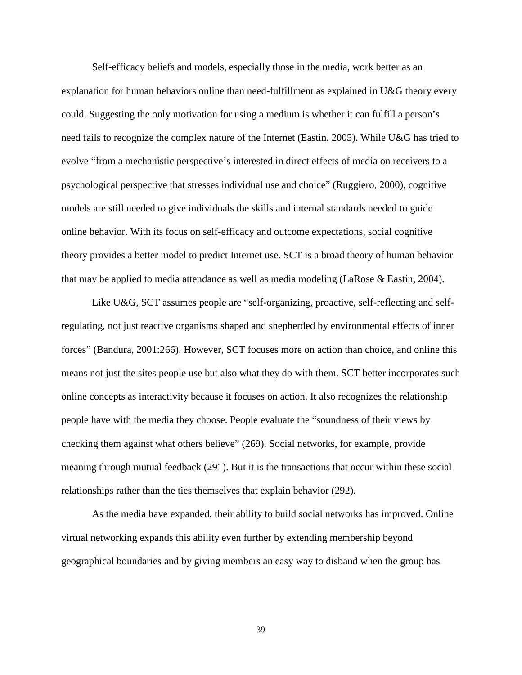Self-efficacy beliefs and models, especially those in the media, work better as an explanation for human behaviors online than need-fulfillment as explained in U&G theory every could. Suggesting the only motivation for using a medium is whether it can fulfill a person's need fails to recognize the complex nature of the Internet (Eastin, 2005). While U&G has tried to evolve "from a mechanistic perspective's interested in direct effects of media on receivers to a psychological perspective that stresses individual use and choice" (Ruggiero, 2000), cognitive models are still needed to give individuals the skills and internal standards needed to guide online behavior. With its focus on self-efficacy and outcome expectations, social cognitive theory provides a better model to predict Internet use. SCT is a broad theory of human behavior that may be applied to media attendance as well as media modeling (LaRose & Eastin, 2004).

Like U&G, SCT assumes people are "self-organizing, proactive, self-reflecting and selfregulating, not just reactive organisms shaped and shepherded by environmental effects of inner forces" (Bandura, 2001:266). However, SCT focuses more on action than choice, and online this means not just the sites people use but also what they do with them. SCT better incorporates such online concepts as interactivity because it focuses on action. It also recognizes the relationship people have with the media they choose. People evaluate the "soundness of their views by checking them against what others believe" (269). Social networks, for example, provide meaning through mutual feedback (291). But it is the transactions that occur within these social relationships rather than the ties themselves that explain behavior (292).

As the media have expanded, their ability to build social networks has improved. Online virtual networking expands this ability even further by extending membership beyond geographical boundaries and by giving members an easy way to disband when the group has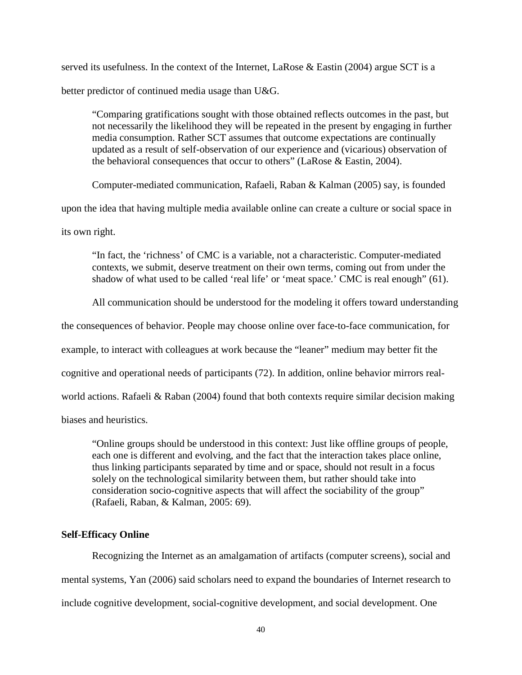served its usefulness. In the context of the Internet, LaRose & Eastin (2004) argue SCT is a better predictor of continued media usage than U&G.

"Comparing gratifications sought with those obtained reflects outcomes in the past, but not necessarily the likelihood they will be repeated in the present by engaging in further media consumption. Rather SCT assumes that outcome expectations are continually updated as a result of self-observation of our experience and (vicarious) observation of the behavioral consequences that occur to others" (LaRose & Eastin, 2004).

Computer-mediated communication, Rafaeli, Raban & Kalman (2005) say, is founded

upon the idea that having multiple media available online can create a culture or social space in

its own right.

"In fact, the 'richness' of CMC is a variable, not a characteristic. Computer-mediated contexts, we submit, deserve treatment on their own terms, coming out from under the shadow of what used to be called 'real life' or 'meat space.' CMC is real enough" (61).

All communication should be understood for the modeling it offers toward understanding

the consequences of behavior. People may choose online over face-to-face communication, for

example, to interact with colleagues at work because the "leaner" medium may better fit the

cognitive and operational needs of participants (72). In addition, online behavior mirrors real-

world actions. Rafaeli & Raban (2004) found that both contexts require similar decision making

biases and heuristics.

"Online groups should be understood in this context: Just like offline groups of people, each one is different and evolving, and the fact that the interaction takes place online, thus linking participants separated by time and or space, should not result in a focus solely on the technological similarity between them, but rather should take into consideration socio-cognitive aspects that will affect the sociability of the group" (Rafaeli, Raban, & Kalman, 2005: 69).

## **Self-Efficacy Online**

Recognizing the Internet as an amalgamation of artifacts (computer screens), social and mental systems, Yan (2006) said scholars need to expand the boundaries of Internet research to include cognitive development, social-cognitive development, and social development. One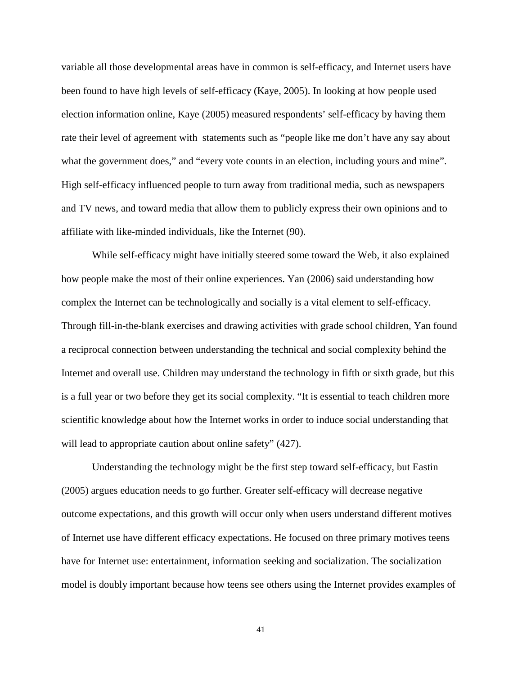variable all those developmental areas have in common is self-efficacy, and Internet users have been found to have high levels of self-efficacy (Kaye, 2005). In looking at how people used election information online, Kaye (2005) measured respondents' self-efficacy by having them rate their level of agreement with statements such as "people like me don't have any say about what the government does," and "every vote counts in an election, including yours and mine". High self-efficacy influenced people to turn away from traditional media, such as newspapers and TV news, and toward media that allow them to publicly express their own opinions and to affiliate with like-minded individuals, like the Internet (90).

While self-efficacy might have initially steered some toward the Web, it also explained how people make the most of their online experiences. Yan (2006) said understanding how complex the Internet can be technologically and socially is a vital element to self-efficacy. Through fill-in-the-blank exercises and drawing activities with grade school children, Yan found a reciprocal connection between understanding the technical and social complexity behind the Internet and overall use. Children may understand the technology in fifth or sixth grade, but this is a full year or two before they get its social complexity. "It is essential to teach children more scientific knowledge about how the Internet works in order to induce social understanding that will lead to appropriate caution about online safety"  $(427)$ .

Understanding the technology might be the first step toward self-efficacy, but Eastin (2005) argues education needs to go further. Greater self-efficacy will decrease negative outcome expectations, and this growth will occur only when users understand different motives of Internet use have different efficacy expectations. He focused on three primary motives teens have for Internet use: entertainment, information seeking and socialization. The socialization model is doubly important because how teens see others using the Internet provides examples of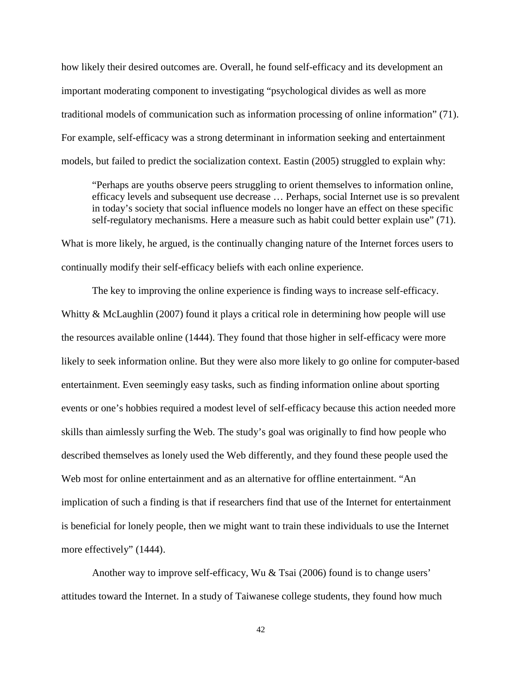how likely their desired outcomes are. Overall, he found self-efficacy and its development an important moderating component to investigating "psychological divides as well as more traditional models of communication such as information processing of online information" (71). For example, self-efficacy was a strong determinant in information seeking and entertainment models, but failed to predict the socialization context. Eastin (2005) struggled to explain why:

"Perhaps are youths observe peers struggling to orient themselves to information online, efficacy levels and subsequent use decrease … Perhaps, social Internet use is so prevalent in today's society that social influence models no longer have an effect on these specific self-regulatory mechanisms. Here a measure such as habit could better explain use" (71).

What is more likely, he argued, is the continually changing nature of the Internet forces users to continually modify their self-efficacy beliefs with each online experience.

The key to improving the online experience is finding ways to increase self-efficacy. Whitty & McLaughlin (2007) found it plays a critical role in determining how people will use the resources available online (1444). They found that those higher in self-efficacy were more likely to seek information online. But they were also more likely to go online for computer-based entertainment. Even seemingly easy tasks, such as finding information online about sporting events or one's hobbies required a modest level of self-efficacy because this action needed more skills than aimlessly surfing the Web. The study's goal was originally to find how people who described themselves as lonely used the Web differently, and they found these people used the Web most for online entertainment and as an alternative for offline entertainment. "An implication of such a finding is that if researchers find that use of the Internet for entertainment is beneficial for lonely people, then we might want to train these individuals to use the Internet more effectively" (1444).

Another way to improve self-efficacy, Wu & Tsai (2006) found is to change users' attitudes toward the Internet. In a study of Taiwanese college students, they found how much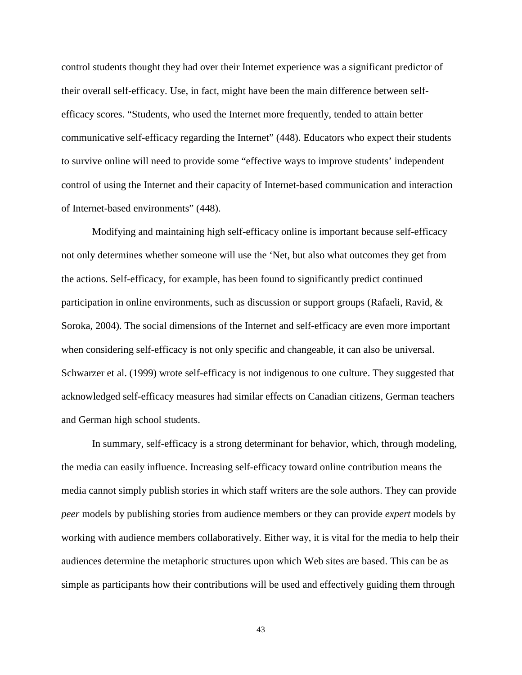control students thought they had over their Internet experience was a significant predictor of their overall self-efficacy. Use, in fact, might have been the main difference between selfefficacy scores. "Students, who used the Internet more frequently, tended to attain better communicative self-efficacy regarding the Internet" (448). Educators who expect their students to survive online will need to provide some "effective ways to improve students' independent control of using the Internet and their capacity of Internet-based communication and interaction of Internet-based environments" (448).

Modifying and maintaining high self-efficacy online is important because self-efficacy not only determines whether someone will use the 'Net, but also what outcomes they get from the actions. Self-efficacy, for example, has been found to significantly predict continued participation in online environments, such as discussion or support groups (Rafaeli, Ravid, & Soroka, 2004). The social dimensions of the Internet and self-efficacy are even more important when considering self-efficacy is not only specific and changeable, it can also be universal. Schwarzer et al. (1999) wrote self-efficacy is not indigenous to one culture. They suggested that acknowledged self-efficacy measures had similar effects on Canadian citizens, German teachers and German high school students.

In summary, self-efficacy is a strong determinant for behavior, which, through modeling, the media can easily influence. Increasing self-efficacy toward online contribution means the media cannot simply publish stories in which staff writers are the sole authors. They can provide *peer* models by publishing stories from audience members or they can provide *expert* models by working with audience members collaboratively. Either way, it is vital for the media to help their audiences determine the metaphoric structures upon which Web sites are based. This can be as simple as participants how their contributions will be used and effectively guiding them through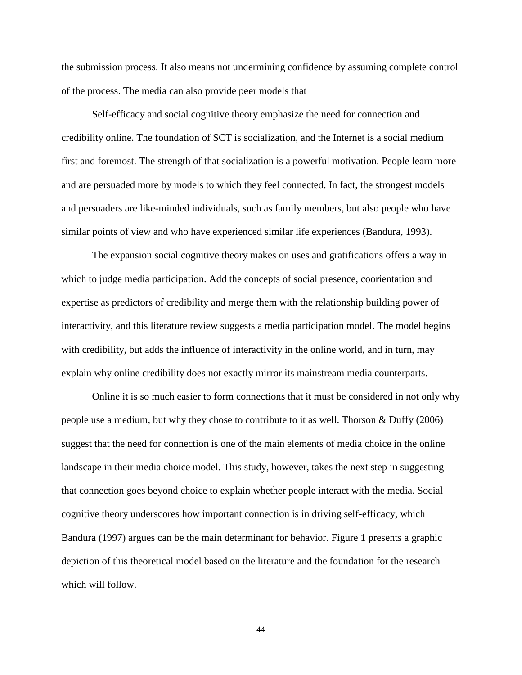the submission process. It also means not undermining confidence by assuming complete control of the process. The media can also provide peer models that

Self-efficacy and social cognitive theory emphasize the need for connection and credibility online. The foundation of SCT is socialization, and the Internet is a social medium first and foremost. The strength of that socialization is a powerful motivation. People learn more and are persuaded more by models to which they feel connected. In fact, the strongest models and persuaders are like-minded individuals, such as family members, but also people who have similar points of view and who have experienced similar life experiences (Bandura, 1993).

The expansion social cognitive theory makes on uses and gratifications offers a way in which to judge media participation. Add the concepts of social presence, coorientation and expertise as predictors of credibility and merge them with the relationship building power of interactivity, and this literature review suggests a media participation model. The model begins with credibility, but adds the influence of interactivity in the online world, and in turn, may explain why online credibility does not exactly mirror its mainstream media counterparts.

Online it is so much easier to form connections that it must be considered in not only why people use a medium, but why they chose to contribute to it as well. Thorson & Duffy (2006) suggest that the need for connection is one of the main elements of media choice in the online landscape in their media choice model. This study, however, takes the next step in suggesting that connection goes beyond choice to explain whether people interact with the media. Social cognitive theory underscores how important connection is in driving self-efficacy, which Bandura (1997) argues can be the main determinant for behavior. Figure 1 presents a graphic depiction of this theoretical model based on the literature and the foundation for the research which will follow.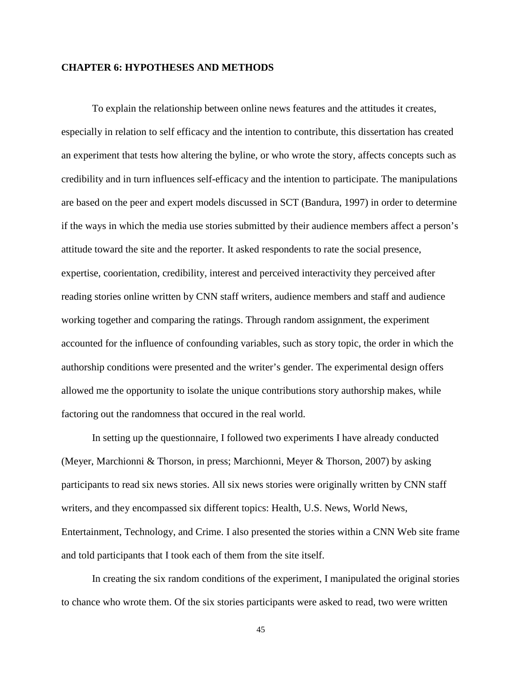## **CHAPTER 6: HYPOTHESES AND METHODS**

To explain the relationship between online news features and the attitudes it creates, especially in relation to self efficacy and the intention to contribute, this dissertation has created an experiment that tests how altering the byline, or who wrote the story, affects concepts such as credibility and in turn influences self-efficacy and the intention to participate. The manipulations are based on the peer and expert models discussed in SCT (Bandura, 1997) in order to determine if the ways in which the media use stories submitted by their audience members affect a person's attitude toward the site and the reporter. It asked respondents to rate the social presence, expertise, coorientation, credibility, interest and perceived interactivity they perceived after reading stories online written by CNN staff writers, audience members and staff and audience working together and comparing the ratings. Through random assignment, the experiment accounted for the influence of confounding variables, such as story topic, the order in which the authorship conditions were presented and the writer's gender. The experimental design offers allowed me the opportunity to isolate the unique contributions story authorship makes, while factoring out the randomness that occured in the real world.

In setting up the questionnaire, I followed two experiments I have already conducted (Meyer, Marchionni & Thorson, in press; Marchionni, Meyer & Thorson, 2007) by asking participants to read six news stories. All six news stories were originally written by CNN staff writers, and they encompassed six different topics: Health, U.S. News, World News, Entertainment, Technology, and Crime. I also presented the stories within a CNN Web site frame and told participants that I took each of them from the site itself.

In creating the six random conditions of the experiment, I manipulated the original stories to chance who wrote them. Of the six stories participants were asked to read, two were written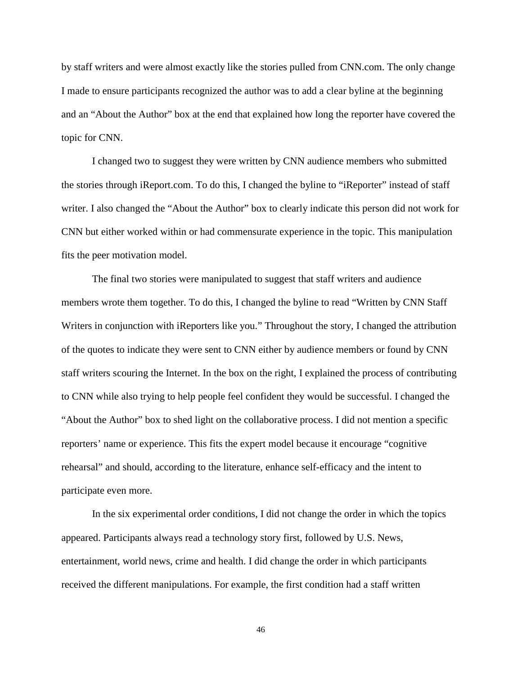by staff writers and were almost exactly like the stories pulled from CNN.com. The only change I made to ensure participants recognized the author was to add a clear byline at the beginning and an "About the Author" box at the end that explained how long the reporter have covered the topic for CNN.

I changed two to suggest they were written by CNN audience members who submitted the stories through iReport.com. To do this, I changed the byline to "iReporter" instead of staff writer. I also changed the "About the Author" box to clearly indicate this person did not work for CNN but either worked within or had commensurate experience in the topic. This manipulation fits the peer motivation model.

The final two stories were manipulated to suggest that staff writers and audience members wrote them together. To do this, I changed the byline to read "Written by CNN Staff Writers in conjunction with iReporters like you." Throughout the story, I changed the attribution of the quotes to indicate they were sent to CNN either by audience members or found by CNN staff writers scouring the Internet. In the box on the right, I explained the process of contributing to CNN while also trying to help people feel confident they would be successful. I changed the "About the Author" box to shed light on the collaborative process. I did not mention a specific reporters' name or experience. This fits the expert model because it encourage "cognitive rehearsal" and should, according to the literature, enhance self-efficacy and the intent to participate even more.

In the six experimental order conditions, I did not change the order in which the topics appeared. Participants always read a technology story first, followed by U.S. News, entertainment, world news, crime and health. I did change the order in which participants received the different manipulations. For example, the first condition had a staff written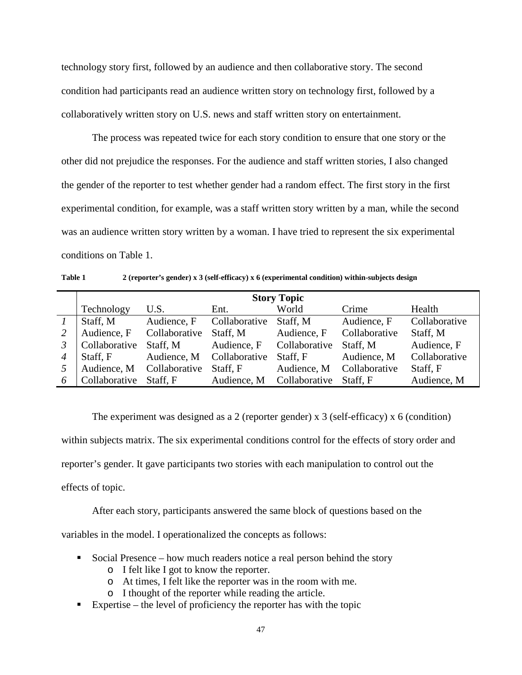technology story first, followed by an audience and then collaborative story. The second condition had participants read an audience written story on technology first, followed by a collaboratively written story on U.S. news and staff written story on entertainment.

The process was repeated twice for each story condition to ensure that one story or the other did not prejudice the responses. For the audience and staff written stories, I also changed the gender of the reporter to test whether gender had a random effect. The first story in the first experimental condition, for example, was a staff written story written by a man, while the second was an audience written story written by a woman. I have tried to represent the six experimental conditions on Table 1.

**Table 1 2 (reporter's gender) x 3 (self-efficacy) x 6 (experimental condition) within-subjects design**

|    | <b>Story Topic</b> |                           |                           |               |               |               |  |  |  |
|----|--------------------|---------------------------|---------------------------|---------------|---------------|---------------|--|--|--|
|    | Technology         | U.S.                      | Ent.                      | World         | Crime         | Health        |  |  |  |
|    | Staff, M           | Audience, F               | Collaborative             | Staff, M      | Audience, F   | Collaborative |  |  |  |
|    | Audience, F        | Collaborative             | Staff, M                  | Audience, F   | Collaborative | Staff, M      |  |  |  |
|    | Collaborative      | Staff, M                  | Audience, F               | Collaborative | Staff, M      | Audience, F   |  |  |  |
|    | Staff, F           | Audience, M Collaborative |                           | Staff, F      | Audience, M   | Collaborative |  |  |  |
| -5 |                    | Audience, M Collaborative | Staff, F                  | Audience, M   | Collaborative | Staff, F      |  |  |  |
| 6  | Collaborative      | Staff, F                  | Audience, M Collaborative |               | Staff, F      | Audience, M   |  |  |  |

The experiment was designed as a 2 (reporter gender) x 3 (self-efficacy) x 6 (condition) within subjects matrix. The six experimental conditions control for the effects of story order and reporter's gender. It gave participants two stories with each manipulation to control out the effects of topic.

After each story, participants answered the same block of questions based on the

variables in the model. I operationalized the concepts as follows:

- Social Presence how much readers notice a real person behind the story
	- o I felt like I got to know the reporter.
	- o At times, I felt like the reporter was in the room with me.
	- o I thought of the reporter while reading the article.
- Expertise the level of proficiency the reporter has with the topic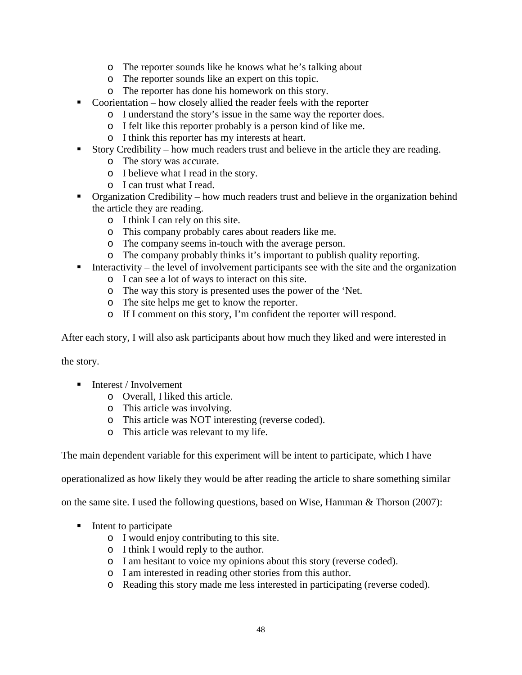- o The reporter sounds like he knows what he's talking about
- o The reporter sounds like an expert on this topic.
- o The reporter has done his homework on this story.
- Coorientation how closely allied the reader feels with the reporter
	- o I understand the story's issue in the same way the reporter does.
	- o I felt like this reporter probably is a person kind of like me.
	- o I think this reporter has my interests at heart.
- Story Credibility how much readers trust and believe in the article they are reading.
	- o The story was accurate.
	- o I believe what I read in the story.
	- o I can trust what I read.
- Organization Credibility how much readers trust and believe in the organization behind the article they are reading.
	- o I think I can rely on this site.
	- o This company probably cares about readers like me.
	- o The company seems in-touch with the average person.
	- o The company probably thinks it's important to publish quality reporting.
- Interactivity the level of involvement participants see with the site and the organization
	- o I can see a lot of ways to interact on this site.
	- o The way this story is presented uses the power of the 'Net.
	- o The site helps me get to know the reporter.
	- o If I comment on this story, I'm confident the reporter will respond.

After each story, I will also ask participants about how much they liked and were interested in

the story.

- $\blacksquare$  Interest / Involvement
	- o Overall, I liked this article.
	- o This article was involving.
	- o This article was NOT interesting (reverse coded).
	- o This article was relevant to my life.

The main dependent variable for this experiment will be intent to participate, which I have

operationalized as how likely they would be after reading the article to share something similar

on the same site. I used the following questions, based on Wise, Hamman & Thorson (2007):

- $\blacksquare$  Intent to participate
	- o I would enjoy contributing to this site.
	- o I think I would reply to the author.
	- o I am hesitant to voice my opinions about this story (reverse coded).
	- o I am interested in reading other stories from this author.
	- o Reading this story made me less interested in participating (reverse coded).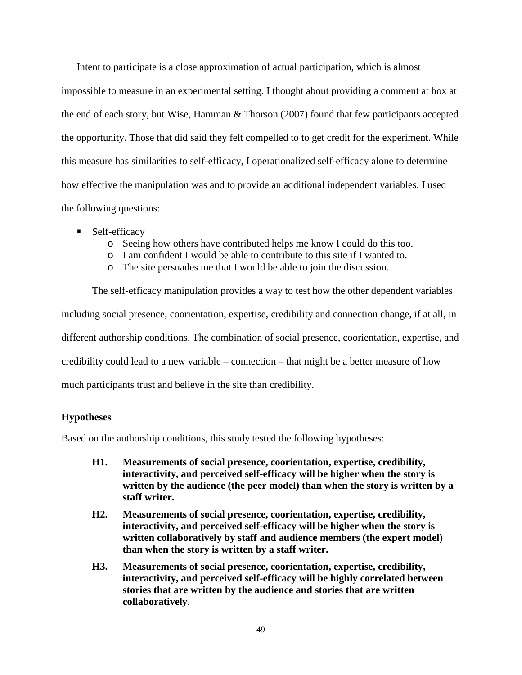Intent to participate is a close approximation of actual participation, which is almost impossible to measure in an experimental setting. I thought about providing a comment at box at the end of each story, but Wise, Hamman & Thorson (2007) found that few participants accepted the opportunity. Those that did said they felt compelled to to get credit for the experiment. While this measure has similarities to self-efficacy, I operationalized self-efficacy alone to determine how effective the manipulation was and to provide an additional independent variables. I used the following questions:

- Self-efficacy
	- o Seeing how others have contributed helps me know I could do this too.
	- o I am confident I would be able to contribute to this site if I wanted to.
	- o The site persuades me that I would be able to join the discussion.

The self-efficacy manipulation provides a way to test how the other dependent variables including social presence, coorientation, expertise, credibility and connection change, if at all, in different authorship conditions. The combination of social presence, coorientation, expertise, and credibility could lead to a new variable – connection – that might be a better measure of how much participants trust and believe in the site than credibility.

# **Hypotheses**

Based on the authorship conditions, this study tested the following hypotheses:

- **H1. Measurements of social presence, coorientation, expertise, credibility, interactivity, and perceived self-efficacy will be higher when the story is written by the audience (the peer model) than when the story is written by a staff writer.**
- **H2. Measurements of social presence, coorientation, expertise, credibility, interactivity, and perceived self-efficacy will be higher when the story is written collaboratively by staff and audience members (the expert model) than when the story is written by a staff writer.**
- **H3. Measurements of social presence, coorientation, expertise, credibility, interactivity, and perceived self-efficacy will be highly correlated between stories that are written by the audience and stories that are written collaboratively**.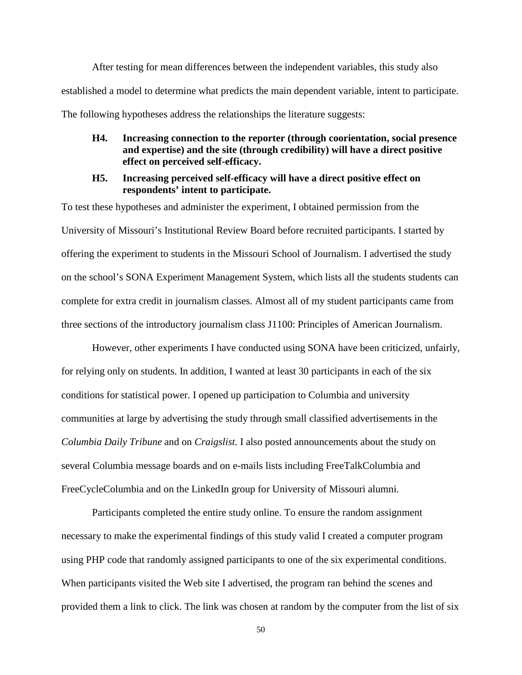After testing for mean differences between the independent variables, this study also established a model to determine what predicts the main dependent variable, intent to participate. The following hypotheses address the relationships the literature suggests:

## **H4. Increasing connection to the reporter (through coorientation, social presence and expertise) and the site (through credibility) will have a direct positive effect on perceived self-efficacy.**

## **H5. Increasing perceived self-efficacy will have a direct positive effect on respondents' intent to participate.**

To test these hypotheses and administer the experiment, I obtained permission from the University of Missouri's Institutional Review Board before recruited participants. I started by offering the experiment to students in the Missouri School of Journalism. I advertised the study on the school's SONA Experiment Management System, which lists all the students students can complete for extra credit in journalism classes. Almost all of my student participants came from three sections of the introductory journalism class J1100: Principles of American Journalism.

However, other experiments I have conducted using SONA have been criticized, unfairly, for relying only on students. In addition, I wanted at least 30 participants in each of the six conditions for statistical power. I opened up participation to Columbia and university communities at large by advertising the study through small classified advertisements in the *Columbia Daily Tribune* and on *Craigslist.* I also posted announcements about the study on several Columbia message boards and on e-mails lists including FreeTalkColumbia and FreeCycleColumbia and on the LinkedIn group for University of Missouri alumni.

Participants completed the entire study online. To ensure the random assignment necessary to make the experimental findings of this study valid I created a computer program using PHP code that randomly assigned participants to one of the six experimental conditions. When participants visited the Web site I advertised, the program ran behind the scenes and provided them a link to click. The link was chosen at random by the computer from the list of six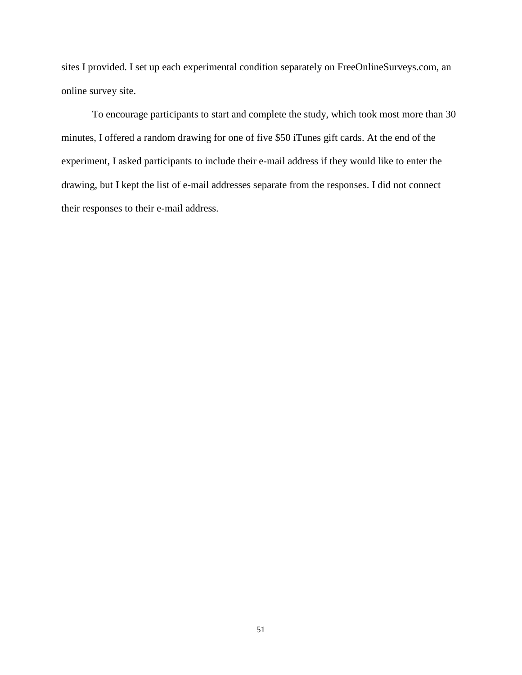sites I provided. I set up each experimental condition separately on FreeOnlineSurveys.com, an online survey site.

To encourage participants to start and complete the study, which took most more than 30 minutes, I offered a random drawing for one of five \$50 iTunes gift cards. At the end of the experiment, I asked participants to include their e-mail address if they would like to enter the drawing, but I kept the list of e-mail addresses separate from the responses. I did not connect their responses to their e-mail address.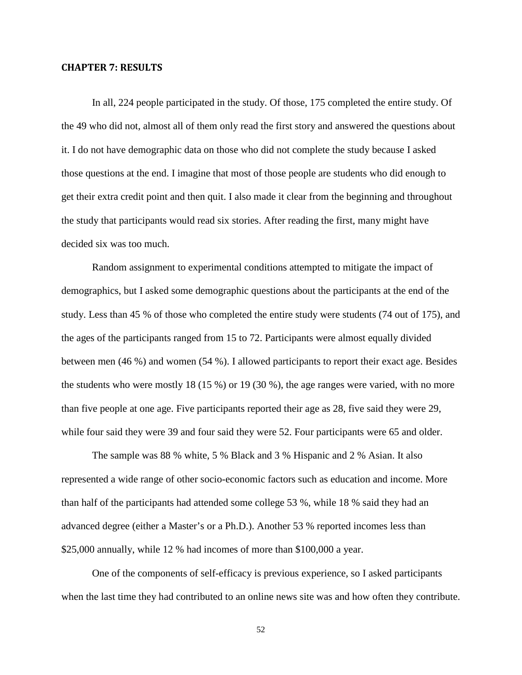## **CHAPTER 7: RESULTS**

In all, 224 people participated in the study. Of those, 175 completed the entire study. Of the 49 who did not, almost all of them only read the first story and answered the questions about it. I do not have demographic data on those who did not complete the study because I asked those questions at the end. I imagine that most of those people are students who did enough to get their extra credit point and then quit. I also made it clear from the beginning and throughout the study that participants would read six stories. After reading the first, many might have decided six was too much.

Random assignment to experimental conditions attempted to mitigate the impact of demographics, but I asked some demographic questions about the participants at the end of the study. Less than 45 % of those who completed the entire study were students (74 out of 175), and the ages of the participants ranged from 15 to 72. Participants were almost equally divided between men (46 %) and women (54 %). I allowed participants to report their exact age. Besides the students who were mostly 18 (15 %) or 19 (30 %), the age ranges were varied, with no more than five people at one age. Five participants reported their age as 28, five said they were 29, while four said they were 39 and four said they were 52. Four participants were 65 and older.

The sample was 88 % white, 5 % Black and 3 % Hispanic and 2 % Asian. It also represented a wide range of other socio-economic factors such as education and income. More than half of the participants had attended some college 53 %, while 18 % said they had an advanced degree (either a Master's or a Ph.D.). Another 53 % reported incomes less than \$25,000 annually, while 12 % had incomes of more than \$100,000 a year.

One of the components of self-efficacy is previous experience, so I asked participants when the last time they had contributed to an online news site was and how often they contribute.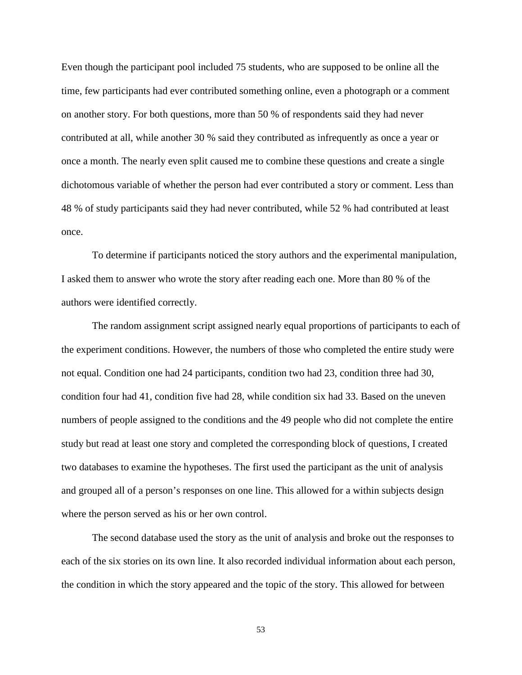Even though the participant pool included 75 students, who are supposed to be online all the time, few participants had ever contributed something online, even a photograph or a comment on another story. For both questions, more than 50 % of respondents said they had never contributed at all, while another 30 % said they contributed as infrequently as once a year or once a month. The nearly even split caused me to combine these questions and create a single dichotomous variable of whether the person had ever contributed a story or comment. Less than 48 % of study participants said they had never contributed, while 52 % had contributed at least once.

To determine if participants noticed the story authors and the experimental manipulation, I asked them to answer who wrote the story after reading each one. More than 80 % of the authors were identified correctly.

The random assignment script assigned nearly equal proportions of participants to each of the experiment conditions. However, the numbers of those who completed the entire study were not equal. Condition one had 24 participants, condition two had 23, condition three had 30, condition four had 41, condition five had 28, while condition six had 33. Based on the uneven numbers of people assigned to the conditions and the 49 people who did not complete the entire study but read at least one story and completed the corresponding block of questions, I created two databases to examine the hypotheses. The first used the participant as the unit of analysis and grouped all of a person's responses on one line. This allowed for a within subjects design where the person served as his or her own control.

The second database used the story as the unit of analysis and broke out the responses to each of the six stories on its own line. It also recorded individual information about each person, the condition in which the story appeared and the topic of the story. This allowed for between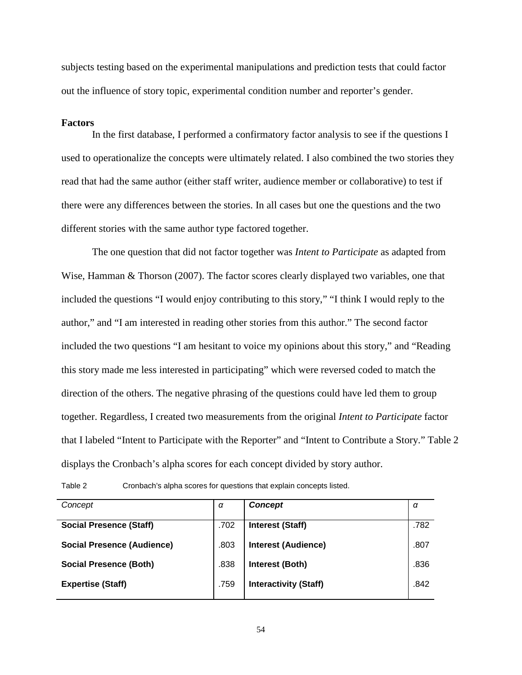subjects testing based on the experimental manipulations and prediction tests that could factor out the influence of story topic, experimental condition number and reporter's gender.

### **Factors**

In the first database, I performed a confirmatory factor analysis to see if the questions I used to operationalize the concepts were ultimately related. I also combined the two stories they read that had the same author (either staff writer, audience member or collaborative) to test if there were any differences between the stories. In all cases but one the questions and the two different stories with the same author type factored together.

The one question that did not factor together was *Intent to Participate* as adapted from Wise, Hamman & Thorson (2007). The factor scores clearly displayed two variables, one that included the questions "I would enjoy contributing to this story," "I think I would reply to the author," and "I am interested in reading other stories from this author." The second factor included the two questions "I am hesitant to voice my opinions about this story," and "Reading this story made me less interested in participating" which were reversed coded to match the direction of the others. The negative phrasing of the questions could have led them to group together. Regardless, I created two measurements from the original *Intent to Participate* factor that I labeled "Intent to Participate with the Reporter" and "Intent to Contribute a Story." Table 2 displays the Cronbach's alpha scores for each concept divided by story author.

| Concept                           | α    | <b>Concept</b>               | α    |
|-----------------------------------|------|------------------------------|------|
| <b>Social Presence (Staff)</b>    | .702 | <b>Interest (Staff)</b>      | .782 |
| <b>Social Presence (Audience)</b> | .803 | <b>Interest (Audience)</b>   | .807 |
| Social Presence (Both)            | .838 | Interest (Both)              | .836 |
| <b>Expertise (Staff)</b>          | .759 | <b>Interactivity (Staff)</b> | .842 |
|                                   |      |                              |      |

Table 2 Cronbach's alpha scores for questions that explain concepts listed.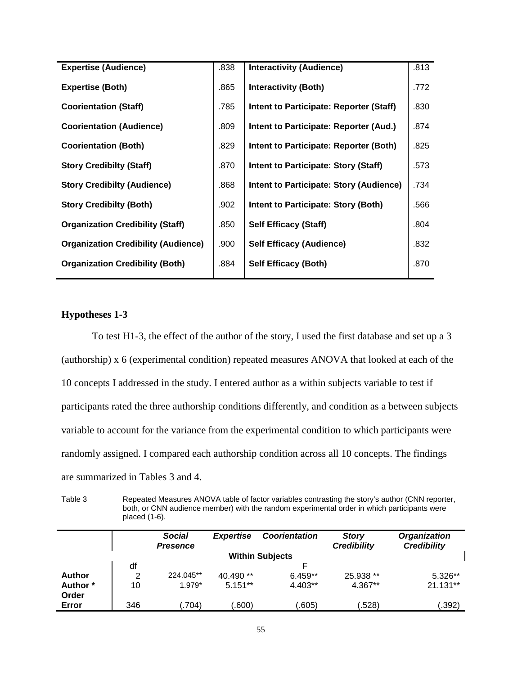| <b>Expertise (Audience)</b>                | .838 | <b>Interactivity (Audience)</b>         | .813 |
|--------------------------------------------|------|-----------------------------------------|------|
| <b>Expertise (Both)</b>                    | .865 | <b>Interactivity (Both)</b>             | .772 |
| <b>Coorientation (Staff)</b>               | .785 | Intent to Participate: Reporter (Staff) | .830 |
| <b>Coorientation (Audience)</b>            | .809 | Intent to Participate: Reporter (Aud.)  | .874 |
| <b>Coorientation (Both)</b>                | .829 | Intent to Participate: Reporter (Both)  | .825 |
| <b>Story Credibilty (Staff)</b>            | .870 | Intent to Participate: Story (Staff)    | .573 |
| <b>Story Credibilty (Audience)</b>         | .868 | Intent to Participate: Story (Audience) | .734 |
| <b>Story Credibilty (Both)</b>             | .902 | Intent to Participate: Story (Both)     | .566 |
| <b>Organization Credibility (Staff)</b>    | .850 | <b>Self Efficacy (Staff)</b>            | .804 |
| <b>Organization Credibility (Audience)</b> | .900 | <b>Self Efficacy (Audience)</b>         | .832 |
| <b>Organization Credibility (Both)</b>     | .884 | <b>Self Efficacy (Both)</b>             | .870 |
|                                            |      |                                         |      |

## **Hypotheses 1-3**

To test H1-3, the effect of the author of the story, I used the first database and set up a 3 (authorship) x 6 (experimental condition) repeated measures ANOVA that looked at each of the 10 concepts I addressed in the study. I entered author as a within subjects variable to test if participants rated the three authorship conditions differently, and condition as a between subjects variable to account for the variance from the experimental condition to which participants were randomly assigned. I compared each authorship condition across all 10 concepts. The findings are summarized in Tables 3 and 4.

Table 3 Repeated Measures ANOVA table of factor variables contrasting the story's author (CNN reporter, both, or CNN audience member) with the random experimental order in which participants were placed (1-6).

|               |     | <b>Social</b><br><b>Presence</b> | <i><b>Expertise</b></i> | <b>Coorientation</b>   | <b>Story</b><br><b>Credibility</b> | <b>Organization</b><br><b>Credibility</b> |
|---------------|-----|----------------------------------|-------------------------|------------------------|------------------------------------|-------------------------------------------|
|               |     |                                  |                         | <b>Within Subjects</b> |                                    |                                           |
|               | df  |                                  |                         |                        |                                    |                                           |
| <b>Author</b> | 2   | 224.045**                        | 40.490**                | $6.459**$              | 25.938 **                          | 5.326**                                   |
| Author *      | 10  | 1.979*                           | $5.151**$               | 4.403**                | $4.367**$                          | 21.131**                                  |
| Order         |     |                                  |                         |                        |                                    |                                           |
| Error         | 346 | .704)                            | .600)                   | .605)                  | .528)                              | .392)                                     |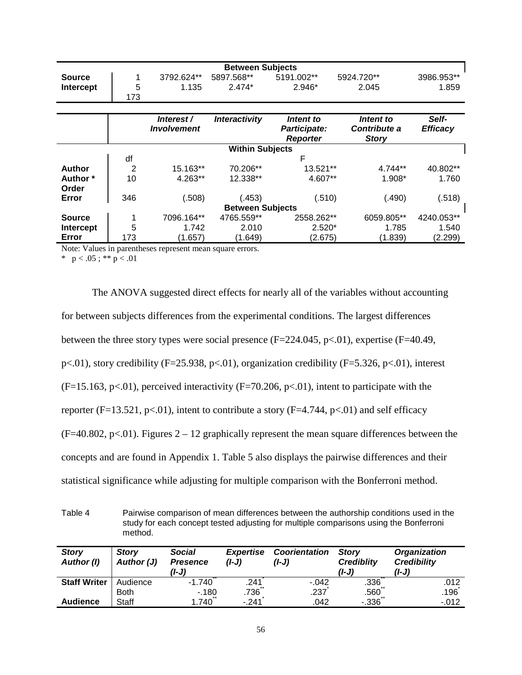|               | <b>Between Subjects</b> |                                  |                         |                                              |                                           |                          |  |  |  |
|---------------|-------------------------|----------------------------------|-------------------------|----------------------------------------------|-------------------------------------------|--------------------------|--|--|--|
| <b>Source</b> | 1                       | 3792.624**                       | 5897.568**              | 5191.002**                                   | 5924.720**                                | 3986.953**               |  |  |  |
| Intercept     | 5                       | 1.135                            | $2.474*$                | 2.946*                                       | 2.045                                     | 1.859                    |  |  |  |
|               | 173                     |                                  |                         |                                              |                                           |                          |  |  |  |
|               |                         |                                  |                         |                                              |                                           |                          |  |  |  |
|               |                         | Interest /<br><b>Involvement</b> | <b>Interactivity</b>    | Intent to<br>Participate:<br><b>Reporter</b> | Intent to<br>Contribute a<br><b>Story</b> | Self-<br><b>Efficacy</b> |  |  |  |
|               |                         |                                  | <b>Within Subjects</b>  |                                              |                                           |                          |  |  |  |
|               | df                      |                                  |                         | F                                            |                                           |                          |  |  |  |
| Author        | 2                       | 15.163**                         | 70.206**                | 13.521**                                     | 4.744**                                   | 40.802**                 |  |  |  |
| Author *      | 10                      | 4.263**                          | 12.338**                | 4.607**                                      | 1.908*                                    | 1.760                    |  |  |  |
| Order         |                         |                                  |                         |                                              |                                           |                          |  |  |  |
| Error         | 346                     | (.508)                           | (.453)                  | (.510)                                       | (.490)                                    | (.518)                   |  |  |  |
|               |                         |                                  | <b>Between Subjects</b> |                                              |                                           |                          |  |  |  |
| <b>Source</b> | 1                       | 7096.164**                       | 4765.559**              | 2558.262**                                   | 6059.805**                                | 4240.053**               |  |  |  |
| Intercept     | 5                       | 1.742                            | 2.010                   | $2.520*$                                     | 1.785                                     | 1.540                    |  |  |  |
| Error         | 173                     | (1.657)                          | (1.649)                 | (2.675)                                      | (1.839)                                   | (2.299)                  |  |  |  |

Note: Values in parentheses represent mean square errors.

\*  $p < .05$ ; \*\*  $p < .01$ 

| The ANOVA suggested direct effects for nearly all of the variables without accounting                     |
|-----------------------------------------------------------------------------------------------------------|
| for between subjects differences from the experimental conditions. The largest differences                |
| between the three story types were social presence $(F=224.045, p<0.01)$ , expertise $(F=40.49, p<0.01)$  |
| $p<.01$ ), story credibility (F=25.938, $p<.01$ ), organization credibility (F=5.326, $p<.01$ ), interest |
| $(F=15.163, p<.01)$ , perceived interactivity $(F=70.206, p<.01)$ , intent to participate with the        |
| reporter (F=13.521, p<.01), intent to contribute a story (F=4.744, p<.01) and self efficacy               |
| $(F=40.802, p<0.1)$ . Figures 2 – 12 graphically represent the mean square differences between the        |
| concepts and are found in Appendix 1. Table 5 also displays the pairwise differences and their            |
| statistical significance while adjusting for multiple comparison with the Bonferroni method.              |

Table 4 Pairwise comparison of mean differences between the authorship conditions used in the study for each concept tested adjusting for multiple comparisons using the Bonferroni method.

| <b>Story</b><br>Author (I) | <b>Story</b><br>Author (J) | <b>Social</b><br><b>Presence</b><br>(l-J) | <b>Expertise</b><br>(l-J) | <b>Coorientation</b><br>$(I-J)$ | <b>Story</b><br><b>Crediblity</b><br>$(I-J)$ | <b>Organization</b><br><b>Credibility</b><br>(I-J) |
|----------------------------|----------------------------|-------------------------------------------|---------------------------|---------------------------------|----------------------------------------------|----------------------------------------------------|
| <b>Staff Writer</b>        | Audience                   | $-1.740$                                  | .241                      | $-.042$                         | .336 <sup>°</sup>                            | .012                                               |
|                            | <b>Both</b>                | $-180$                                    | .736                      | .237                            | .560                                         | .196                                               |
| <b>Audience</b>            | <b>Staff</b>               | 1.740                                     | $-241$                    | .042                            | $-336$                                       | $-0.012$                                           |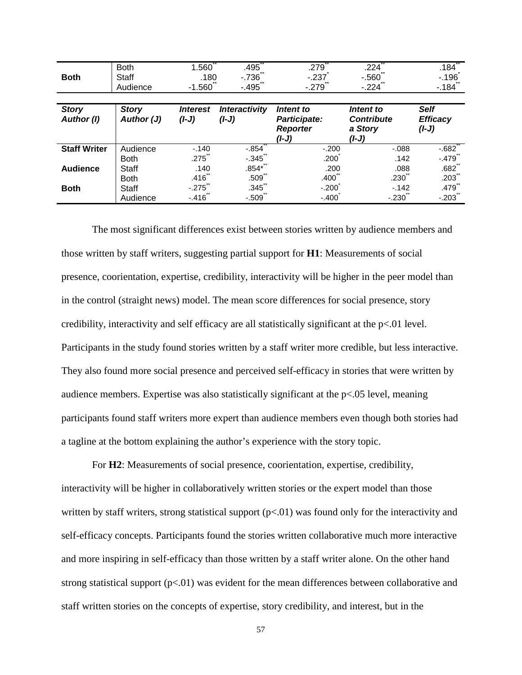| <b>Both</b>                | <b>Both</b><br><b>Staff</b><br>Audience | 1.560<br>.180<br>$-1.560$  | .495<br>$-736$<br>- 495         | .279<br>$-237$<br>$-279$                                | .224<br>$-560^{\degree}$<br>$-224$                 | $.184$ <sup>*</sup><br>$-.196$<br>$-184$ <sup>-1</sup> |
|----------------------------|-----------------------------------------|----------------------------|---------------------------------|---------------------------------------------------------|----------------------------------------------------|--------------------------------------------------------|
| <b>Story</b><br>Author (I) | <b>Story</b><br>Author (J)              | <b>Interest</b><br>$(I-J)$ | <b>Interactivity</b><br>$(I-J)$ | Intent to<br>Participate:<br><b>Reporter</b><br>$(I-J)$ | Intent to<br><b>Contribute</b><br>a Story<br>(I-J) | <b>Self</b><br><b>Efficacy</b><br>$(I-J)$              |
| <b>Staff Writer</b>        | Audience                                | $-140$                     | $-0.854$                        | $-.200$                                                 | $-.088$                                            | $-682$                                                 |
|                            | <b>Both</b>                             | $.275^{''}$                | $-.345$                         | .200 <sup>°</sup>                                       | .142                                               | $-.479$ <sup>*</sup>                                   |
| <b>Audience</b>            | Staff                                   | .140                       | $.854$ *                        | .200                                                    | .088                                               | .682                                                   |
|                            | <b>Both</b>                             | .416                       | $.509$ <sup>*</sup>             | .400 <sup>°</sup>                                       | .230                                               | $.203$ <sup>*</sup>                                    |
| <b>Both</b>                | <b>Staff</b>                            | $-.275$                    | $.345$ <sup>**</sup>            | $-.200$                                                 | $-142$                                             | .479 <sup>°</sup>                                      |
|                            | Audience                                | $-.416$                    | $-.509$                         | $-.400$                                                 | $-.230$                                            | $-.203$                                                |

The most significant differences exist between stories written by audience members and those written by staff writers, suggesting partial support for **H1**: Measurements of social presence, coorientation, expertise, credibility, interactivity will be higher in the peer model than in the control (straight news) model. The mean score differences for social presence, story credibility, interactivity and self efficacy are all statistically significant at the  $p<01$  level. Participants in the study found stories written by a staff writer more credible, but less interactive. They also found more social presence and perceived self-efficacy in stories that were written by audience members. Expertise was also statistically significant at the p<.05 level, meaning participants found staff writers more expert than audience members even though both stories had a tagline at the bottom explaining the author's experience with the story topic.

For **H2**: Measurements of social presence, coorientation, expertise, credibility, interactivity will be higher in collaboratively written stories or the expert model than those written by staff writers, strong statistical support  $(p<0.01)$  was found only for the interactivity and self-efficacy concepts. Participants found the stories written collaborative much more interactive and more inspiring in self-efficacy than those written by a staff writer alone. On the other hand strong statistical support  $(p<0.01)$  was evident for the mean differences between collaborative and staff written stories on the concepts of expertise, story credibility, and interest, but in the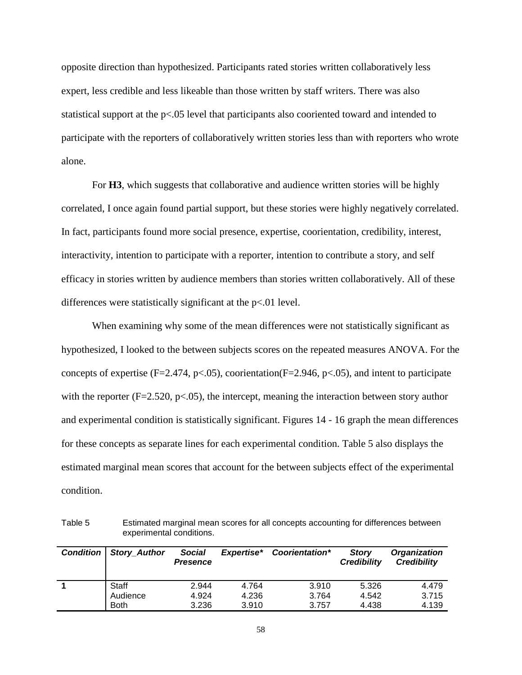opposite direction than hypothesized. Participants rated stories written collaboratively less expert, less credible and less likeable than those written by staff writers. There was also statistical support at the p<.05 level that participants also cooriented toward and intended to participate with the reporters of collaboratively written stories less than with reporters who wrote alone.

For **H3**, which suggests that collaborative and audience written stories will be highly correlated, I once again found partial support, but these stories were highly negatively correlated. In fact, participants found more social presence, expertise, coorientation, credibility, interest, interactivity, intention to participate with a reporter, intention to contribute a story, and self efficacy in stories written by audience members than stories written collaboratively. All of these differences were statistically significant at the  $p<01$  level.

When examining why some of the mean differences were not statistically significant as hypothesized, I looked to the between subjects scores on the repeated measures ANOVA. For the concepts of expertise (F=2.474, p<.05), coorientation(F=2.946, p<.05), and intent to participate with the reporter  $(F=2.520, p<.05)$ , the intercept, meaning the interaction between story author and experimental condition is statistically significant. Figures 14 - 16 graph the mean differences for these concepts as separate lines for each experimental condition. Table 5 also displays the estimated marginal mean scores that account for the between subjects effect of the experimental condition.

Table 5 Estimated marginal mean scores for all concepts accounting for differences between experimental conditions.

| <b>Condition</b> | <b>Story Author</b> | <b>Social</b><br><b>Presence</b> | Expertise* | Coorientation* | <b>Story</b><br><b>Credibility</b> | <b>Organization</b><br><b>Credibility</b> |
|------------------|---------------------|----------------------------------|------------|----------------|------------------------------------|-------------------------------------------|
|                  | Staff               | 2.944                            | 4.764      | 3.910          | 5.326                              | 4.479                                     |
|                  | Audience            | 4.924                            | 4.236      | 3.764          | 4.542                              | 3.715                                     |
|                  | <b>Both</b>         | 3.236                            | 3.910      | 3.757          | 4.438                              | 4.139                                     |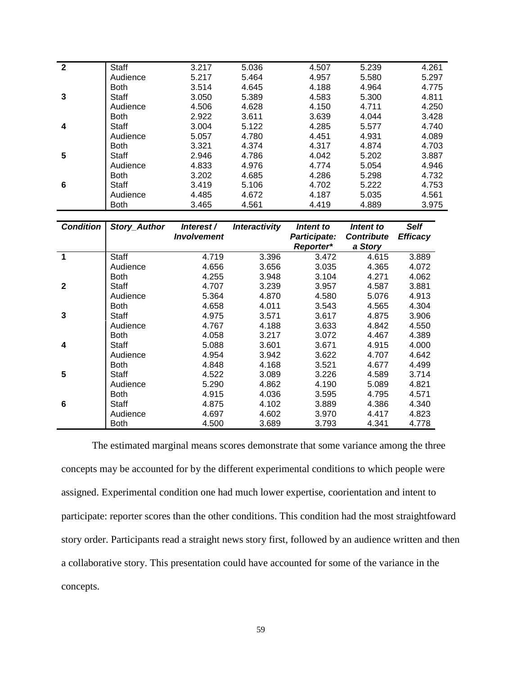| $\mathbf{2}$ | Staff       | 3.217 | 5.036 | 4.507 | 5.239 | 4.261 |
|--------------|-------------|-------|-------|-------|-------|-------|
|              | Audience    | 5.217 | 5.464 | 4.957 | 5.580 | 5.297 |
|              | <b>Both</b> | 3.514 | 4.645 | 4.188 | 4.964 | 4.775 |
| 3            | Staff       | 3.050 | 5.389 | 4.583 | 5.300 | 4.811 |
|              | Audience    | 4.506 | 4.628 | 4.150 | 4.711 | 4.250 |
|              | <b>Both</b> | 2.922 | 3.611 | 3.639 | 4.044 | 3.428 |
| 4            | Staff       | 3.004 | 5.122 | 4.285 | 5.577 | 4.740 |
|              | Audience    | 5.057 | 4.780 | 4.451 | 4.931 | 4.089 |
|              | <b>Both</b> | 3.321 | 4.374 | 4.317 | 4.874 | 4.703 |
| 5            | Staff       | 2.946 | 4.786 | 4.042 | 5.202 | 3.887 |
|              | Audience    | 4.833 | 4.976 | 4.774 | 5.054 | 4.946 |
|              | <b>Both</b> | 3.202 | 4.685 | 4.286 | 5.298 | 4.732 |
| 6            | Staff       | 3.419 | 5.106 | 4.702 | 5.222 | 4.753 |
|              | Audience    | 4.485 | 4.672 | 4.187 | 5.035 | 4.561 |
|              | <b>Both</b> | 3.465 | 4.561 | 4.419 | 4.889 | 3.975 |

| <b>Condition</b> | <b>Story_Author</b> | Interest /<br><b>Involvement</b> | <i><b>Interactivity</b></i> | Intent to<br>Participate:<br>Reporter* | <i>Intent to</i><br><b>Contribute</b><br>a Story | <b>Self</b><br><b>Efficacy</b> |
|------------------|---------------------|----------------------------------|-----------------------------|----------------------------------------|--------------------------------------------------|--------------------------------|
| 1                | <b>Staff</b>        | 4.719                            | 3.396                       | 3.472                                  | 4.615                                            | 3.889                          |
|                  | Audience            | 4.656                            | 3.656                       | 3.035                                  | 4.365                                            | 4.072                          |
|                  | <b>Both</b>         | 4.255                            | 3.948                       | 3.104                                  | 4.271                                            | 4.062                          |
| $\mathbf{2}$     | Staff               | 4.707                            | 3.239                       | 3.957                                  | 4.587                                            | 3.881                          |
|                  | Audience            | 5.364                            | 4.870                       | 4.580                                  | 5.076                                            | 4.913                          |
|                  | <b>Both</b>         | 4.658                            | 4.011                       | 3.543                                  | 4.565                                            | 4.304                          |
| 3                | Staff               | 4.975                            | 3.571                       | 3.617                                  | 4.875                                            | 3.906                          |
|                  | Audience            | 4.767                            | 4.188                       | 3.633                                  | 4.842                                            | 4.550                          |
|                  | <b>Both</b>         | 4.058                            | 3.217                       | 3.072                                  | 4.467                                            | 4.389                          |
| 4                | Staff               | 5.088                            | 3.601                       | 3.671                                  | 4.915                                            | 4.000                          |
|                  | Audience            | 4.954                            | 3.942                       | 3.622                                  | 4.707                                            | 4.642                          |
|                  | <b>Both</b>         | 4.848                            | 4.168                       | 3.521                                  | 4.677                                            | 4.499                          |
| 5                | Staff               | 4.522                            | 3.089                       | 3.226                                  | 4.589                                            | 3.714                          |
|                  | Audience            | 5.290                            | 4.862                       | 4.190                                  | 5.089                                            | 4.821                          |
|                  | <b>Both</b>         | 4.915                            | 4.036                       | 3.595                                  | 4.795                                            | 4.571                          |
| 6                | Staff               | 4.875                            | 4.102                       | 3.889                                  | 4.386                                            | 4.340                          |
|                  | Audience            | 4.697                            | 4.602                       | 3.970                                  | 4.417                                            | 4.823                          |
|                  | <b>Both</b>         | 4.500                            | 3.689                       | 3.793                                  | 4.341                                            | 4.778                          |

The estimated marginal means scores demonstrate that some variance among the three concepts may be accounted for by the different experimental conditions to which people were assigned. Experimental condition one had much lower expertise, coorientation and intent to participate: reporter scores than the other conditions. This condition had the most straightfoward story order. Participants read a straight news story first, followed by an audience written and then a collaborative story. This presentation could have accounted for some of the variance in the concepts.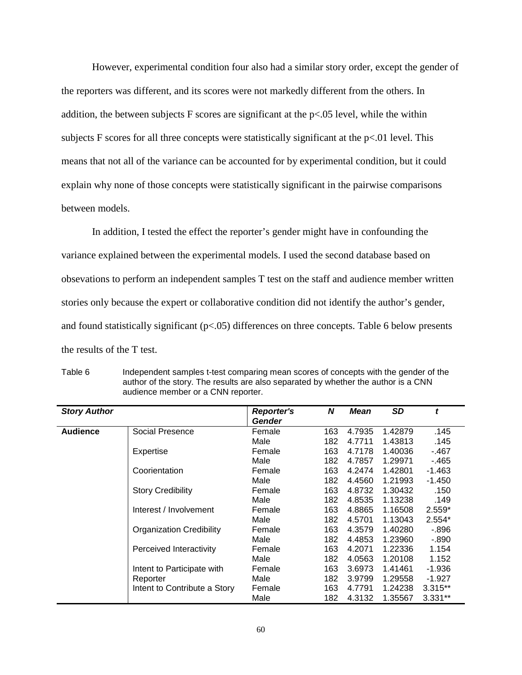However, experimental condition four also had a similar story order, except the gender of the reporters was different, and its scores were not markedly different from the others. In addition, the between subjects F scores are significant at the p<.05 level, while the within subjects F scores for all three concepts were statistically significant at the  $p<01$  level. This means that not all of the variance can be accounted for by experimental condition, but it could explain why none of those concepts were statistically significant in the pairwise comparisons between models.

In addition, I tested the effect the reporter's gender might have in confounding the variance explained between the experimental models. I used the second database based on obsevations to perform an independent samples T test on the staff and audience member written stories only because the expert or collaborative condition did not identify the author's gender, and found statistically significant (p<.05) differences on three concepts. Table 6 below presents the results of the T test.

Table 6 Independent samples t-test comparing mean scores of concepts with the gender of the author of the story. The results are also separated by whether the author is a CNN audience member or a CNN reporter.

| <b>Story Author</b> |                                 | <b>Reporter's</b> | N   | <b>Mean</b> | SD      | t         |
|---------------------|---------------------------------|-------------------|-----|-------------|---------|-----------|
|                     |                                 | Gender            |     |             |         |           |
| <b>Audience</b>     | Social Presence                 | Female            | 163 | 4.7935      | 1.42879 | .145      |
|                     |                                 | Male              | 182 | 4.7711      | 1.43813 | .145      |
|                     | Expertise                       | Female            | 163 | 4.7178      | 1.40036 | $-467$    |
|                     |                                 | Male              | 182 | 4.7857      | 1.29971 | $-465$    |
|                     | Coorientation                   | Female            | 163 | 4.2474      | 1.42801 | $-1.463$  |
|                     |                                 | Male              | 182 | 4.4560      | 1.21993 | $-1.450$  |
|                     | <b>Story Credibility</b>        | Female            | 163 | 4.8732      | 1.30432 | .150      |
|                     |                                 | Male              | 182 | 4.8535      | 1.13238 | .149      |
|                     | Interest / Involvement          | Female            | 163 | 4.8865      | 1.16508 | $2.559*$  |
|                     |                                 | Male              | 182 | 4.5701      | 1.13043 | 2.554*    |
|                     | <b>Organization Credibility</b> | Female            | 163 | 4.3579      | 1.40280 | $-0.896$  |
|                     |                                 | Male              | 182 | 4.4853      | 1.23960 | $-.890$   |
|                     | Perceived Interactivity         | Female            | 163 | 4.2071      | 1.22336 | 1.154     |
|                     |                                 | Male              | 182 | 4.0563      | 1.20108 | 1.152     |
|                     | Intent to Participate with      | Female            | 163 | 3.6973      | 1.41461 | $-1.936$  |
|                     | Reporter                        | Male              | 182 | 3.9799      | 1.29558 | -1.927    |
|                     | Intent to Contribute a Story    | Female            | 163 | 4.7791      | 1.24238 | $3.315**$ |
|                     |                                 | Male              | 182 | 4.3132      | 1.35567 | $3.331**$ |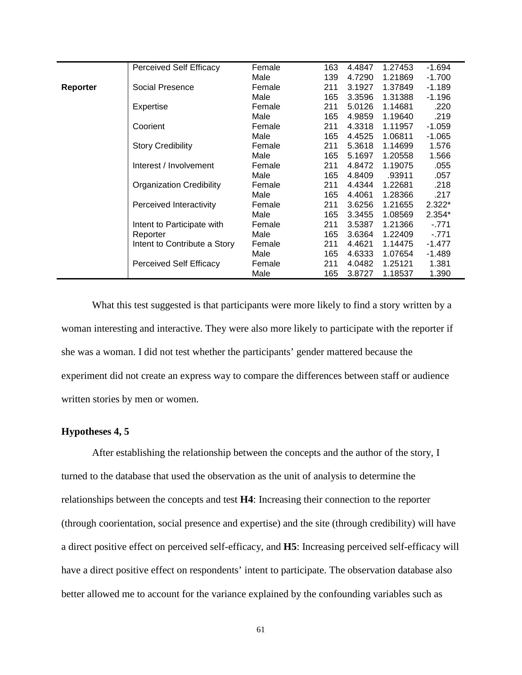|          | Perceived Self Efficacy         | Female | 163 | 4.4847 | 1.27453 | $-1.694$ |
|----------|---------------------------------|--------|-----|--------|---------|----------|
|          |                                 | Male   | 139 | 4.7290 | 1.21869 | $-1.700$ |
| Reporter | Social Presence                 | Female | 211 | 3.1927 | 1.37849 | $-1.189$ |
|          |                                 | Male   | 165 | 3.3596 | 1.31388 | $-1.196$ |
|          | Expertise                       | Female | 211 | 5.0126 | 1.14681 | .220     |
|          |                                 | Male   | 165 | 4.9859 | 1.19640 | .219     |
|          | Coorient                        | Female | 211 | 4.3318 | 1.11957 | $-1.059$ |
|          |                                 | Male   | 165 | 4.4525 | 1.06811 | $-1.065$ |
|          | <b>Story Credibility</b>        | Female | 211 | 5.3618 | 1.14699 | 1.576    |
|          |                                 | Male   | 165 | 5.1697 | 1.20558 | 1.566    |
|          | Interest / Involvement          | Female | 211 | 4.8472 | 1.19075 | .055     |
|          |                                 | Male   | 165 | 4.8409 | .93911  | .057     |
|          | <b>Organization Credibility</b> | Female | 211 | 4.4344 | 1.22681 | .218     |
|          |                                 | Male   | 165 | 4.4061 | 1.28366 | .217     |
|          | Perceived Interactivity         | Female | 211 | 3.6256 | 1.21655 | $2.322*$ |
|          |                                 | Male   | 165 | 3.3455 | 1.08569 | 2.354*   |
|          | Intent to Participate with      | Female | 211 | 3.5387 | 1.21366 | $-771$   |
|          | Reporter                        | Male   | 165 | 3.6364 | 1.22409 | $-771$   |
|          | Intent to Contribute a Story    | Female | 211 | 4.4621 | 1.14475 | $-1.477$ |
|          |                                 | Male   | 165 | 4.6333 | 1.07654 | $-1.489$ |
|          | <b>Perceived Self Efficacy</b>  | Female | 211 | 4.0482 | 1.25121 | 1.381    |
|          |                                 | Male   | 165 | 3.8727 | 1.18537 | 1.390    |

What this test suggested is that participants were more likely to find a story written by a woman interesting and interactive. They were also more likely to participate with the reporter if she was a woman. I did not test whether the participants' gender mattered because the experiment did not create an express way to compare the differences between staff or audience written stories by men or women.

## **Hypotheses 4, 5**

After establishing the relationship between the concepts and the author of the story, I turned to the database that used the observation as the unit of analysis to determine the relationships between the concepts and test **H4**: Increasing their connection to the reporter (through coorientation, social presence and expertise) and the site (through credibility) will have a direct positive effect on perceived self-efficacy, and **H5**: Increasing perceived self-efficacy will have a direct positive effect on respondents' intent to participate. The observation database also better allowed me to account for the variance explained by the confounding variables such as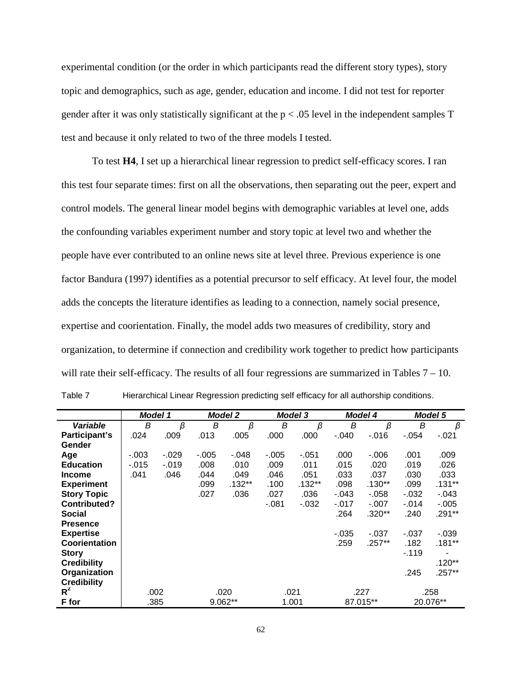experimental condition (or the order in which participants read the different story types), story topic and demographics, such as age, gender, education and income. I did not test for reporter gender after it was only statistically significant at the  $p < .05$  level in the independent samples T test and because it only related to two of the three models I tested.

To test **H4**, I set up a hierarchical linear regression to predict self-efficacy scores. I ran this test four separate times: first on all the observations, then separating out the peer, expert and control models. The general linear model begins with demographic variables at level one, adds the confounding variables experiment number and story topic at level two and whether the people have ever contributed to an online news site at level three. Previous experience is one factor Bandura (1997) identifies as a potential precursor to self efficacy. At level four, the model adds the concepts the literature identifies as leading to a connection, namely social presence, expertise and coorientation. Finally, the model adds two measures of credibility, story and organization, to determine if connection and credibility work together to predict how participants will rate their self-efficacy. The results of all four regressions are summarized in Tables  $7 - 10$ . Table 7 Hierarchical Linear Regression predicting self efficacy for all authorship conditions.

|                      | <b>Model 1</b> |                 | <b>Model 2</b> |          | <b>Model 3</b> |          | Model 4  |          | <b>Model 5</b> |          |
|----------------------|----------------|-----------------|----------------|----------|----------------|----------|----------|----------|----------------|----------|
| <b>Variable</b>      | В              | β               | В              | β        | В              | β        | В        | β        | В              | β        |
| Participant's        | .024           | .009            | .013           | .005     | .000           | .000     | $-.040$  | $-0.016$ | $-0.054$       | $-0.021$ |
| Gender               |                |                 |                |          |                |          |          |          |                |          |
| Age                  | $-.003$        | $-0.029$        | $-.005$        | $-.048$  | $-.005$        | $-.051$  | .000     | $-0.06$  | .001           | .009     |
| <b>Education</b>     | $-0.015$       | $-0.019$        | .008           | .010     | .009           | .011     | .015     | .020     | .019           | .026     |
| <b>Income</b>        | .041           | .046            | .044           | .049     | .046           | .051     | .033     | .037     | .030           | .033     |
| <b>Experiment</b>    |                |                 | .099           | $.132**$ | .100           | $.132**$ | .098     | $.130**$ | .099           | $.131**$ |
| <b>Story Topic</b>   |                |                 | .027           | .036     | .027           | .036     | $-.043$  | $-0.058$ | $-0.032$       | $-0.043$ |
| Contributed?         |                |                 |                |          | $-.081$        | $-0.032$ | $-.017$  | $-.007$  | $-.014$        | $-.005$  |
| <b>Social</b>        |                |                 |                |          |                |          | .264     | $.320**$ | .240           | .291**   |
| Presence             |                |                 |                |          |                |          |          |          |                |          |
| <b>Expertise</b>     |                |                 |                |          |                |          | $-0.035$ | -.037    | $-.037$        | $-0.039$ |
| <b>Coorientation</b> |                |                 |                |          |                |          | .259     | $.257**$ | .182           | .181**   |
| <b>Story</b>         |                |                 |                |          |                |          |          |          | $-119$         |          |
| <b>Credibility</b>   |                |                 |                |          |                |          |          |          |                | $.120**$ |
| Organization         |                |                 |                |          |                |          |          |          | .245           | $.257**$ |
| <b>Credibility</b>   |                |                 |                |          |                |          |          |          |                |          |
| $R^2$                | .002           |                 | .020           |          | .021           |          |          | .227     |                | .258     |
| F for                |                | 9.062**<br>.385 |                | 1.001    |                | 87.015** |          | 20.076** |                |          |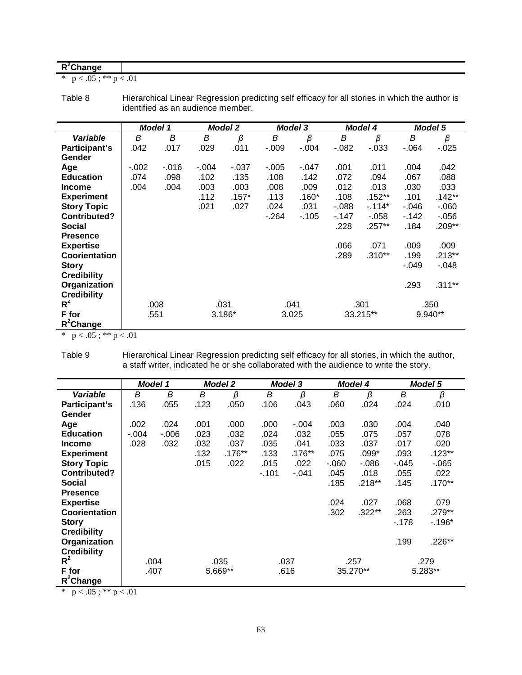# **R2 Change**

\*  $p < .05$ ; \*\*  $p < .01$ 

| Table 8 | Hierarchical Linear Regression predicting self efficacy for all stories in which the author is |
|---------|------------------------------------------------------------------------------------------------|
|         | identified as an audience member.                                                              |

|                     |         | <b>Model 1</b> |         | <b>Model 2</b> |         | <b>Model 3</b> |          | <b>Model 4</b> |        | <b>Model 5</b> |
|---------------------|---------|----------------|---------|----------------|---------|----------------|----------|----------------|--------|----------------|
| <b>Variable</b>     | B       | B              | В       | β              | B       | β              | В        | β              | B      | β              |
| Participant's       | .042    | .017           | .029    | .011           | $-.009$ | $-.004$        | $-082$   | $-0.33$        | $-064$ | $-0.025$       |
| Gender              |         |                |         |                |         |                |          |                |        |                |
| Age                 | $-.002$ | $-0.016$       | $-.004$ | $-0.037$       | $-.005$ | $-.047$        | .001     | .011           | .004   | .042           |
| <b>Education</b>    | .074    | .098           | .102    | .135           | .108    | .142           | .072     | .094           | .067   | .088           |
| <b>Income</b>       | .004    | .004           | .003    | .003           | .008    | .009           | .012     | .013           | .030   | .033           |
| <b>Experiment</b>   |         |                | .112    | $.157*$        | .113    | $.160*$        | .108     | $.152**$       | .101   | $.142**$       |
| <b>Story Topic</b>  |         |                | .021    | .027           | .024    | .031           | $-0.088$ | $-114*$        | -.046  | $-060$         |
| <b>Contributed?</b> |         |                |         |                | $-.264$ | $-105$         | $-147$   | $-058$         | $-142$ | $-0.056$       |
| <b>Social</b>       |         |                |         |                |         |                | .228     | $.257**$       | .184   | .209**         |
| <b>Presence</b>     |         |                |         |                |         |                |          |                |        |                |
| <b>Expertise</b>    |         |                |         |                |         |                | .066     | .071           | .009   | .009           |
| Coorientation       |         |                |         |                |         |                | .289     | $.310**$       | .199   | $.213**$       |
| <b>Story</b>        |         |                |         |                |         |                |          |                | -.049  | $-0.048$       |
| <b>Credibility</b>  |         |                |         |                |         |                |          |                |        |                |
| Organization        |         |                |         |                |         |                |          |                | .293   | .311**         |
| <b>Credibility</b>  |         |                |         |                |         |                |          |                |        |                |
| $R^2$               |         | .008           |         | .031           |         | .041           |          | .301           |        | .350           |
| F for               |         | .551           |         | $3.186*$       |         | 3.025          |          | 33.215**       |        | 9.940**        |
| $R^2$ Change        |         |                |         |                |         |                |          |                |        |                |

\*  $p < .05$ ; \*\*  $p < .01$ 

Table 9 Hierarchical Linear Regression predicting self efficacy for all stories, in which the author, a staff writer, indicated he or she collaborated with the audience to write the story.

|                     |         | <b>Model 1</b> |      | <b>Model 2</b> |         | <b>Model 3</b> |        | <b>Model 4</b> |          | <b>Model 5</b> |
|---------------------|---------|----------------|------|----------------|---------|----------------|--------|----------------|----------|----------------|
| Variable            | B       | B              | B    | $\beta$        | B       | $\beta$        | B      | β              | B        | β              |
| Participant's       | .136    | .055           | .123 | .050           | .106    | .043           | .060   | .024           | .024     | .010           |
| <b>Gender</b>       |         |                |      |                |         |                |        |                |          |                |
| Age                 | .002    | .024           | .001 | .000           | .000    | $-.004$        | .003   | .030           | .004     | .040           |
| <b>Education</b>    | $-.004$ | $-0.06$        | .023 | .032           | .024    | .032           | .055   | .075           | .057     | .078           |
| <b>Income</b>       | .028    | .032           | .032 | .037           | .035    | .041           | .033   | .037           | .017     | .020           |
| <b>Experiment</b>   |         |                | .132 | $.176**$       | .133    | $.176**$       | .075   | $.099*$        | .093     | $.123**$       |
| <b>Story Topic</b>  |         |                | .015 | .022           | .015    | .022           | $-060$ | $-0.086$       | $-0.045$ | $-065$         |
| <b>Contributed?</b> |         |                |      |                | $-.101$ | $-0.041$       | .045   | .018           | .055     | .022           |
| <b>Social</b>       |         |                |      |                |         |                | .185   | .218**         | .145     | $.170**$       |
| <b>Presence</b>     |         |                |      |                |         |                |        |                |          |                |
| <b>Expertise</b>    |         |                |      |                |         |                | .024   | .027           | .068     | .079           |
| Coorientation       |         |                |      |                |         |                | .302   | $.322**$       | .263     | .279**         |
| <b>Story</b>        |         |                |      |                |         |                |        |                | $-178$   | $-.196*$       |
| <b>Credibility</b>  |         |                |      |                |         |                |        |                |          |                |
| Organization        |         |                |      |                |         |                |        |                | .199     | .226**         |
| <b>Credibility</b>  |         |                |      |                |         |                |        |                |          |                |
| $R^2$               |         | .004           |      | .035           |         | .037           |        | .257           |          | .279           |
| F for               |         | .407           |      | 5.669**        |         | .616           |        | 35.270**       |          | 5.283**        |
| $R^2$ Change        |         |                |      |                |         |                |        |                |          |                |

\*  $p < .05$ ; \*\*  $p < .01$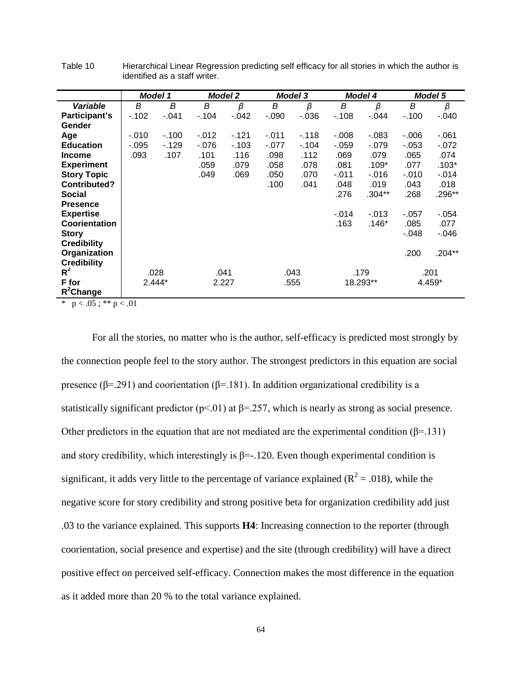|                      |         | <b>Model 1</b> |          | <b>Model 2</b> |          | <b>Model 3</b> |          | <b>Model 4</b> |          | <b>Model 5</b> |
|----------------------|---------|----------------|----------|----------------|----------|----------------|----------|----------------|----------|----------------|
| <b>Variable</b>      | B       | B              | В        | β              | В        | β              | В        | β              | В        | β              |
| Participant's        | $-102$  | $-041$         | $-104$   | $-0.042$       | $-0.090$ | $-0.036$       | $-108$   | $-0.044$       | $-.100$  | $-0.040$       |
| Gender               |         |                |          |                |          |                |          |                |          |                |
| Age                  | $-.010$ | $-.100$        | $-0.012$ | $-121$         | $-.011$  | $-118$         | $-0.008$ | $-083$         | $-0.06$  | $-.061$        |
| <b>Education</b>     | $-0.95$ | $-129$         | $-.076$  | $-103$         | $-.077$  | $-104$         | $-0.059$ | $-.079$        | $-0.053$ | $-.072$        |
| <b>Income</b>        | .093    | .107           | .101     | .116           | .098     | .112           | .069     | .079           | .065     | .074           |
| <b>Experiment</b>    |         |                | .059     | .079           | .058     | .078           | .081     | $.109*$        | .077     | $.103*$        |
| <b>Story Topic</b>   |         |                | .049     | .069           | .050     | .070           | $-.011$  | $-0.016$       | $-.010$  | $-0.014$       |
| Contributed?         |         |                |          |                | .100     | .041           | .048     | .019           | .043     | .018           |
| <b>Social</b>        |         |                |          |                |          |                | .276     | $.304**$       | .268     | .296**         |
| <b>Presence</b>      |         |                |          |                |          |                |          |                |          |                |
| <b>Expertise</b>     |         |                |          |                |          |                | $-.014$  | $-0.013$       | $-.057$  | -.054          |
| <b>Coorientation</b> |         |                |          |                |          |                | .163     | .146*          | .085     | .077           |
| <b>Story</b>         |         |                |          |                |          |                |          |                | $-.048$  | $-.046$        |
| <b>Credibility</b>   |         |                |          |                |          |                |          |                |          |                |
| Organization         |         |                |          |                |          |                |          |                | .200     | .204**         |
| <b>Credibility</b>   |         |                |          |                |          |                |          |                |          |                |
| $R^2$                |         | .028           | .041     |                |          | .043           |          | .179           |          | .201           |
| <b>F</b> for         |         | 2.444*         | 2.227    |                |          | .555           |          | 18.293**       |          | 4.459*         |
| $R^2$ Change         |         |                |          |                |          |                |          |                |          |                |

Table 10 Hierarchical Linear Regression predicting self efficacy for all stories in which the author is identified as a staff writer.

For all the stories, no matter who is the author, self-efficacy is predicted most strongly by the connection people feel to the story author. The strongest predictors in this equation are social presence ( $\beta$ =.291) and coorientation ( $\beta$ =.181). In addition organizational credibility is a statistically significant predictor ( $p<01$ ) at  $\beta$ =.257, which is nearly as strong as social presence. Other predictors in the equation that are not mediated are the experimental condition  $(\beta = 131)$ and story credibility, which interestingly is  $\beta$ =-.120. Even though experimental condition is significant, it adds very little to the percentage of variance explained ( $R^2 = .018$ ), while the negative score for story credibility and strong positive beta for organization credibility add just .03 to the variance explained. This supports **H4**: Increasing connection to the reporter (through coorientation, social presence and expertise) and the site (through credibility) will have a direct positive effect on perceived self-efficacy. Connection makes the most difference in the equation as it added more than 20 % to the total variance explained.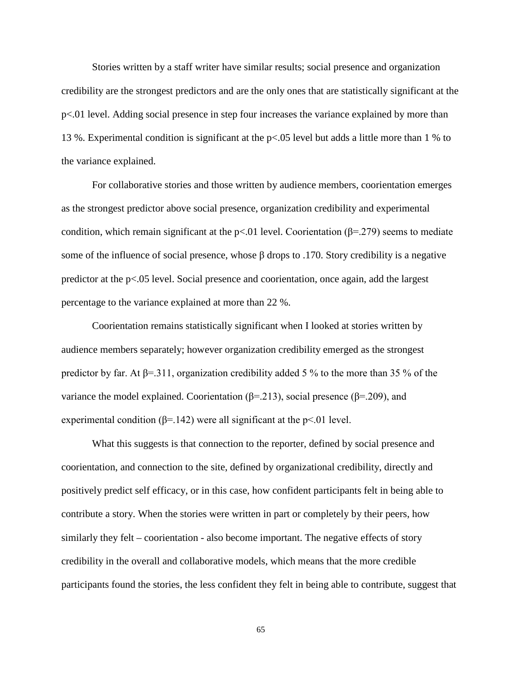Stories written by a staff writer have similar results; social presence and organization credibility are the strongest predictors and are the only ones that are statistically significant at the p<.01 level. Adding social presence in step four increases the variance explained by more than 13 %. Experimental condition is significant at the p<.05 level but adds a little more than 1 % to the variance explained.

For collaborative stories and those written by audience members, coorientation emerges as the strongest predictor above social presence, organization credibility and experimental condition, which remain significant at the p<.01 level. Coorientation ( $\beta$ =.279) seems to mediate some of the influence of social presence, whose  $\beta$  drops to .170. Story credibility is a negative predictor at the p<.05 level. Social presence and coorientation, once again, add the largest percentage to the variance explained at more than 22 %.

Coorientation remains statistically significant when I looked at stories written by audience members separately; however organization credibility emerged as the strongest predictor by far. At  $\beta$ =.311, organization credibility added 5 % to the more than 35 % of the variance the model explained. Coorientation (β=.213), social presence (β=.209), and experimental condition ( $\beta$ =.142) were all significant at the p<.01 level.

What this suggests is that connection to the reporter, defined by social presence and coorientation, and connection to the site, defined by organizational credibility, directly and positively predict self efficacy, or in this case, how confident participants felt in being able to contribute a story. When the stories were written in part or completely by their peers, how similarly they felt – coorientation - also become important. The negative effects of story credibility in the overall and collaborative models, which means that the more credible participants found the stories, the less confident they felt in being able to contribute, suggest that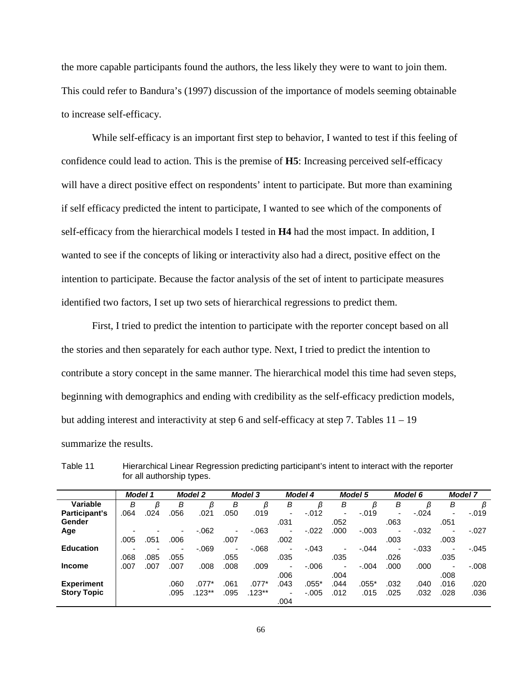the more capable participants found the authors, the less likely they were to want to join them. This could refer to Bandura's (1997) discussion of the importance of models seeming obtainable to increase self-efficacy.

While self-efficacy is an important first step to behavior, I wanted to test if this feeling of confidence could lead to action. This is the premise of **H5**: Increasing perceived self-efficacy will have a direct positive effect on respondents' intent to participate. But more than examining if self efficacy predicted the intent to participate, I wanted to see which of the components of self-efficacy from the hierarchical models I tested in **H4** had the most impact. In addition, I wanted to see if the concepts of liking or interactivity also had a direct, positive effect on the intention to participate. Because the factor analysis of the set of intent to participate measures identified two factors, I set up two sets of hierarchical regressions to predict them.

First, I tried to predict the intention to participate with the reporter concept based on all the stories and then separately for each author type. Next, I tried to predict the intention to contribute a story concept in the same manner. The hierarchical model this time had seven steps, beginning with demographics and ending with credibility as the self-efficacy prediction models, but adding interest and interactivity at step 6 and self-efficacy at step 7. Tables 11 – 19 summarize the results.

|                    | <b>Model 1</b> |      |                          | <b>Model 2</b> |      | <b>Model 3</b> |                          | <b>Model 4</b> |                          | <b>Model 5</b> |      | Model 6  |        | <b>Model 7</b> |
|--------------------|----------------|------|--------------------------|----------------|------|----------------|--------------------------|----------------|--------------------------|----------------|------|----------|--------|----------------|
| Variable           | B              | β    | в                        | β              | В    | β              | В                        |                | В                        | β              | В    | β        | В      | β              |
| Participant's      | .064           | .024 | .056                     | .021           | .050 | .019           | $\overline{\phantom{0}}$ | $-.012$        | $\overline{\phantom{a}}$ | $-.019$        | ٠    | $-.024$  | ۰      | $-.019$        |
| Gender             |                |      |                          |                |      |                | .031                     |                | .052                     |                | .063 |          | .051   |                |
| Age                |                |      | ٠                        | $-062$         | ٠    | $-.063$        | ۰                        | $-.022$        | .000                     | $-.003$        | ٠    | $-0.032$ | ۰      | $-.027$        |
|                    | .005           | .051 | .006                     |                | .007 |                | .002                     |                |                          |                | .003 |          | .003   |                |
| <b>Education</b>   |                |      | $\overline{\phantom{0}}$ | $-069$         | ٠    | $-068$         | $\overline{\phantom{0}}$ | $-.043$        | $\overline{\phantom{a}}$ | $-.044$        | ۰    | $-.033$  | ٠      | $-.045$        |
|                    | .068           | .085 | .055                     |                | .055 |                | .035                     |                | .035                     |                | .026 |          | .035   |                |
| <b>Income</b>      | .007           | .007 | .007                     | .008           | .008 | .009           | ٠                        | $-0.006$       | $\overline{\phantom{a}}$ | $-.004$        | .000 | .000     | $\sim$ | $-0.08$        |
|                    |                |      |                          |                |      |                | .006                     |                | .004                     |                |      |          | .008   |                |
| <b>Experiment</b>  |                |      | .060                     | $.077*$        | .061 | $.077*$        | .043                     | $.055*$        | .044                     | $.055*$        | .032 | .040     | .016   | .020           |
| <b>Story Topic</b> |                |      | .095                     | .123**         | .095 | .123**         | ۰                        | $-.005$        | .012                     | .015           | .025 | .032     | .028   | .036           |
|                    |                |      |                          |                |      |                | .004                     |                |                          |                |      |          |        |                |

Table 11 Hierarchical Linear Regression predicting participant's intent to interact with the reporter for all authorship types.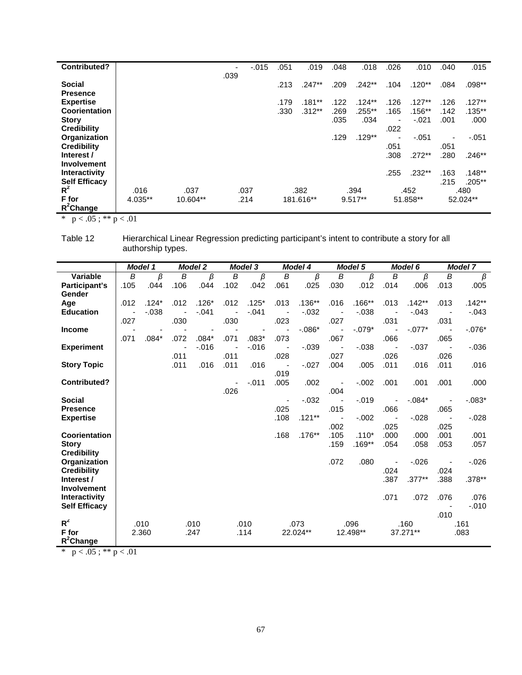| <b>Contributed?</b>                |         |          | $\overline{\phantom{a}}$ | $-.015$ | .051 | .019      | .048 | .018      | .026                             | .010     | .040 | .015      |
|------------------------------------|---------|----------|--------------------------|---------|------|-----------|------|-----------|----------------------------------|----------|------|-----------|
| <b>Social</b>                      |         |          | .039                     |         | .213 | $.247**$  | .209 | $.242**$  | .104                             | $.120**$ | .084 | $.098**$  |
| <b>Presence</b>                    |         |          |                          |         |      |           |      |           |                                  |          |      |           |
| <b>Expertise</b>                   |         |          |                          |         | .179 | $.181**$  | .122 | $.124***$ | .126                             | $.127**$ | .126 | $.127***$ |
| Coorientation                      |         |          |                          |         | .330 | $.312***$ | .269 | $.255***$ | .165                             | .156**   | .142 | $.135***$ |
| <b>Story</b><br><b>Credibility</b> |         |          |                          |         |      |           | .035 | .034      | $\overline{\phantom{a}}$<br>.022 | $-.021$  | .001 | .000      |
| Organization                       |         |          |                          |         |      |           | .129 | $.129**$  |                                  | $-.051$  | ٠    | $-.051$   |
| <b>Credibility</b>                 |         |          |                          |         |      |           |      |           | .051                             |          | .051 |           |
| Interest /<br><b>Involvement</b>   |         |          |                          |         |      |           |      |           | .308                             | $.272**$ | .280 | $.246**$  |
| Interactivity                      |         |          |                          |         |      |           |      |           | .255                             | $.232**$ | .163 | $.148**$  |
| <b>Self Efficacy</b>               |         |          |                          |         |      |           |      |           |                                  |          | .215 | $.205***$ |
| $R^2$                              | .016    | .037     |                          | .037    |      | .382      |      | .394      |                                  | .452     |      | .480      |
| F for<br>$R^2$ Change              | 4.035** | 10.604** |                          | .214    |      | 181.616** |      | $9.517**$ |                                  | 51.858** |      | 52.024**  |

Table 12 Hierarchical Linear Regression predicting participant's intent to contribute a story for all authorship types.

|                                    |      | <b>Model 1</b> |      | <b>Model 2</b> |      | <b>Model 3</b> |                          | <b>Model 4</b> |                              | <b>Model 5</b> |                          | <b>Model 6</b> |                          | <b>Model 7</b> |
|------------------------------------|------|----------------|------|----------------|------|----------------|--------------------------|----------------|------------------------------|----------------|--------------------------|----------------|--------------------------|----------------|
| Variable                           | B    | $\beta$        | B    | $\beta$        | B    | $\beta$        | B                        | $\beta$        | B                            | $\beta$        | B                        | $\beta$        | B                        | $\beta$        |
| <b>Participant's</b>               | .105 | .044           | .106 | .044           | .102 | .042           | .061                     | .025           | .030                         | .012           | .014                     | .006           | .013                     | .005           |
| <b>Gender</b>                      |      |                |      |                |      |                |                          |                |                              |                |                          |                |                          |                |
| Age                                | .012 | $.124*$        | .012 | $.126*$        | .012 | $.125*$        | .013                     | $.136***$      | .016                         | $.166**$       | .013                     | $.142***$      | .013                     | $.142**$       |
| <b>Education</b>                   | ÷,   | $-0.038$       |      | $-.041$        |      | $-0.041$       | $\overline{\phantom{a}}$ | $-.032$        | ä,                           | $-0.038$       | $\blacksquare$           | $-.043$        | $\overline{\phantom{a}}$ | $-.043$        |
|                                    | .027 |                | .030 |                | .030 |                | .023                     |                | .027                         |                | .031                     |                | .031                     |                |
| <b>Income</b>                      |      |                |      |                |      |                |                          | $-.086*$       | $\qquad \qquad \blacksquare$ | $-.079*$       | $\blacksquare$           | $-0.077*$      | $\overline{\phantom{a}}$ | $-0.076*$      |
|                                    | .071 | $.084*$        | .072 | $.084*$        | .071 | $.083*$        | .073                     |                | .067                         |                | .066                     |                | .065                     |                |
| <b>Experiment</b>                  |      |                | ä,   | $-0.016$       | ÷,   | $-0.016$       | $\overline{\phantom{a}}$ | $-0.039$       | $\overline{\phantom{a}}$     | $-0.038$       | $\overline{\phantom{a}}$ | $-0.037$       | $\overline{\phantom{a}}$ | $-0.036$       |
|                                    |      |                | .011 |                | .011 |                | .028                     |                | .027                         |                | .026                     |                | .026                     |                |
| <b>Story Topic</b>                 |      |                | .011 | .016           | .011 | .016           | $\overline{\phantom{a}}$ | $-.027$        | .004                         | .005           | .011                     | .016           | .011                     | .016           |
|                                    |      |                |      |                |      |                | .019                     |                |                              |                |                          |                |                          |                |
| <b>Contributed?</b>                |      |                |      |                |      | $-0.011$       | .005                     | .002           | $\overline{\phantom{0}}$     | $-0.002$       | .001                     | .001           | .001                     | .000           |
|                                    |      |                |      |                | .026 |                |                          |                | .004                         |                |                          |                |                          |                |
| <b>Social</b>                      |      |                |      |                |      |                |                          | $-0.032$       |                              | $-0.19$        |                          | $-.084*$       |                          | $-0.083*$      |
| <b>Presence</b>                    |      |                |      |                |      |                | .025                     |                | .015                         |                | .066                     |                | .065                     |                |
| <b>Expertise</b>                   |      |                |      |                |      |                | .108                     | $.121***$      |                              | $-.002$        |                          | $-0.028$       | $\overline{\phantom{a}}$ | $-0.028$       |
|                                    |      |                |      |                |      |                |                          | $.176**$       | .002<br>.105                 | $.110*$        | .025<br>.000             |                | .025<br>.001             |                |
| <b>Coorientation</b>               |      |                |      |                |      |                | .168                     |                | .159                         | $.169**$       | .054                     | .000<br>.058   | .053                     | .001<br>.057   |
| <b>Story</b><br><b>Credibility</b> |      |                |      |                |      |                |                          |                |                              |                |                          |                |                          |                |
| Organization                       |      |                |      |                |      |                |                          |                | .072                         | .080           |                          | $-0.026$       |                          | $-0.026$       |
| <b>Credibility</b>                 |      |                |      |                |      |                |                          |                |                              |                | .024                     |                | .024                     |                |
| Interest /                         |      |                |      |                |      |                |                          |                |                              |                | .387                     | $.377***$      | .388                     | .378**         |
| <b>Involvement</b>                 |      |                |      |                |      |                |                          |                |                              |                |                          |                |                          |                |
| <b>Interactivity</b>               |      |                |      |                |      |                |                          |                |                              |                | .071                     | .072           | .076                     | .076           |
| <b>Self Efficacy</b>               |      |                |      |                |      |                |                          |                |                              |                |                          |                |                          | $-.010$        |
|                                    |      |                |      |                |      |                |                          |                |                              |                |                          |                | .010                     |                |
| $R^2$                              |      | .010           |      | .010           |      | .010           |                          | .073           |                              | .096           |                          | .160           |                          | .161           |
| F for                              |      | 2.360          |      | .247           |      | .114           |                          | 22.024**       |                              | 12.498**       |                          | 37.271**       |                          | .083           |
| R <sup>2</sup> Change              |      |                |      |                |      |                |                          |                |                              |                |                          |                |                          |                |

\*  $p < .05$ ; \*\*  $p < .01$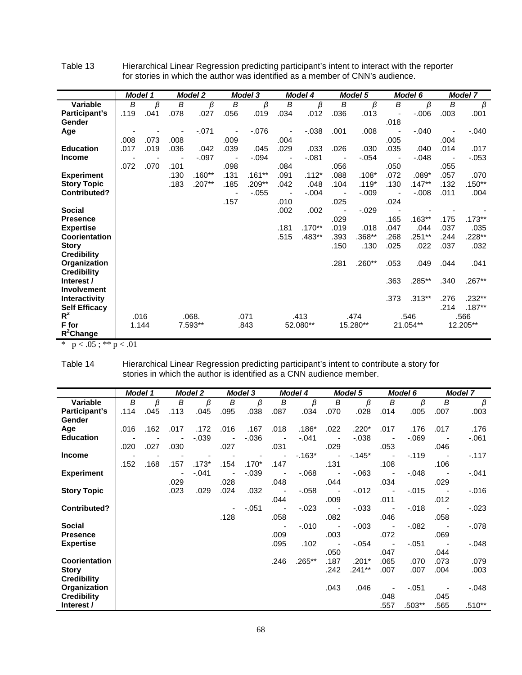|                       | <b>Model 1</b> |         |         | <b>Model 2</b> |                  | <b>Model 3</b> |                          | Model 4  |                          | <b>Model 5</b> |      | Model 6  |      | <b>Model 7</b> |
|-----------------------|----------------|---------|---------|----------------|------------------|----------------|--------------------------|----------|--------------------------|----------------|------|----------|------|----------------|
| Variable              | B              | $\beta$ | B       | $\beta$        | $\boldsymbol{B}$ | β              | B                        | $\beta$  | B                        | $\beta$        | B    | β        | B    | $\beta$        |
| Participant's         | .119           | .041    | .078    | .027           | .056             | .019           | .034                     | .012     | .036                     | .013           |      | $-0.006$ | .003 | .001           |
| Gender                |                |         |         |                |                  |                |                          |          |                          |                | .018 |          |      |                |
| Age                   |                |         |         | $-071$         |                  | $-0.076$       |                          | $-0.038$ | .001                     | .008           |      | $-.040$  |      | $-.040$        |
|                       | .008           | .073    | .008    |                | .009             |                | .004                     |          |                          |                | .005 |          | .004 |                |
| <b>Education</b>      | .017           | .019    | .036    | .042           | .039             | .045           | .029                     | .033     | .026                     | .030           | .035 | .040     | .014 | .017           |
| <b>Income</b>         | ٠              |         |         | $-0.097$       |                  | $-.094$        |                          | $-081$   | $\overline{\phantom{a}}$ | $-0.054$       |      | $-0.048$ |      | $-0.053$       |
|                       | .072           | .070    | .101    |                | .098             |                | .084                     |          | .056                     |                | .050 |          | .055 |                |
| <b>Experiment</b>     |                |         | .130    | $.160**$       | .131             | $.161**$       | .091                     | $.112*$  | .088                     | $.108*$        | .072 | $.089*$  | .057 | .070           |
| <b>Story Topic</b>    |                |         | .183    | .207**         | .185             | .209**         | .042                     | .048     | .104                     | $.119*$        | .130 | .147**   | .132 | $.150**$       |
| <b>Contributed?</b>   |                |         |         |                | ٠                | $-0.055$       | $\overline{\phantom{a}}$ | $-.004$  | $\blacksquare$           | $-0.09$        | ÷,   | $-0.008$ | .011 | .004           |
|                       |                |         |         |                | .157             |                | .010                     |          | .025                     |                | .024 |          |      |                |
| <b>Social</b>         |                |         |         |                |                  |                | .002                     | .002     |                          | $-0.029$       |      |          |      |                |
| <b>Presence</b>       |                |         |         |                |                  |                |                          |          | .029                     |                | .165 | $.163**$ | .175 | $.173**$       |
| <b>Expertise</b>      |                |         |         |                |                  |                | .181                     | $.170**$ | .019                     | .018           | .047 | .044     | .037 | .035           |
| Coorientation         |                |         |         |                |                  |                | .515                     | .483**   | .393                     | $.368**$       | .268 | $.251**$ | .244 | $.228**$       |
| <b>Story</b>          |                |         |         |                |                  |                |                          |          | .150                     | .130           | .025 | .022     | .037 | .032           |
| <b>Credibility</b>    |                |         |         |                |                  |                |                          |          |                          |                |      |          |      |                |
| Organization          |                |         |         |                |                  |                |                          |          | .281                     | $.260**$       | .053 | .049     | .044 | .041           |
| <b>Credibility</b>    |                |         |         |                |                  |                |                          |          |                          |                |      |          |      |                |
| Interest /            |                |         |         |                |                  |                |                          |          |                          |                | .363 | .285**   | .340 | .267**         |
| <b>Involvement</b>    |                |         |         |                |                  |                |                          |          |                          |                |      |          |      |                |
| <b>Interactivity</b>  |                |         |         |                |                  |                |                          |          |                          |                | .373 | $.313**$ | .276 | .232**         |
| <b>Self Efficacy</b>  |                |         |         |                |                  |                |                          |          |                          |                |      |          | .214 | $.187**$       |
| $R^2$                 |                | .016    |         | .068.          |                  | .071           |                          | .413     |                          | .474           |      | .546     |      | .566           |
| F for                 |                | 1.144   | 7.593** |                |                  | .843           |                          | 52.080** |                          | 15.280**       |      | 21.054** |      | 12.205**       |
| R <sup>2</sup> Change |                |         |         |                |                  |                |                          |          |                          |                |      |          |      |                |

Table 13 Hierarchical Linear Regression predicting participant's intent to interact with the reporter for stories in which the author was identified as a member of CNN's audience.

\*  $p < .05$ ; \*\*  $p < .01$ 

Table 14 Hierarchical Linear Regression predicting participant's intent to contribute a story for stories in which the author is identified as a CNN audience member.

|                      |      | <b>Model 1</b> |      | <b>Model 2</b> |      | <b>Model 3</b> |                          | Model 4  |                          | <b>Model 5</b> |                          | Model 6  |                          | <b>Model 7</b> |
|----------------------|------|----------------|------|----------------|------|----------------|--------------------------|----------|--------------------------|----------------|--------------------------|----------|--------------------------|----------------|
| Variable             | В    | β              | В    | β              | В    | β              | B                        | β        | В                        | β              | В                        | β        | B                        | $\beta$        |
| Participant's        | .114 | .045           | .113 | .045           | .095 | .038           | .087                     | .034     | .070                     | .028           | .014                     | .005     | .007                     | .003           |
| Gender               |      |                |      |                |      |                |                          |          |                          |                |                          |          |                          |                |
| Age                  | .016 | .162           | .017 | .172           | .016 | .167           | .018                     | $.186*$  | .022                     | $.220*$        | .017                     | .176     | .017                     | .176           |
| <b>Education</b>     |      |                |      | $-0.039$       | -    | $-0.036$       | $\overline{\phantom{a}}$ | $-.041$  | $\overline{\phantom{a}}$ | $-.038$        | $\overline{\phantom{a}}$ | $-069$   |                          | $-.061$        |
|                      | .020 | .027           | .030 |                | .027 |                | .031                     |          | .029                     |                | .053                     |          | .046                     |                |
| <b>Income</b>        |      |                |      | ٠              |      |                | ÷                        | $-163*$  | $\overline{\phantom{a}}$ | $-145*$        | $\overline{\phantom{a}}$ | $-119$   | $\overline{\phantom{a}}$ | $-117$         |
|                      | .152 | .168           | .157 | $.173*$        | .154 | $.170*$        | .147                     |          | .131                     |                | .108                     |          | .106                     |                |
| <b>Experiment</b>    |      |                |      | $-.041$        | -    | $-0.039$       |                          | $-068$   | $\overline{\phantom{a}}$ | $-063$         | $\overline{\phantom{a}}$ | $-.048$  | $\overline{\phantom{a}}$ | $-.041$        |
|                      |      |                | .029 |                | .028 |                | .048                     |          | .044                     |                | .034                     |          | .029                     |                |
| <b>Story Topic</b>   |      |                | .023 | .029           | .024 | .032           |                          | $-0.058$ | $\overline{\phantom{a}}$ | $-0.012$       | $\overline{\phantom{a}}$ | $-0.015$ | $\overline{\phantom{a}}$ | $-0.016$       |
|                      |      |                |      |                |      |                | .044                     |          | .009                     |                | .011                     |          | .012                     |                |
| Contributed?         |      |                |      |                | -    | $-0.051$       | $\overline{\phantom{a}}$ | $-0.023$ | ٠                        | $-0.033$       |                          | $-0.018$ | $\overline{\phantom{a}}$ | $-023$         |
|                      |      |                |      |                | .128 |                | .058                     |          | .082                     |                | .046                     |          | .058                     |                |
| <b>Social</b>        |      |                |      |                |      |                | $\overline{\phantom{a}}$ | $-0.010$ | $\overline{\phantom{a}}$ | $-.003$        | $\overline{\phantom{a}}$ | $-0.082$ | $\overline{\phantom{a}}$ | $-078$         |
| <b>Presence</b>      |      |                |      |                |      |                | .009                     |          | .003                     |                | .072                     |          | .069                     |                |
| <b>Expertise</b>     |      |                |      |                |      |                | .095                     | .102     | $\overline{\phantom{a}}$ | $-0.054$       | $\overline{\phantom{a}}$ | $-.051$  | $\overline{\phantom{a}}$ | -.048          |
|                      |      |                |      |                |      |                |                          |          | .050                     |                | .047                     |          | .044                     |                |
| <b>Coorientation</b> |      |                |      |                |      |                | .246                     | .265**   | .187                     | $.201*$        | .065                     | .070     | .073                     | .079           |
| <b>Story</b>         |      |                |      |                |      |                |                          |          | .242                     | .241**         | .007                     | .007     | .004                     | .003           |
| <b>Credibility</b>   |      |                |      |                |      |                |                          |          |                          |                |                          |          |                          |                |
| Organization         |      |                |      |                |      |                |                          |          | .043                     | .046           | -                        | $-.051$  |                          | -.048          |
| <b>Credibility</b>   |      |                |      |                |      |                |                          |          |                          |                | .048                     |          | .045                     |                |
| Interest /           |      |                |      |                |      |                |                          |          |                          |                | .557                     | $.503**$ | .565                     | $.510**$       |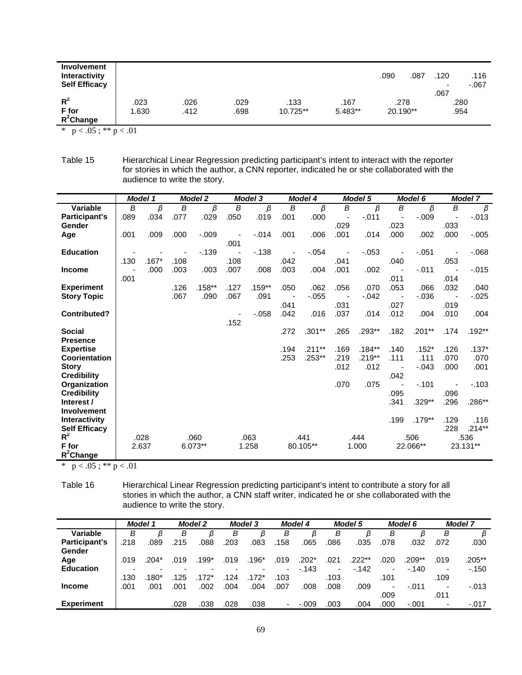| <b>Involvement</b><br><b>Interactivity</b><br><b>Self Efficacy</b> |               |              |              |                  |                 | .090     | .087 | .120<br>$\overline{\phantom{0}}$ | .116<br>$-.067$ |
|--------------------------------------------------------------------|---------------|--------------|--------------|------------------|-----------------|----------|------|----------------------------------|-----------------|
| $R^2$<br>F for<br>$R^2$ Change                                     | .023<br>1.630 | .026<br>.412 | .029<br>.698 | .133<br>10.725** | .167<br>5.483** | 20.190** | .278 | .067                             | .280<br>.954    |

Table 15 Hierarchical Linear Regression predicting participant's intent to interact with the reporter for stories in which the author, a CNN reporter, indicated he or she collaborated with the audience to write the story.

|                      |      | <b>Model 1</b> |      | <b>Model 2</b> |      | <b>Model 3</b> |      | Model 4   |                          | <b>Model 5</b> |                          | <b>Model 6</b> |      | <b>Model 7</b> |
|----------------------|------|----------------|------|----------------|------|----------------|------|-----------|--------------------------|----------------|--------------------------|----------------|------|----------------|
| <b>Variable</b>      | B    | $\beta$        | B    | $\beta$        | B    | $\beta$        | B    | $\beta$   | B                        | $\beta$        | B                        | β              | B    | $\beta$        |
| Participant's        | .089 | .034           | .077 | .029           | .050 | .019           | .001 | .000      | ÷                        | $-0.011$       | $\overline{\phantom{a}}$ | $-.009$        |      | $-.013$        |
| Gender               |      |                |      |                |      |                |      |           | .029                     |                | .023                     |                | .033 |                |
| Age                  | .001 | .009           | .000 | $-0.09$        | .001 | $-0.014$       | .001 | .006      | .001                     | .014           | .000                     | .002           | .000 | $-.005$        |
| <b>Education</b>     |      |                |      | $-139$         |      | $-138$         |      | $-.054$   | $\overline{\phantom{a}}$ | $-0.053$       |                          | $-.051$        |      | $-068$         |
|                      | .130 | $.167*$        | .108 |                | .108 |                | .042 |           | .041                     |                | .040                     |                | .053 |                |
| <b>Income</b>        |      | .000           | .003 | .003           | .007 | .008           | .003 | .004      | .001                     | .002           |                          | $-.011$        |      | $-0.015$       |
|                      | .001 |                |      |                |      |                |      |           |                          |                | .011                     |                | .014 |                |
| <b>Experiment</b>    |      |                | .126 | $.158**$       | .127 | $.159**$       | .050 | .062      | .056                     | .070           | .053                     | .066           | .032 | .040           |
| <b>Story Topic</b>   |      |                | .067 | .090           | .067 | .091           |      | $-0.055$  | ٠                        | $-.042$        |                          | $-0.036$       |      | $-0.025$       |
|                      |      |                |      |                |      |                | .041 |           | .031                     |                | .027                     |                | .019 |                |
| <b>Contributed?</b>  |      |                |      |                |      | $-.058$        | .042 | .016      | .037                     | .014           | .012                     | .004           | .010 | .004           |
|                      |      |                |      |                | .152 |                |      |           |                          |                |                          |                |      |                |
| <b>Social</b>        |      |                |      |                |      |                | .272 | $.301**$  | .265                     | .293**         | .182                     | .201**         | .174 | $.192**$       |
| <b>Presence</b>      |      |                |      |                |      |                |      |           |                          |                |                          |                |      |                |
| <b>Expertise</b>     |      |                |      |                |      |                | .194 | $.211***$ | .169                     | $.184**$       | .140                     | $.152*$        | .126 | $.137*$        |
| Coorientation        |      |                |      |                |      |                | .253 | .253**    | .219                     | $.219**$       | .111                     | .111           | .070 | .070           |
| <b>Story</b>         |      |                |      |                |      |                |      |           | .012                     | .012           |                          | $-.043$        | .000 | .001           |
| <b>Credibility</b>   |      |                |      |                |      |                |      |           |                          |                | .042                     |                |      |                |
| Organization         |      |                |      |                |      |                |      |           | .070                     | .075           |                          | $-.101$        |      | $-103$         |
| <b>Credibility</b>   |      |                |      |                |      |                |      |           |                          |                | .095                     |                | .096 |                |
| Interest /           |      |                |      |                |      |                |      |           |                          |                | .341                     | .329**         | .296 | .286**         |
| <b>Involvement</b>   |      |                |      |                |      |                |      |           |                          |                |                          |                |      |                |
| Interactivity        |      |                |      |                |      |                |      |           |                          |                | .199                     | .179**         | .129 | .116           |
| <b>Self Efficacy</b> |      |                |      |                |      |                |      |           |                          |                |                          |                | .228 | $.214***$      |
| $R^2$                |      | .028           |      | .060           |      | .063           |      | .441      |                          | .444           |                          | .506           |      | .536           |
| F for                |      | 2.637          |      | $6.073**$      |      | 1.258          |      | 80.105**  |                          | 1.000          |                          | 22.066**       |      | 23.131**       |
| $R^2$ Change         |      |                |      |                |      |                |      |           |                          |                |                          |                |      |                |

\*  $p < .05$ ; \*\*  $p < .01$ 

Table 16 Hierarchical Linear Regression predicting participant's intent to contribute a story for all stories in which the author, a CNN staff writer, indicated he or she collaborated with the audience to write the story.

|                   |      | <b>Model 1</b> |      | <b>Model 2</b> |      | <b>Model 3</b> |                          | <b>Model 4</b> |        | <b>Model 5</b> |                          | <b>Model 6</b> |                          | <b>Model 7</b> |
|-------------------|------|----------------|------|----------------|------|----------------|--------------------------|----------------|--------|----------------|--------------------------|----------------|--------------------------|----------------|
| Variable          | В    |                | В    | ß              | В    | ß              | в                        | ß              | В      |                | В                        |                | В                        | β              |
| Participant's     | .218 | .089           | .215 | .088           | .203 | .083           | .158                     | 065            | .086   | .035           | .078                     | .032           | .072                     | .030           |
| Gender            |      |                |      |                |      |                |                          |                |        |                |                          |                |                          |                |
| Age               | .019 | .204*          | .019 | 199*           | .019 | $.196*$        | .019                     | .202*          | .021   | .222**         | .020                     | .209**         | .019                     | $.205***$      |
| <b>Education</b>  |      |                |      |                |      |                | $\overline{\phantom{0}}$ | $-143$         | $\sim$ | $-142$         | ۰                        | $-140$         | ٠                        | $-150$         |
|                   | .130 | $.180*$        | .125 | $.172*$        | 124  | $.172*$        | .103                     |                | .103   |                | .101                     |                | .109                     |                |
| <b>Income</b>     | .001 | .001           | .001 | .002           | .004 | .004           | 007                      | 008            | .008   | .009           | $\overline{\phantom{0}}$ | $-.011$        | ٠                        | $-0.013$       |
|                   |      |                |      |                |      |                |                          |                |        |                | .009                     |                | .011                     |                |
| <b>Experiment</b> |      |                | .028 | 038            | .028 | .038           |                          | $-.009$        | .003   | .004           | .000                     | $-.001$        | $\overline{\phantom{0}}$ | $-.017$        |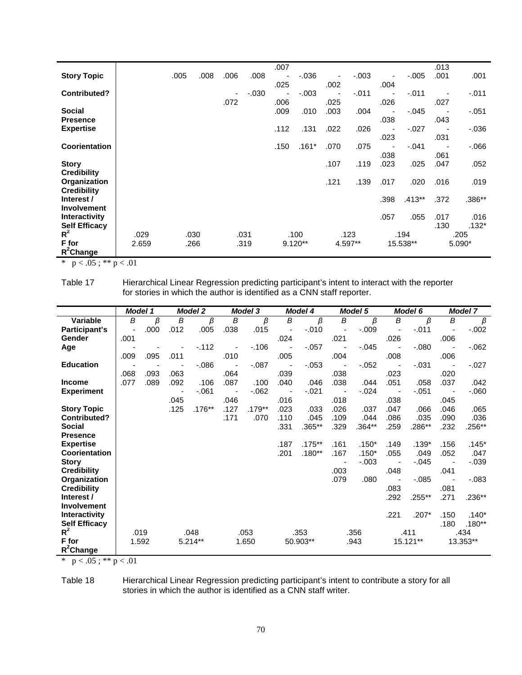|                                              |       |      |      |      |         | .007 |           |                          |         |                          |          | .013         |                 |
|----------------------------------------------|-------|------|------|------|---------|------|-----------|--------------------------|---------|--------------------------|----------|--------------|-----------------|
| <b>Story Topic</b>                           |       | .005 | .008 | .006 | .008    |      | $-0.036$  | $\overline{\phantom{a}}$ | $-.003$ |                          | $-0.005$ | .001         | .001            |
|                                              |       |      |      |      |         | .025 |           | .002                     |         | .004                     |          |              |                 |
| <b>Contributed?</b>                          |       |      |      | ٠    | $-.030$ |      | $-.003$   | $\overline{\phantom{a}}$ | $-.011$ | $\overline{\phantom{a}}$ | $-.011$  | -            | $-.011$         |
|                                              |       |      |      | .072 |         | .006 |           | .025                     |         | .026                     |          | .027         |                 |
| <b>Social</b>                                |       |      |      |      |         | .009 | .010      | .003                     | .004    | ٠                        | $-0.045$ |              | $-.051$         |
| <b>Presence</b>                              |       |      |      |      |         |      |           |                          |         | .038                     |          | .043         |                 |
| <b>Expertise</b>                             |       |      |      |      |         | .112 | .131      | .022                     | .026    | ٠                        | $-.027$  |              | $-0.036$        |
|                                              |       |      |      |      |         |      |           |                          |         | .023                     |          | .031         |                 |
| <b>Coorientation</b>                         |       |      |      |      |         | .150 | $.161*$   | .070                     | .075    | ٠                        | $-.041$  | -            | $-066$          |
|                                              |       |      |      |      |         |      |           |                          |         | .038                     |          | .061         |                 |
| <b>Story</b>                                 |       |      |      |      |         |      |           | .107                     | .119    | .023                     | .025     | .047         | .052            |
| <b>Credibility</b>                           |       |      |      |      |         |      |           |                          |         |                          |          |              |                 |
| Organization                                 |       |      |      |      |         |      |           | .121                     | .139    | .017                     | .020     | .016         | .019            |
| <b>Credibility</b>                           |       |      |      |      |         |      |           |                          |         |                          |          |              |                 |
| Interest /<br><b>Involvement</b>             |       |      |      |      |         |      |           |                          |         | .398                     | $.413**$ | .372         | $.386**$        |
|                                              |       |      |      |      |         |      |           |                          |         |                          |          |              |                 |
| <b>Interactivity</b><br><b>Self Efficacy</b> |       |      |      |      |         |      |           |                          |         | .057                     | .055     | .017<br>.130 | .016<br>$.132*$ |
| $R^2$                                        | .029  | .030 |      |      | .031    |      | .100      |                          | .123    |                          | .194     |              | .205            |
| <b>F</b> for                                 | 2.659 | .266 |      |      | .319    |      | $9.120**$ | 4.597**                  |         | 15.538**                 |          | $5.090*$     |                 |
| $R^2$ Change                                 |       |      |      |      |         |      |           |                          |         |                          |          |              |                 |

Table 17 Hierarchical Linear Regression predicting participant's intent to interact with the reporter for stories in which the author is identified as a CNN staff reporter.

|                       | <b>Model 1</b> |      | <b>Model 2</b>           |          | <b>Model 3</b> |          | Model 4        |           | <b>Model 5</b>           |          | Model 6                  |           | <b>Model 7</b>           |          |
|-----------------------|----------------|------|--------------------------|----------|----------------|----------|----------------|-----------|--------------------------|----------|--------------------------|-----------|--------------------------|----------|
| Variable              | B              | β    | B                        | β        | B              | β        | B              | β         | B                        | β        | B                        | β         | B                        | $\beta$  |
| Participant's         | ÷,             | .000 | .012                     | .005     | .038           | .015     | $\blacksquare$ | $-0.010$  | $\overline{\phantom{a}}$ | $-0.09$  | $\blacksquare$           | $-.011$   | ٠                        | $-0.002$ |
| Gender                | .001           |      |                          |          |                |          | .024           |           | .021                     |          | .026                     |           | .006                     |          |
| Age                   |                |      |                          | $-112$   |                | $-106$   |                | $-.057$   |                          | $-.045$  |                          | $-080$    |                          | $-062$   |
|                       | .009           | .095 | .011                     |          | .010           |          | .005           |           | .004                     |          | .008                     |           | .006                     |          |
| <b>Education</b>      |                |      |                          | $-0.086$ |                | $-0.087$ |                | $-0.053$  |                          | $-0.052$ |                          | $-.031$   | ٠                        | $-027$   |
|                       | .068           | .093 | .063                     |          | .064           |          | .039           |           | .038                     |          | .023                     |           | .020                     |          |
| <b>Income</b>         | .077           | .089 | .092                     | .106     | .087           | .100     | .040           | .046      | .038                     | .044     | .051                     | .058      | .037                     | .042     |
| <b>Experiment</b>     |                |      | $\overline{\phantom{0}}$ | $-061$   |                | $-062$   |                | $-0.021$  | $\blacksquare$           | $-0.024$ |                          | $-.051$   | $\overline{\phantom{a}}$ | $-060$   |
|                       |                |      | .045                     |          | .046           |          | .016           |           | .018                     |          | .038                     |           | .045                     |          |
| <b>Story Topic</b>    |                |      | .125                     | $.176**$ | .127           | $.179**$ | .023           | .033      | .026                     | .037     | .047                     | .066      | .046                     | .065     |
| <b>Contributed?</b>   |                |      |                          |          | .171           | .070     | .110           | .045      | .109                     | .044     | .086                     | .035      | .090                     | .036     |
| <b>Social</b>         |                |      |                          |          |                |          | .331           | .365**    | .329                     | $.364**$ | .259                     | .286**    | .232                     | $.256**$ |
| <b>Presence</b>       |                |      |                          |          |                |          |                |           |                          |          |                          |           |                          |          |
| <b>Expertise</b>      |                |      |                          |          |                |          | .187           | $.175***$ | .161                     | $.150*$  | .149                     | .139*     | .156                     | $.145*$  |
| Coorientation         |                |      |                          |          |                |          | .201           | $.180**$  | .167                     | $.150*$  | .055                     | .049      | .052                     | .047     |
| Story                 |                |      |                          |          |                |          |                |           | $\overline{\phantom{a}}$ | $-.003$  | $\overline{\phantom{0}}$ | $-0.045$  | $\overline{\phantom{0}}$ | $-.039$  |
| <b>Credibility</b>    |                |      |                          |          |                |          |                |           | .003                     |          | .048                     |           | .041                     |          |
| Organization          |                |      |                          |          |                |          |                |           | .079                     | .080     |                          | $-0.085$  | ٠                        | $-0.083$ |
| <b>Credibility</b>    |                |      |                          |          |                |          |                |           |                          |          | .083                     |           | .081                     |          |
| Interest /            |                |      |                          |          |                |          |                |           |                          |          | .292                     | $.255***$ | .271                     | .236**   |
| Involvement           |                |      |                          |          |                |          |                |           |                          |          |                          |           |                          |          |
| <b>Interactivity</b>  |                |      |                          |          |                |          |                |           |                          |          | .221                     | $.207*$   | .150                     | $.140*$  |
| <b>Self Efficacy</b>  |                |      |                          |          |                |          |                |           |                          |          |                          |           | .180                     | $.180**$ |
| $R^2$                 | .019           |      | .048                     |          | .053           |          | .353           |           | .356                     |          | .411                     |           | .434                     |          |
| F for                 | 1.592          |      |                          | 5.214**  |                | 1.650    |                | 50.903**  |                          | .943     |                          | 15.121**  |                          | 13.353** |
| R <sup>2</sup> Change |                |      |                          |          |                |          |                |           |                          |          |                          |           |                          |          |

\*  $p < .05$ ; \*\*  $p < .01$ 

Table 18 Hierarchical Linear Regression predicting participant's intent to contribute a story for all stories in which the author is identified as a CNN staff writer.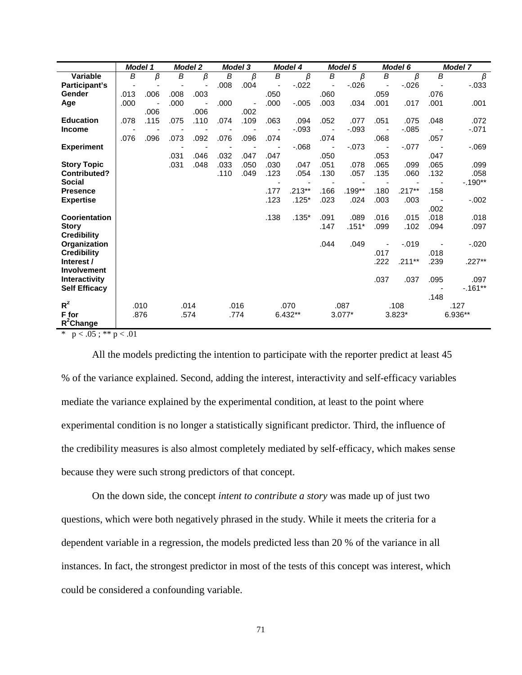|                       | Model 1  |                              | <b>Model 2</b> |              | <b>Model 3</b> |                | <b>Model 4</b>  |          | <b>Model 5</b>           |          | Model 6                  |          | <b>Model 7</b>           |            |
|-----------------------|----------|------------------------------|----------------|--------------|----------------|----------------|-----------------|----------|--------------------------|----------|--------------------------|----------|--------------------------|------------|
| <b>Variable</b>       | B        | β                            | B              | β            | B              | $\beta$        | B               | β        | B                        | β        | B                        | β        | B                        | $\beta$    |
| Participant's         |          |                              |                |              | .008           | .004           |                 | $-0.022$ | ۰                        | $-0.026$ | $\overline{\phantom{a}}$ | $-0.026$ | $\overline{\phantom{a}}$ | $-0.033$   |
| Gender                | .013     | .006                         | .008           | .003         |                |                | .050            |          | .060                     |          | .059                     |          | .076                     |            |
| Age                   | .000     |                              | .000           |              | .000           |                | .000            | $-.005$  | .003                     | .034     | .001                     | .017     | .001                     | .001       |
|                       |          | .006                         |                | .006         |                | .002           |                 |          |                          |          |                          |          |                          |            |
| <b>Education</b>      | .078     | .115                         | .075           | .110         | .074           | .109           | .063            | .094     | .052                     | .077     | .051                     | .075     | .048                     | .072       |
| <b>Income</b>         |          |                              |                |              |                | $\blacksquare$ |                 | $-0.093$ | $\overline{\phantom{a}}$ | $-0.093$ | $\overline{\phantom{a}}$ | $-0.085$ |                          | $-071$     |
|                       | .076     | .096                         | .073           | .092         | .076           | .096           | .074            |          | .074                     |          | .068                     |          | .057                     |            |
| <b>Experiment</b>     |          |                              |                |              |                |                |                 | $-068$   |                          | $-0.073$ | $\overline{\phantom{a}}$ | $-.077$  |                          | $-069$     |
|                       |          |                              | .031           | .046         | .032           | .047           | .047            |          | .050                     |          | .053                     |          | .047                     |            |
| <b>Story Topic</b>    |          |                              | .031           | .048         | .033           | .050           | .030            | .047     | .051                     | .078     | .065                     | .099     | .065                     | .099       |
| Contributed?          |          |                              |                |              | .110           | .049           | .123            | .054     | .130                     | .057     | .135                     | .060     | .132                     | .058       |
| <b>Social</b>         |          |                              |                |              |                |                |                 |          |                          |          |                          |          |                          | $-0.190**$ |
| <b>Presence</b>       |          |                              |                |              |                |                | .177            | $.213**$ | .166                     | $.199**$ | .180                     | $.217**$ | .158                     |            |
| <b>Expertise</b>      |          |                              |                |              |                |                | .123            | $.125*$  | .023                     | .024     | .003                     | .003     |                          | $-0.002$   |
|                       |          |                              |                |              |                |                |                 |          |                          |          |                          |          | .002                     |            |
| Coorientation         |          |                              |                |              |                |                | .138            | $.135*$  | .091                     | .089     | .016                     | .015     | .018                     | .018       |
| <b>Story</b>          |          |                              |                |              |                |                |                 |          | .147                     | $.151*$  | .099                     | .102     | .094                     | .097       |
| <b>Credibility</b>    |          |                              |                |              |                |                |                 |          |                          |          |                          |          |                          |            |
| Organization          |          |                              |                |              |                |                |                 |          | .044                     | .049     | $\blacksquare$           | $-0.019$ |                          | $-0.020$   |
| <b>Credibility</b>    |          |                              |                |              |                |                |                 |          |                          |          | .017                     |          | .018                     |            |
| Interest /            |          |                              |                |              |                |                |                 |          |                          |          | .222                     | $.211**$ | .239                     | .227**     |
| <b>Involvement</b>    |          |                              |                |              |                |                |                 |          |                          |          |                          |          |                          |            |
| Interactivity         |          |                              |                |              |                |                |                 |          |                          |          | .037                     | .037     | .095                     | .097       |
| <b>Self Efficacy</b>  |          |                              |                |              |                |                |                 |          |                          |          |                          |          |                          | $-0.161**$ |
| $R^2$                 |          |                              |                |              |                |                |                 |          |                          |          |                          |          | .148                     |            |
|                       |          | .010<br>.014<br>.876<br>.574 |                | .016<br>.774 |                |                | .070<br>6.432** |          | .087<br>$3.077*$         |          | .108<br>3.823*           |          | .127                     |            |
| F for<br>$R^2$ Change |          |                              |                |              |                |                |                 |          |                          |          |                          |          |                          | 6.936**    |
| $\alpha = 0.01$       | $\sim$ 1 |                              |                |              |                |                |                 |          |                          |          |                          |          |                          |            |

All the models predicting the intention to participate with the reporter predict at least 45 % of the variance explained. Second, adding the interest, interactivity and self-efficacy variables mediate the variance explained by the experimental condition, at least to the point where experimental condition is no longer a statistically significant predictor. Third, the influence of the credibility measures is also almost completely mediated by self-efficacy, which makes sense because they were such strong predictors of that concept.

On the down side, the concept *intent to contribute a story* was made up of just two questions, which were both negatively phrased in the study. While it meets the criteria for a dependent variable in a regression, the models predicted less than 20 % of the variance in all instances. In fact, the strongest predictor in most of the tests of this concept was interest, which could be considered a confounding variable.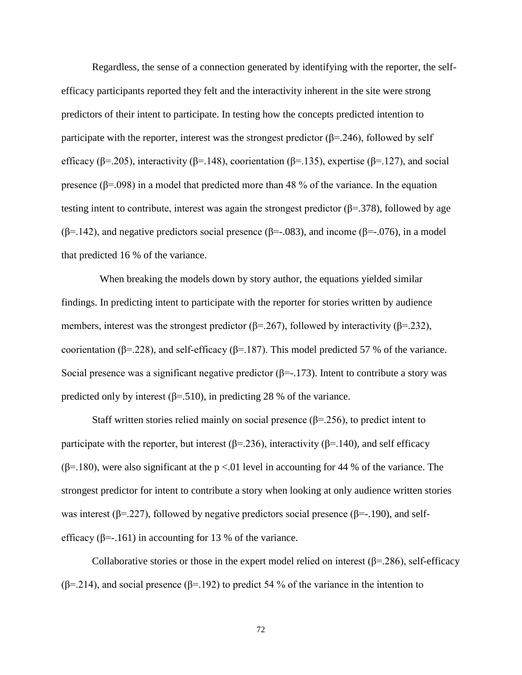Regardless, the sense of a connection generated by identifying with the reporter, the selfefficacy participants reported they felt and the interactivity inherent in the site were strong predictors of their intent to participate. In testing how the concepts predicted intention to participate with the reporter, interest was the strongest predictor  $(\beta = 246)$ , followed by self efficacy (β=.205), interactivity (β=.148), coorientation (β=.135), expertise (β=.127), and social presence ( $β = .098$ ) in a model that predicted more than 48 % of the variance. In the equation testing intent to contribute, interest was again the strongest predictor ( $\beta$ =.378), followed by age ( $\beta$ =.142), and negative predictors social presence ( $\beta$ =-.083), and income ( $\beta$ =-.076), in a model that predicted 16 % of the variance.

 When breaking the models down by story author, the equations yielded similar findings. In predicting intent to participate with the reporter for stories written by audience members, interest was the strongest predictor ( $\beta$ =.267), followed by interactivity ( $\beta$ =.232), coorientation (β=.228), and self-efficacy (β=.187). This model predicted 57 % of the variance. Social presence was a significant negative predictor  $(\beta = -173)$ . Intent to contribute a story was predicted only by interest ( $\beta$ =.510), in predicting 28 % of the variance.

Staff written stories relied mainly on social presence  $(\beta = 256)$ , to predict intent to participate with the reporter, but interest ( $\beta$ =.236), interactivity ( $\beta$ =.140), and self efficacy ( $\beta$ =.180), were also significant at the p <.01 level in accounting for 44 % of the variance. The strongest predictor for intent to contribute a story when looking at only audience written stories was interest ( $\beta$ =.227), followed by negative predictors social presence ( $\beta$ =-.190), and selfefficacy ( $\beta$ =-.161) in accounting for 13 % of the variance.

Collaborative stories or those in the expert model relied on interest ( $\beta$ =.286), self-efficacy ( $\beta$ =.214), and social presence ( $\beta$ =.192) to predict 54 % of the variance in the intention to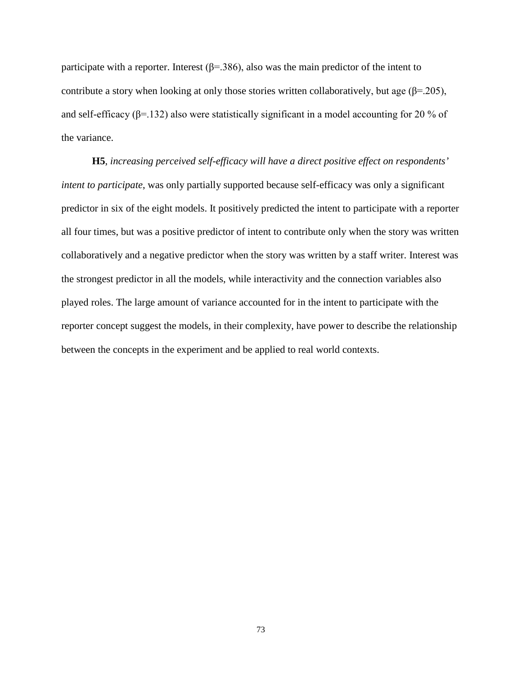participate with a reporter. Interest ( $\beta$ =.386), also was the main predictor of the intent to contribute a story when looking at only those stories written collaboratively, but age  $(\beta = 205)$ , and self-efficacy ( $\beta$ =.132) also were statistically significant in a model accounting for 20 % of the variance.

**H5**, *increasing perceived self-efficacy will have a direct positive effect on respondents' intent to participate*, was only partially supported because self-efficacy was only a significant predictor in six of the eight models. It positively predicted the intent to participate with a reporter all four times, but was a positive predictor of intent to contribute only when the story was written collaboratively and a negative predictor when the story was written by a staff writer. Interest was the strongest predictor in all the models, while interactivity and the connection variables also played roles. The large amount of variance accounted for in the intent to participate with the reporter concept suggest the models, in their complexity, have power to describe the relationship between the concepts in the experiment and be applied to real world contexts.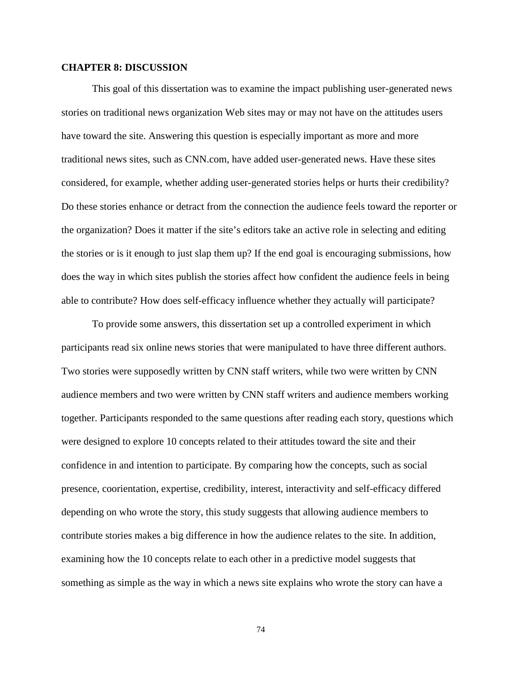## **CHAPTER 8: DISCUSSION**

This goal of this dissertation was to examine the impact publishing user-generated news stories on traditional news organization Web sites may or may not have on the attitudes users have toward the site. Answering this question is especially important as more and more traditional news sites, such as CNN.com, have added user-generated news. Have these sites considered, for example, whether adding user-generated stories helps or hurts their credibility? Do these stories enhance or detract from the connection the audience feels toward the reporter or the organization? Does it matter if the site's editors take an active role in selecting and editing the stories or is it enough to just slap them up? If the end goal is encouraging submissions, how does the way in which sites publish the stories affect how confident the audience feels in being able to contribute? How does self-efficacy influence whether they actually will participate?

To provide some answers, this dissertation set up a controlled experiment in which participants read six online news stories that were manipulated to have three different authors. Two stories were supposedly written by CNN staff writers, while two were written by CNN audience members and two were written by CNN staff writers and audience members working together. Participants responded to the same questions after reading each story, questions which were designed to explore 10 concepts related to their attitudes toward the site and their confidence in and intention to participate. By comparing how the concepts, such as social presence, coorientation, expertise, credibility, interest, interactivity and self-efficacy differed depending on who wrote the story, this study suggests that allowing audience members to contribute stories makes a big difference in how the audience relates to the site. In addition, examining how the 10 concepts relate to each other in a predictive model suggests that something as simple as the way in which a news site explains who wrote the story can have a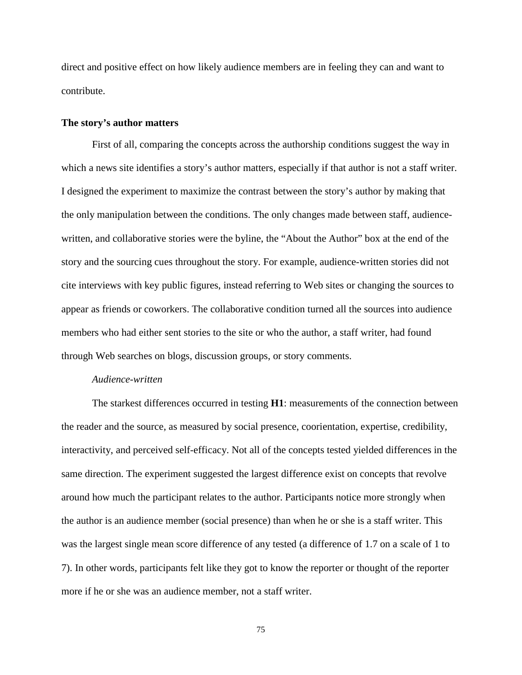direct and positive effect on how likely audience members are in feeling they can and want to contribute.

#### **The story's author matters**

First of all, comparing the concepts across the authorship conditions suggest the way in which a news site identifies a story's author matters, especially if that author is not a staff writer. I designed the experiment to maximize the contrast between the story's author by making that the only manipulation between the conditions. The only changes made between staff, audiencewritten, and collaborative stories were the byline, the "About the Author" box at the end of the story and the sourcing cues throughout the story. For example, audience-written stories did not cite interviews with key public figures, instead referring to Web sites or changing the sources to appear as friends or coworkers. The collaborative condition turned all the sources into audience members who had either sent stories to the site or who the author, a staff writer, had found through Web searches on blogs, discussion groups, or story comments.

# *Audience-written*

The starkest differences occurred in testing **H1**: measurements of the connection between the reader and the source, as measured by social presence, coorientation, expertise, credibility, interactivity, and perceived self-efficacy. Not all of the concepts tested yielded differences in the same direction. The experiment suggested the largest difference exist on concepts that revolve around how much the participant relates to the author. Participants notice more strongly when the author is an audience member (social presence) than when he or she is a staff writer. This was the largest single mean score difference of any tested (a difference of 1.7 on a scale of 1 to 7). In other words, participants felt like they got to know the reporter or thought of the reporter more if he or she was an audience member, not a staff writer.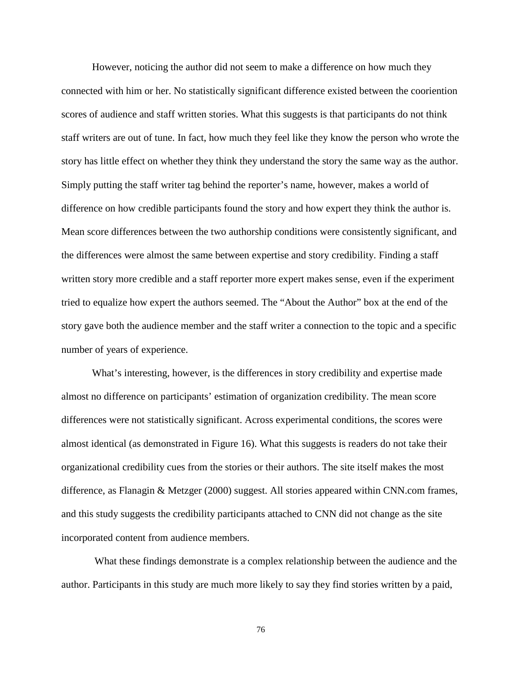However, noticing the author did not seem to make a difference on how much they connected with him or her. No statistically significant difference existed between the cooriention scores of audience and staff written stories. What this suggests is that participants do not think staff writers are out of tune. In fact, how much they feel like they know the person who wrote the story has little effect on whether they think they understand the story the same way as the author. Simply putting the staff writer tag behind the reporter's name, however, makes a world of difference on how credible participants found the story and how expert they think the author is. Mean score differences between the two authorship conditions were consistently significant, and the differences were almost the same between expertise and story credibility. Finding a staff written story more credible and a staff reporter more expert makes sense, even if the experiment tried to equalize how expert the authors seemed. The "About the Author" box at the end of the story gave both the audience member and the staff writer a connection to the topic and a specific number of years of experience.

What's interesting, however, is the differences in story credibility and expertise made almost no difference on participants' estimation of organization credibility. The mean score differences were not statistically significant. Across experimental conditions, the scores were almost identical (as demonstrated in Figure 16). What this suggests is readers do not take their organizational credibility cues from the stories or their authors. The site itself makes the most difference, as Flanagin & Metzger (2000) suggest. All stories appeared within CNN.com frames, and this study suggests the credibility participants attached to CNN did not change as the site incorporated content from audience members.

What these findings demonstrate is a complex relationship between the audience and the author. Participants in this study are much more likely to say they find stories written by a paid,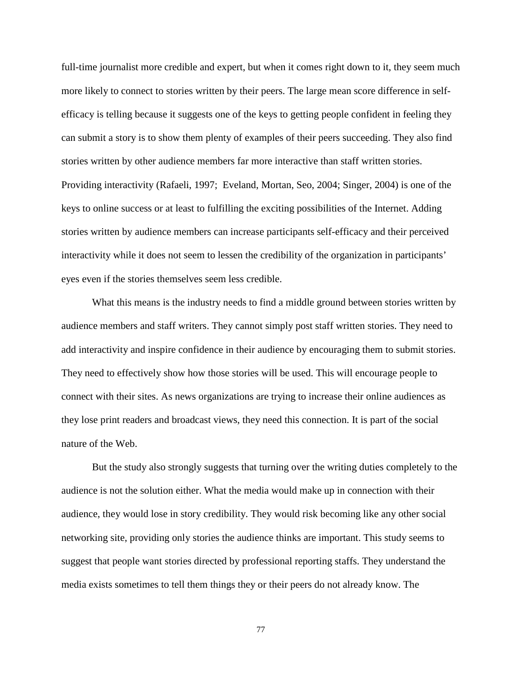full-time journalist more credible and expert, but when it comes right down to it, they seem much more likely to connect to stories written by their peers. The large mean score difference in selfefficacy is telling because it suggests one of the keys to getting people confident in feeling they can submit a story is to show them plenty of examples of their peers succeeding. They also find stories written by other audience members far more interactive than staff written stories. Providing interactivity (Rafaeli, 1997; Eveland, Mortan, Seo, 2004; Singer, 2004) is one of the keys to online success or at least to fulfilling the exciting possibilities of the Internet. Adding stories written by audience members can increase participants self-efficacy and their perceived interactivity while it does not seem to lessen the credibility of the organization in participants' eyes even if the stories themselves seem less credible.

What this means is the industry needs to find a middle ground between stories written by audience members and staff writers. They cannot simply post staff written stories. They need to add interactivity and inspire confidence in their audience by encouraging them to submit stories. They need to effectively show how those stories will be used. This will encourage people to connect with their sites. As news organizations are trying to increase their online audiences as they lose print readers and broadcast views, they need this connection. It is part of the social nature of the Web.

But the study also strongly suggests that turning over the writing duties completely to the audience is not the solution either. What the media would make up in connection with their audience, they would lose in story credibility. They would risk becoming like any other social networking site, providing only stories the audience thinks are important. This study seems to suggest that people want stories directed by professional reporting staffs. They understand the media exists sometimes to tell them things they or their peers do not already know. The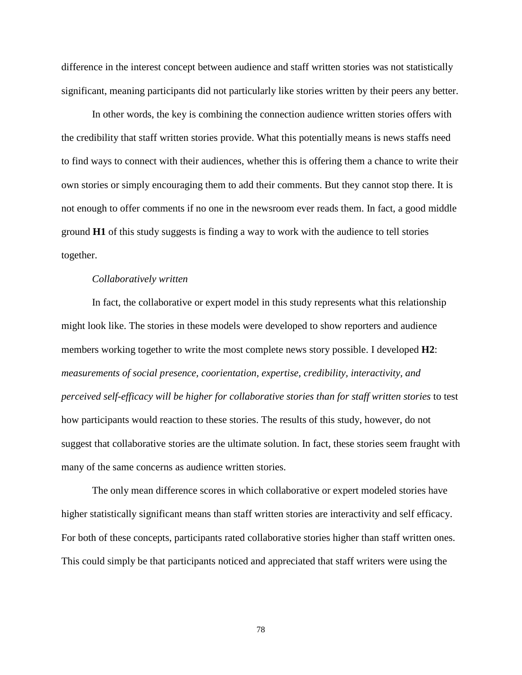difference in the interest concept between audience and staff written stories was not statistically significant, meaning participants did not particularly like stories written by their peers any better.

In other words, the key is combining the connection audience written stories offers with the credibility that staff written stories provide. What this potentially means is news staffs need to find ways to connect with their audiences, whether this is offering them a chance to write their own stories or simply encouraging them to add their comments. But they cannot stop there. It is not enough to offer comments if no one in the newsroom ever reads them. In fact, a good middle ground **H1** of this study suggests is finding a way to work with the audience to tell stories together.

#### *Collaboratively written*

In fact, the collaborative or expert model in this study represents what this relationship might look like. The stories in these models were developed to show reporters and audience members working together to write the most complete news story possible. I developed **H2**: *measurements of social presence, coorientation, expertise, credibility, interactivity, and perceived self-efficacy will be higher for collaborative stories than for staff written stories* to test how participants would reaction to these stories. The results of this study, however, do not suggest that collaborative stories are the ultimate solution. In fact, these stories seem fraught with many of the same concerns as audience written stories.

The only mean difference scores in which collaborative or expert modeled stories have higher statistically significant means than staff written stories are interactivity and self efficacy. For both of these concepts, participants rated collaborative stories higher than staff written ones. This could simply be that participants noticed and appreciated that staff writers were using the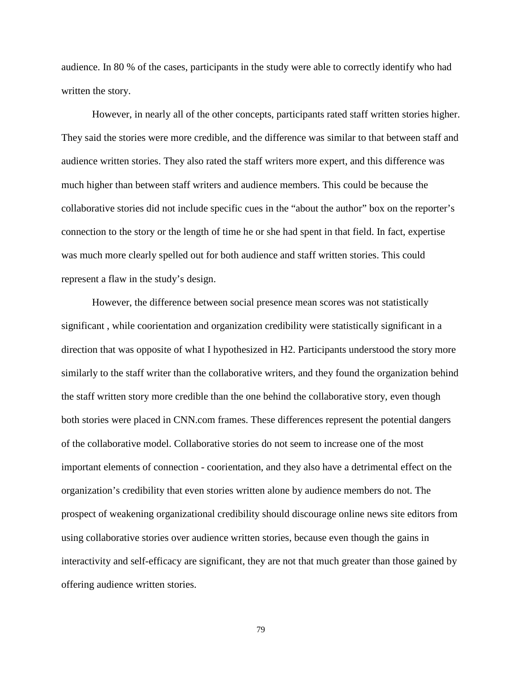audience. In 80 % of the cases, participants in the study were able to correctly identify who had written the story.

However, in nearly all of the other concepts, participants rated staff written stories higher. They said the stories were more credible, and the difference was similar to that between staff and audience written stories. They also rated the staff writers more expert, and this difference was much higher than between staff writers and audience members. This could be because the collaborative stories did not include specific cues in the "about the author" box on the reporter's connection to the story or the length of time he or she had spent in that field. In fact, expertise was much more clearly spelled out for both audience and staff written stories. This could represent a flaw in the study's design.

However, the difference between social presence mean scores was not statistically significant , while coorientation and organization credibility were statistically significant in a direction that was opposite of what I hypothesized in H2. Participants understood the story more similarly to the staff writer than the collaborative writers, and they found the organization behind the staff written story more credible than the one behind the collaborative story, even though both stories were placed in CNN.com frames. These differences represent the potential dangers of the collaborative model. Collaborative stories do not seem to increase one of the most important elements of connection - coorientation, and they also have a detrimental effect on the organization's credibility that even stories written alone by audience members do not. The prospect of weakening organizational credibility should discourage online news site editors from using collaborative stories over audience written stories, because even though the gains in interactivity and self-efficacy are significant, they are not that much greater than those gained by offering audience written stories.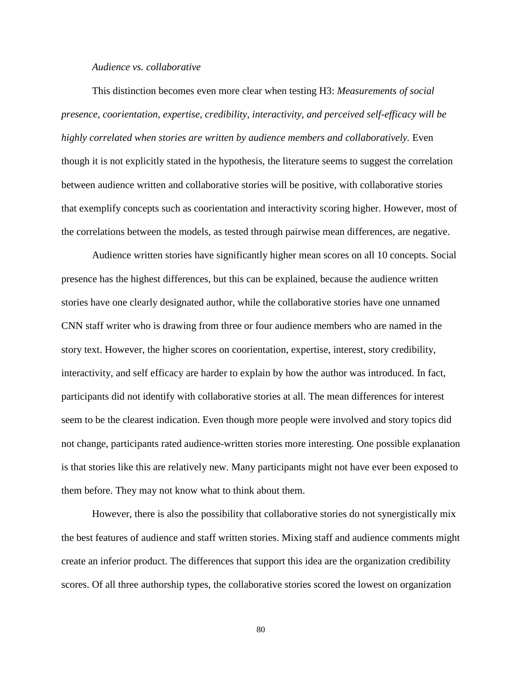### *Audience vs. collaborative*

This distinction becomes even more clear when testing H3: *Measurements of social presence, coorientation, expertise, credibility, interactivity, and perceived self-efficacy will be highly correlated when stories are written by audience members and collaboratively.* Even though it is not explicitly stated in the hypothesis, the literature seems to suggest the correlation between audience written and collaborative stories will be positive, with collaborative stories that exemplify concepts such as coorientation and interactivity scoring higher. However, most of the correlations between the models, as tested through pairwise mean differences, are negative.

Audience written stories have significantly higher mean scores on all 10 concepts. Social presence has the highest differences, but this can be explained, because the audience written stories have one clearly designated author, while the collaborative stories have one unnamed CNN staff writer who is drawing from three or four audience members who are named in the story text. However, the higher scores on coorientation, expertise, interest, story credibility, interactivity, and self efficacy are harder to explain by how the author was introduced. In fact, participants did not identify with collaborative stories at all. The mean differences for interest seem to be the clearest indication. Even though more people were involved and story topics did not change, participants rated audience-written stories more interesting. One possible explanation is that stories like this are relatively new. Many participants might not have ever been exposed to them before. They may not know what to think about them.

However, there is also the possibility that collaborative stories do not synergistically mix the best features of audience and staff written stories. Mixing staff and audience comments might create an inferior product. The differences that support this idea are the organization credibility scores. Of all three authorship types, the collaborative stories scored the lowest on organization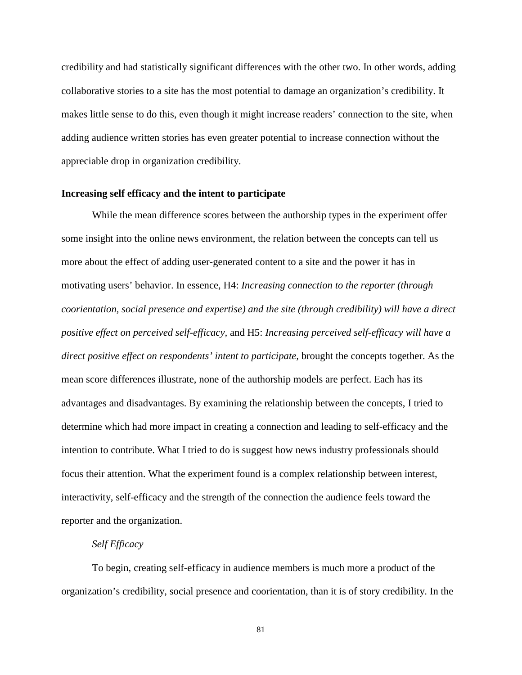credibility and had statistically significant differences with the other two. In other words, adding collaborative stories to a site has the most potential to damage an organization's credibility. It makes little sense to do this, even though it might increase readers' connection to the site, when adding audience written stories has even greater potential to increase connection without the appreciable drop in organization credibility.

# **Increasing self efficacy and the intent to participate**

While the mean difference scores between the authorship types in the experiment offer some insight into the online news environment, the relation between the concepts can tell us more about the effect of adding user-generated content to a site and the power it has in motivating users' behavior. In essence, H4: *Increasing connection to the reporter (through coorientation, social presence and expertise) and the site (through credibility) will have a direct positive effect on perceived self-efficacy,* and H5: *Increasing perceived self-efficacy will have a direct positive effect on respondents' intent to participate,* brought the concepts together. As the mean score differences illustrate, none of the authorship models are perfect. Each has its advantages and disadvantages. By examining the relationship between the concepts, I tried to determine which had more impact in creating a connection and leading to self-efficacy and the intention to contribute. What I tried to do is suggest how news industry professionals should focus their attention. What the experiment found is a complex relationship between interest, interactivity, self-efficacy and the strength of the connection the audience feels toward the reporter and the organization.

# *Self Efficacy*

To begin, creating self-efficacy in audience members is much more a product of the organization's credibility, social presence and coorientation, than it is of story credibility. In the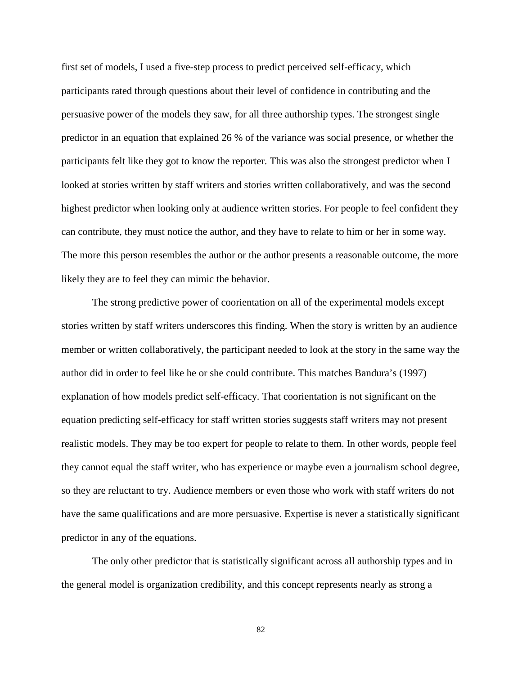first set of models, I used a five-step process to predict perceived self-efficacy, which participants rated through questions about their level of confidence in contributing and the persuasive power of the models they saw, for all three authorship types. The strongest single predictor in an equation that explained 26 % of the variance was social presence, or whether the participants felt like they got to know the reporter. This was also the strongest predictor when I looked at stories written by staff writers and stories written collaboratively, and was the second highest predictor when looking only at audience written stories. For people to feel confident they can contribute, they must notice the author, and they have to relate to him or her in some way. The more this person resembles the author or the author presents a reasonable outcome, the more likely they are to feel they can mimic the behavior.

The strong predictive power of coorientation on all of the experimental models except stories written by staff writers underscores this finding. When the story is written by an audience member or written collaboratively, the participant needed to look at the story in the same way the author did in order to feel like he or she could contribute. This matches Bandura's (1997) explanation of how models predict self-efficacy. That coorientation is not significant on the equation predicting self-efficacy for staff written stories suggests staff writers may not present realistic models. They may be too expert for people to relate to them. In other words, people feel they cannot equal the staff writer, who has experience or maybe even a journalism school degree, so they are reluctant to try. Audience members or even those who work with staff writers do not have the same qualifications and are more persuasive. Expertise is never a statistically significant predictor in any of the equations.

The only other predictor that is statistically significant across all authorship types and in the general model is organization credibility, and this concept represents nearly as strong a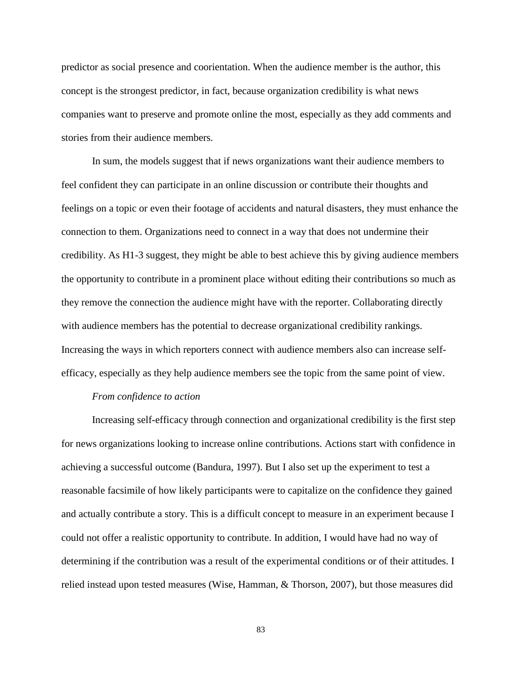predictor as social presence and coorientation. When the audience member is the author, this concept is the strongest predictor, in fact, because organization credibility is what news companies want to preserve and promote online the most, especially as they add comments and stories from their audience members.

In sum, the models suggest that if news organizations want their audience members to feel confident they can participate in an online discussion or contribute their thoughts and feelings on a topic or even their footage of accidents and natural disasters, they must enhance the connection to them. Organizations need to connect in a way that does not undermine their credibility. As H1-3 suggest, they might be able to best achieve this by giving audience members the opportunity to contribute in a prominent place without editing their contributions so much as they remove the connection the audience might have with the reporter. Collaborating directly with audience members has the potential to decrease organizational credibility rankings. Increasing the ways in which reporters connect with audience members also can increase selfefficacy, especially as they help audience members see the topic from the same point of view.

## *From confidence to action*

Increasing self-efficacy through connection and organizational credibility is the first step for news organizations looking to increase online contributions. Actions start with confidence in achieving a successful outcome (Bandura, 1997). But I also set up the experiment to test a reasonable facsimile of how likely participants were to capitalize on the confidence they gained and actually contribute a story. This is a difficult concept to measure in an experiment because I could not offer a realistic opportunity to contribute. In addition, I would have had no way of determining if the contribution was a result of the experimental conditions or of their attitudes. I relied instead upon tested measures (Wise, Hamman, & Thorson, 2007), but those measures did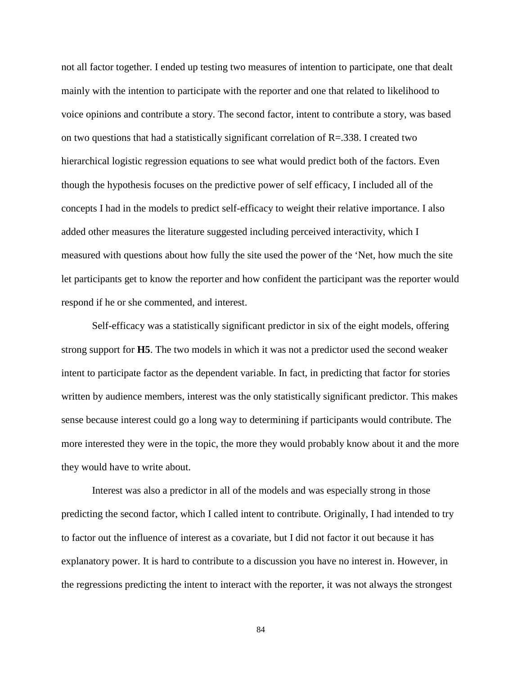not all factor together. I ended up testing two measures of intention to participate, one that dealt mainly with the intention to participate with the reporter and one that related to likelihood to voice opinions and contribute a story. The second factor, intent to contribute a story, was based on two questions that had a statistically significant correlation of  $R = 0.338$ . I created two hierarchical logistic regression equations to see what would predict both of the factors. Even though the hypothesis focuses on the predictive power of self efficacy, I included all of the concepts I had in the models to predict self-efficacy to weight their relative importance. I also added other measures the literature suggested including perceived interactivity, which I measured with questions about how fully the site used the power of the 'Net, how much the site let participants get to know the reporter and how confident the participant was the reporter would respond if he or she commented, and interest.

Self-efficacy was a statistically significant predictor in six of the eight models, offering strong support for **H5**. The two models in which it was not a predictor used the second weaker intent to participate factor as the dependent variable. In fact, in predicting that factor for stories written by audience members, interest was the only statistically significant predictor. This makes sense because interest could go a long way to determining if participants would contribute. The more interested they were in the topic, the more they would probably know about it and the more they would have to write about.

Interest was also a predictor in all of the models and was especially strong in those predicting the second factor, which I called intent to contribute. Originally, I had intended to try to factor out the influence of interest as a covariate, but I did not factor it out because it has explanatory power. It is hard to contribute to a discussion you have no interest in. However, in the regressions predicting the intent to interact with the reporter, it was not always the strongest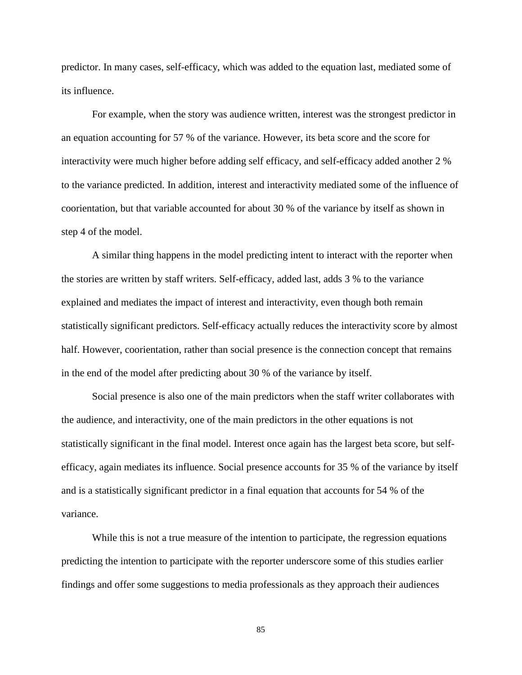predictor. In many cases, self-efficacy, which was added to the equation last, mediated some of its influence.

For example, when the story was audience written, interest was the strongest predictor in an equation accounting for 57 % of the variance. However, its beta score and the score for interactivity were much higher before adding self efficacy, and self-efficacy added another 2 % to the variance predicted. In addition, interest and interactivity mediated some of the influence of coorientation, but that variable accounted for about 30 % of the variance by itself as shown in step 4 of the model.

A similar thing happens in the model predicting intent to interact with the reporter when the stories are written by staff writers. Self-efficacy, added last, adds 3 % to the variance explained and mediates the impact of interest and interactivity, even though both remain statistically significant predictors. Self-efficacy actually reduces the interactivity score by almost half. However, coorientation, rather than social presence is the connection concept that remains in the end of the model after predicting about 30 % of the variance by itself.

Social presence is also one of the main predictors when the staff writer collaborates with the audience, and interactivity, one of the main predictors in the other equations is not statistically significant in the final model. Interest once again has the largest beta score, but selfefficacy, again mediates its influence. Social presence accounts for 35 % of the variance by itself and is a statistically significant predictor in a final equation that accounts for 54 % of the variance.

While this is not a true measure of the intention to participate, the regression equations predicting the intention to participate with the reporter underscore some of this studies earlier findings and offer some suggestions to media professionals as they approach their audiences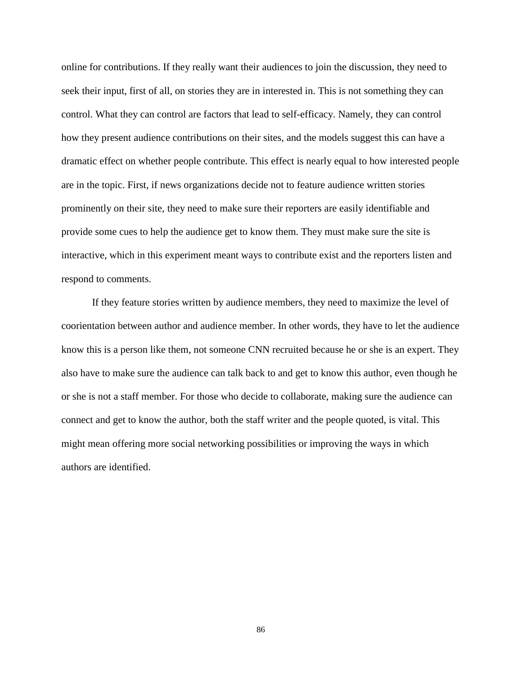online for contributions. If they really want their audiences to join the discussion, they need to seek their input, first of all, on stories they are in interested in. This is not something they can control. What they can control are factors that lead to self-efficacy. Namely, they can control how they present audience contributions on their sites, and the models suggest this can have a dramatic effect on whether people contribute. This effect is nearly equal to how interested people are in the topic. First, if news organizations decide not to feature audience written stories prominently on their site, they need to make sure their reporters are easily identifiable and provide some cues to help the audience get to know them. They must make sure the site is interactive, which in this experiment meant ways to contribute exist and the reporters listen and respond to comments.

If they feature stories written by audience members, they need to maximize the level of coorientation between author and audience member. In other words, they have to let the audience know this is a person like them, not someone CNN recruited because he or she is an expert. They also have to make sure the audience can talk back to and get to know this author, even though he or she is not a staff member. For those who decide to collaborate, making sure the audience can connect and get to know the author, both the staff writer and the people quoted, is vital. This might mean offering more social networking possibilities or improving the ways in which authors are identified.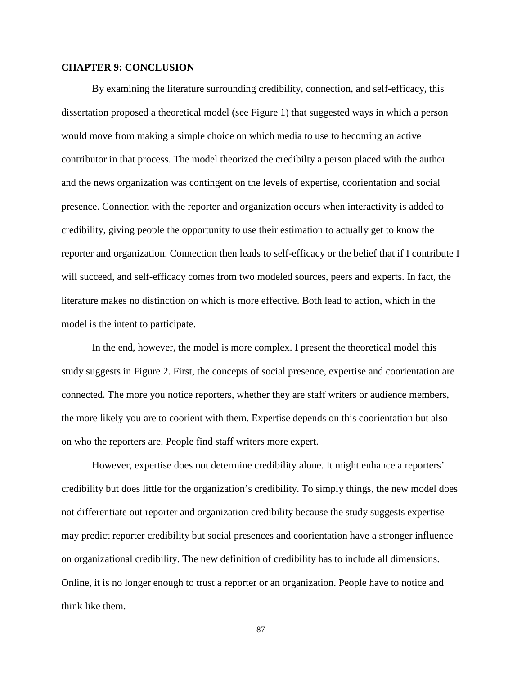# **CHAPTER 9: CONCLUSION**

By examining the literature surrounding credibility, connection, and self-efficacy, this dissertation proposed a theoretical model (see Figure 1) that suggested ways in which a person would move from making a simple choice on which media to use to becoming an active contributor in that process. The model theorized the credibilty a person placed with the author and the news organization was contingent on the levels of expertise, coorientation and social presence. Connection with the reporter and organization occurs when interactivity is added to credibility, giving people the opportunity to use their estimation to actually get to know the reporter and organization. Connection then leads to self-efficacy or the belief that if I contribute I will succeed, and self-efficacy comes from two modeled sources, peers and experts. In fact, the literature makes no distinction on which is more effective. Both lead to action, which in the model is the intent to participate.

In the end, however, the model is more complex. I present the theoretical model this study suggests in Figure 2. First, the concepts of social presence, expertise and coorientation are connected. The more you notice reporters, whether they are staff writers or audience members, the more likely you are to coorient with them. Expertise depends on this coorientation but also on who the reporters are. People find staff writers more expert.

However, expertise does not determine credibility alone. It might enhance a reporters' credibility but does little for the organization's credibility. To simply things, the new model does not differentiate out reporter and organization credibility because the study suggests expertise may predict reporter credibility but social presences and coorientation have a stronger influence on organizational credibility. The new definition of credibility has to include all dimensions. Online, it is no longer enough to trust a reporter or an organization. People have to notice and think like them.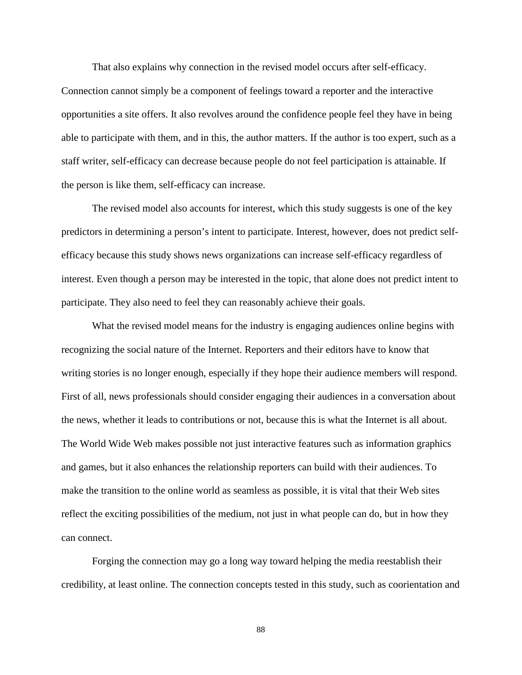That also explains why connection in the revised model occurs after self-efficacy. Connection cannot simply be a component of feelings toward a reporter and the interactive opportunities a site offers. It also revolves around the confidence people feel they have in being able to participate with them, and in this, the author matters. If the author is too expert, such as a staff writer, self-efficacy can decrease because people do not feel participation is attainable. If the person is like them, self-efficacy can increase.

The revised model also accounts for interest, which this study suggests is one of the key predictors in determining a person's intent to participate. Interest, however, does not predict selfefficacy because this study shows news organizations can increase self-efficacy regardless of interest. Even though a person may be interested in the topic, that alone does not predict intent to participate. They also need to feel they can reasonably achieve their goals.

What the revised model means for the industry is engaging audiences online begins with recognizing the social nature of the Internet. Reporters and their editors have to know that writing stories is no longer enough, especially if they hope their audience members will respond. First of all, news professionals should consider engaging their audiences in a conversation about the news, whether it leads to contributions or not, because this is what the Internet is all about. The World Wide Web makes possible not just interactive features such as information graphics and games, but it also enhances the relationship reporters can build with their audiences. To make the transition to the online world as seamless as possible, it is vital that their Web sites reflect the exciting possibilities of the medium, not just in what people can do, but in how they can connect.

Forging the connection may go a long way toward helping the media reestablish their credibility, at least online. The connection concepts tested in this study, such as coorientation and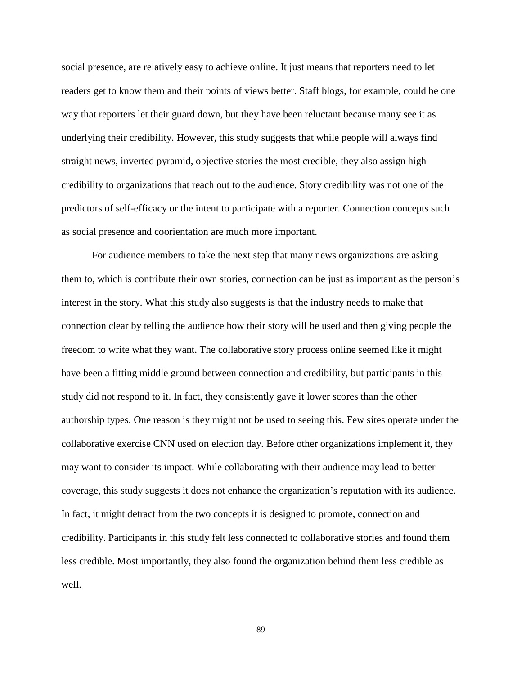social presence, are relatively easy to achieve online. It just means that reporters need to let readers get to know them and their points of views better. Staff blogs, for example, could be one way that reporters let their guard down, but they have been reluctant because many see it as underlying their credibility. However, this study suggests that while people will always find straight news, inverted pyramid, objective stories the most credible, they also assign high credibility to organizations that reach out to the audience. Story credibility was not one of the predictors of self-efficacy or the intent to participate with a reporter. Connection concepts such as social presence and coorientation are much more important.

For audience members to take the next step that many news organizations are asking them to, which is contribute their own stories, connection can be just as important as the person's interest in the story. What this study also suggests is that the industry needs to make that connection clear by telling the audience how their story will be used and then giving people the freedom to write what they want. The collaborative story process online seemed like it might have been a fitting middle ground between connection and credibility, but participants in this study did not respond to it. In fact, they consistently gave it lower scores than the other authorship types. One reason is they might not be used to seeing this. Few sites operate under the collaborative exercise CNN used on election day. Before other organizations implement it, they may want to consider its impact. While collaborating with their audience may lead to better coverage, this study suggests it does not enhance the organization's reputation with its audience. In fact, it might detract from the two concepts it is designed to promote, connection and credibility. Participants in this study felt less connected to collaborative stories and found them less credible. Most importantly, they also found the organization behind them less credible as well.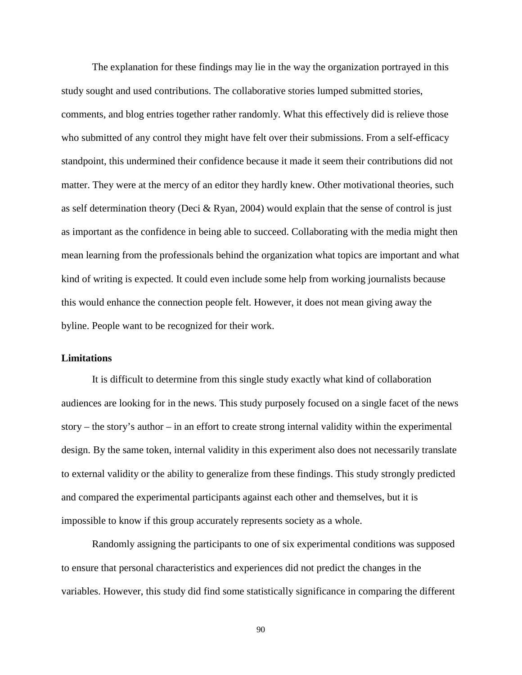The explanation for these findings may lie in the way the organization portrayed in this study sought and used contributions. The collaborative stories lumped submitted stories, comments, and blog entries together rather randomly. What this effectively did is relieve those who submitted of any control they might have felt over their submissions. From a self-efficacy standpoint, this undermined their confidence because it made it seem their contributions did not matter. They were at the mercy of an editor they hardly knew. Other motivational theories, such as self determination theory (Deci & Ryan, 2004) would explain that the sense of control is just as important as the confidence in being able to succeed. Collaborating with the media might then mean learning from the professionals behind the organization what topics are important and what kind of writing is expected. It could even include some help from working journalists because this would enhance the connection people felt. However, it does not mean giving away the byline. People want to be recognized for their work.

# **Limitations**

It is difficult to determine from this single study exactly what kind of collaboration audiences are looking for in the news. This study purposely focused on a single facet of the news story – the story's author – in an effort to create strong internal validity within the experimental design. By the same token, internal validity in this experiment also does not necessarily translate to external validity or the ability to generalize from these findings. This study strongly predicted and compared the experimental participants against each other and themselves, but it is impossible to know if this group accurately represents society as a whole.

Randomly assigning the participants to one of six experimental conditions was supposed to ensure that personal characteristics and experiences did not predict the changes in the variables. However, this study did find some statistically significance in comparing the different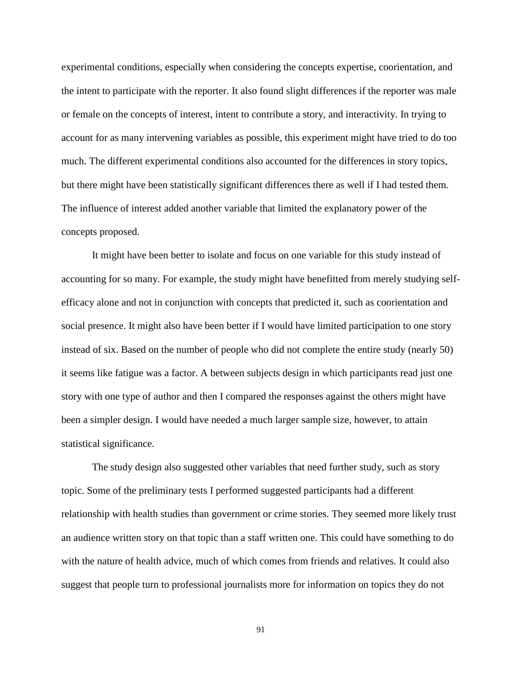experimental conditions, especially when considering the concepts expertise, coorientation, and the intent to participate with the reporter. It also found slight differences if the reporter was male or female on the concepts of interest, intent to contribute a story, and interactivity. In trying to account for as many intervening variables as possible, this experiment might have tried to do too much. The different experimental conditions also accounted for the differences in story topics, but there might have been statistically significant differences there as well if I had tested them. The influence of interest added another variable that limited the explanatory power of the concepts proposed.

It might have been better to isolate and focus on one variable for this study instead of accounting for so many. For example, the study might have benefitted from merely studying selfefficacy alone and not in conjunction with concepts that predicted it, such as coorientation and social presence. It might also have been better if I would have limited participation to one story instead of six. Based on the number of people who did not complete the entire study (nearly 50) it seems like fatigue was a factor. A between subjects design in which participants read just one story with one type of author and then I compared the responses against the others might have been a simpler design. I would have needed a much larger sample size, however, to attain statistical significance.

The study design also suggested other variables that need further study, such as story topic. Some of the preliminary tests I performed suggested participants had a different relationship with health studies than government or crime stories. They seemed more likely trust an audience written story on that topic than a staff written one. This could have something to do with the nature of health advice, much of which comes from friends and relatives. It could also suggest that people turn to professional journalists more for information on topics they do not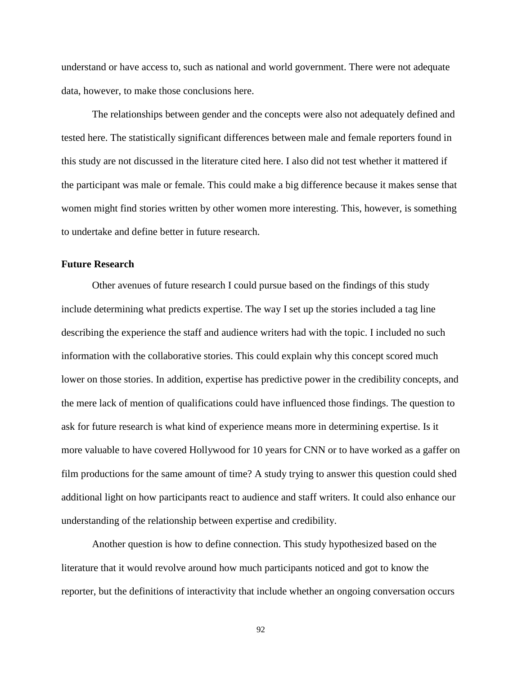understand or have access to, such as national and world government. There were not adequate data, however, to make those conclusions here.

The relationships between gender and the concepts were also not adequately defined and tested here. The statistically significant differences between male and female reporters found in this study are not discussed in the literature cited here. I also did not test whether it mattered if the participant was male or female. This could make a big difference because it makes sense that women might find stories written by other women more interesting. This, however, is something to undertake and define better in future research.

# **Future Research**

Other avenues of future research I could pursue based on the findings of this study include determining what predicts expertise. The way I set up the stories included a tag line describing the experience the staff and audience writers had with the topic. I included no such information with the collaborative stories. This could explain why this concept scored much lower on those stories. In addition, expertise has predictive power in the credibility concepts, and the mere lack of mention of qualifications could have influenced those findings. The question to ask for future research is what kind of experience means more in determining expertise. Is it more valuable to have covered Hollywood for 10 years for CNN or to have worked as a gaffer on film productions for the same amount of time? A study trying to answer this question could shed additional light on how participants react to audience and staff writers. It could also enhance our understanding of the relationship between expertise and credibility.

Another question is how to define connection. This study hypothesized based on the literature that it would revolve around how much participants noticed and got to know the reporter, but the definitions of interactivity that include whether an ongoing conversation occurs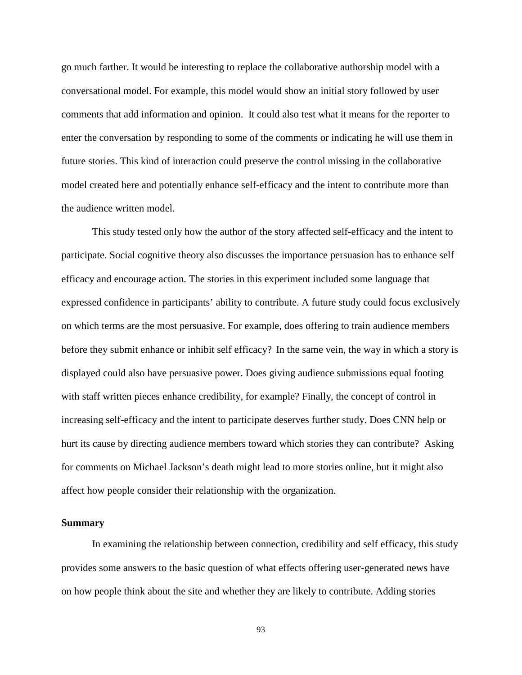go much farther. It would be interesting to replace the collaborative authorship model with a conversational model. For example, this model would show an initial story followed by user comments that add information and opinion. It could also test what it means for the reporter to enter the conversation by responding to some of the comments or indicating he will use them in future stories. This kind of interaction could preserve the control missing in the collaborative model created here and potentially enhance self-efficacy and the intent to contribute more than the audience written model.

This study tested only how the author of the story affected self-efficacy and the intent to participate. Social cognitive theory also discusses the importance persuasion has to enhance self efficacy and encourage action. The stories in this experiment included some language that expressed confidence in participants' ability to contribute. A future study could focus exclusively on which terms are the most persuasive. For example, does offering to train audience members before they submit enhance or inhibit self efficacy? In the same vein, the way in which a story is displayed could also have persuasive power. Does giving audience submissions equal footing with staff written pieces enhance credibility, for example? Finally, the concept of control in increasing self-efficacy and the intent to participate deserves further study. Does CNN help or hurt its cause by directing audience members toward which stories they can contribute? Asking for comments on Michael Jackson's death might lead to more stories online, but it might also affect how people consider their relationship with the organization.

## **Summary**

In examining the relationship between connection, credibility and self efficacy, this study provides some answers to the basic question of what effects offering user-generated news have on how people think about the site and whether they are likely to contribute. Adding stories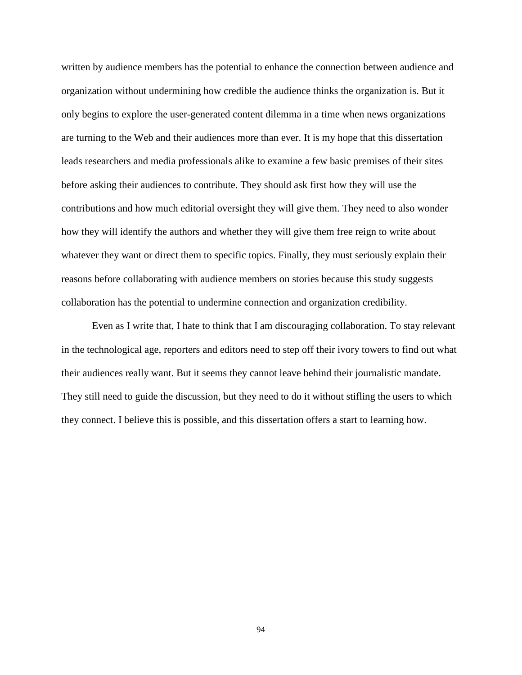written by audience members has the potential to enhance the connection between audience and organization without undermining how credible the audience thinks the organization is. But it only begins to explore the user-generated content dilemma in a time when news organizations are turning to the Web and their audiences more than ever. It is my hope that this dissertation leads researchers and media professionals alike to examine a few basic premises of their sites before asking their audiences to contribute. They should ask first how they will use the contributions and how much editorial oversight they will give them. They need to also wonder how they will identify the authors and whether they will give them free reign to write about whatever they want or direct them to specific topics. Finally, they must seriously explain their reasons before collaborating with audience members on stories because this study suggests collaboration has the potential to undermine connection and organization credibility.

Even as I write that, I hate to think that I am discouraging collaboration. To stay relevant in the technological age, reporters and editors need to step off their ivory towers to find out what their audiences really want. But it seems they cannot leave behind their journalistic mandate. They still need to guide the discussion, but they need to do it without stifling the users to which they connect. I believe this is possible, and this dissertation offers a start to learning how.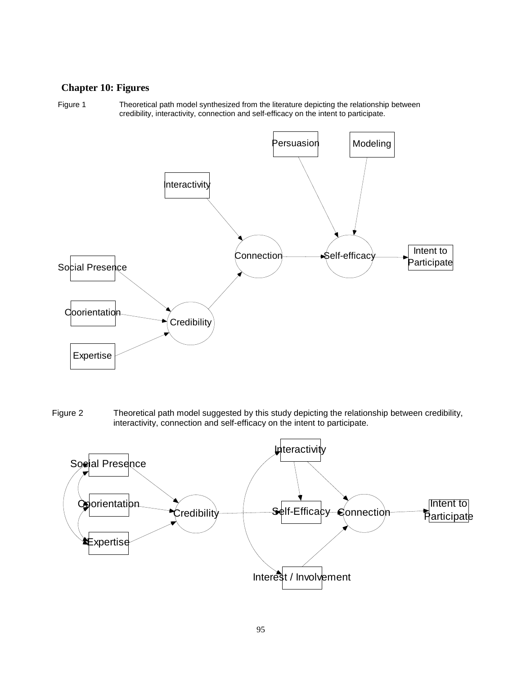## **Chapter 10: Figures**

Figure 1 Theoretical path model synthesized from the literature depicting the relationship between credibility, interactivity, connection and self-efficacy on the intent to participate.



Figure 2 Theoretical path model suggested by this study depicting the relationship between credibility, interactivity, connection and self-efficacy on the intent to participate.

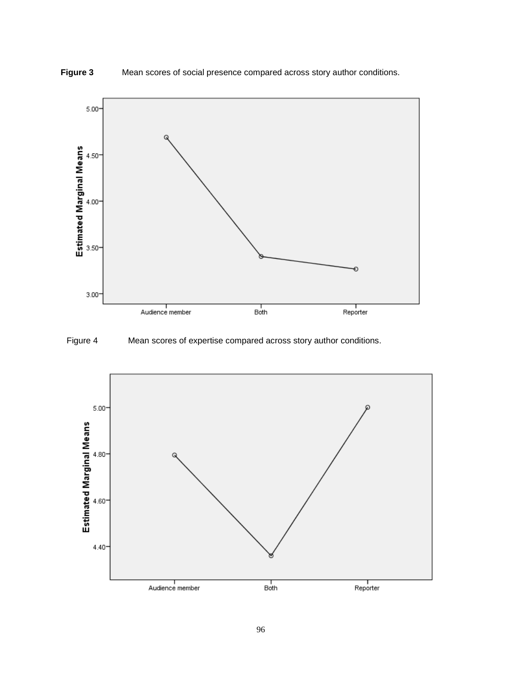



Figure 4 Mean scores of expertise compared across story author conditions.

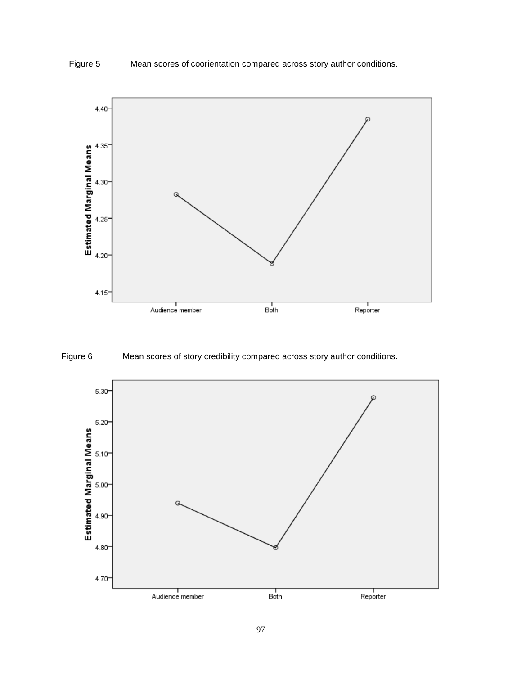



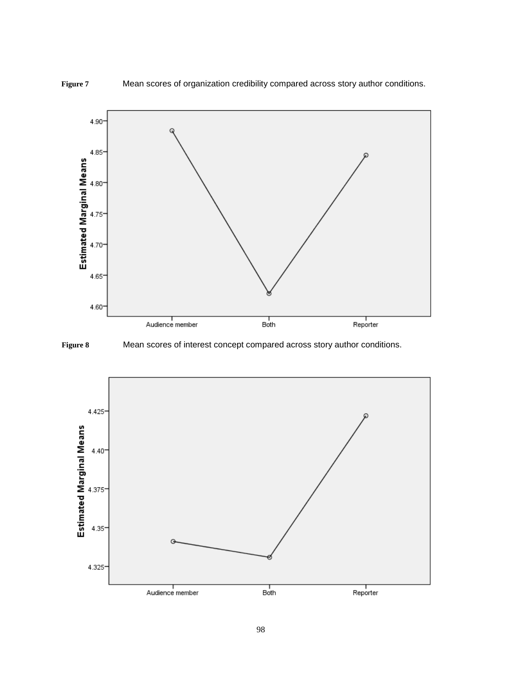



**Figure 8** Mean scores of interest concept compared across story author conditions.

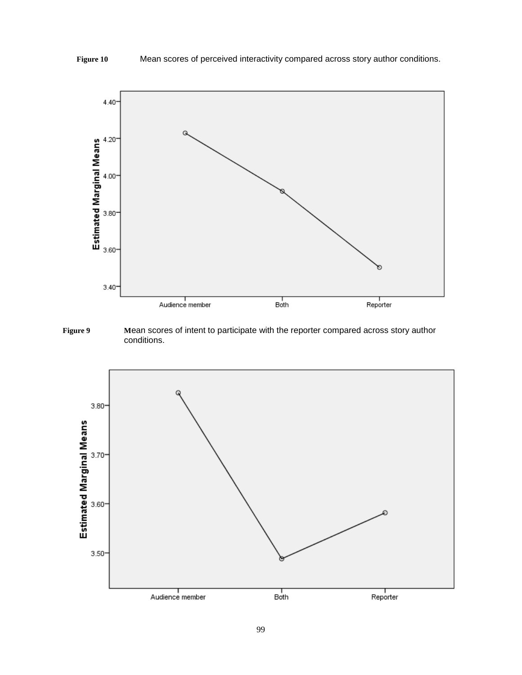



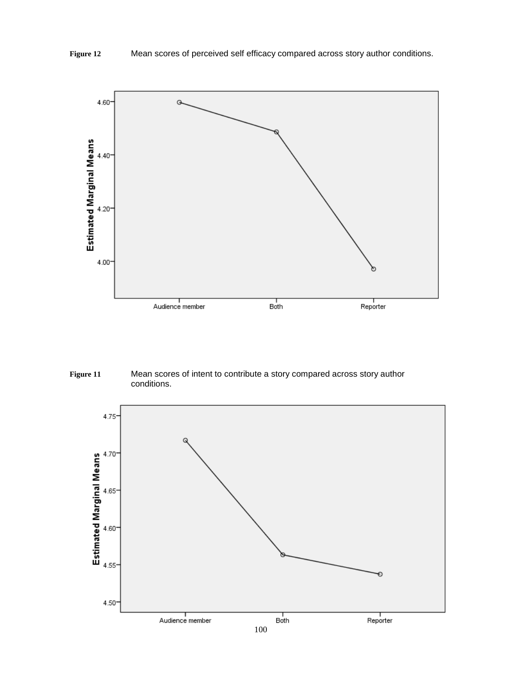

**Figure 11** Mean scores of intent to contribute a story compared across story author conditions.

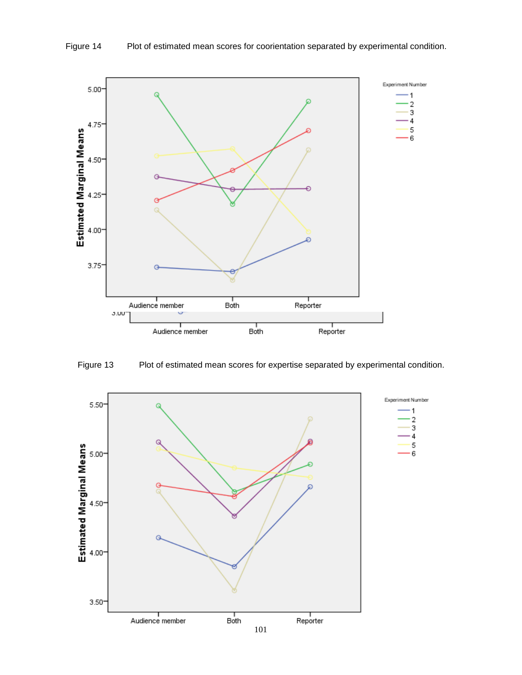



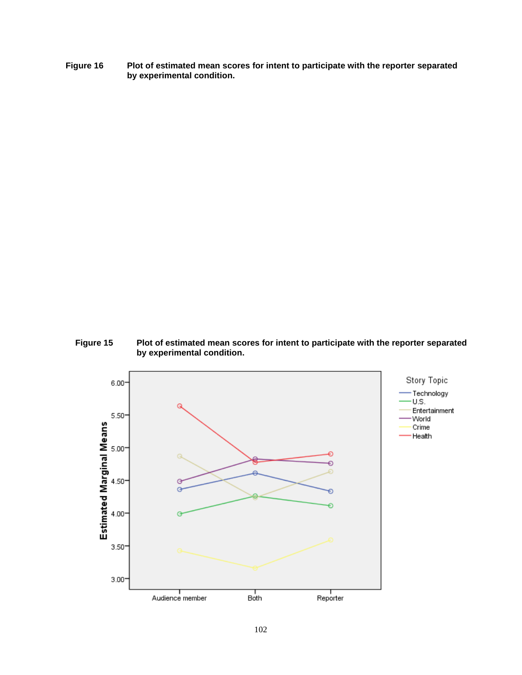**Figure 16 Plot of estimated mean scores for intent to participate with the reporter separated by experimental condition.**

**Figure 15 Plot of estimated mean scores for intent to participate with the reporter separated by experimental condition.**

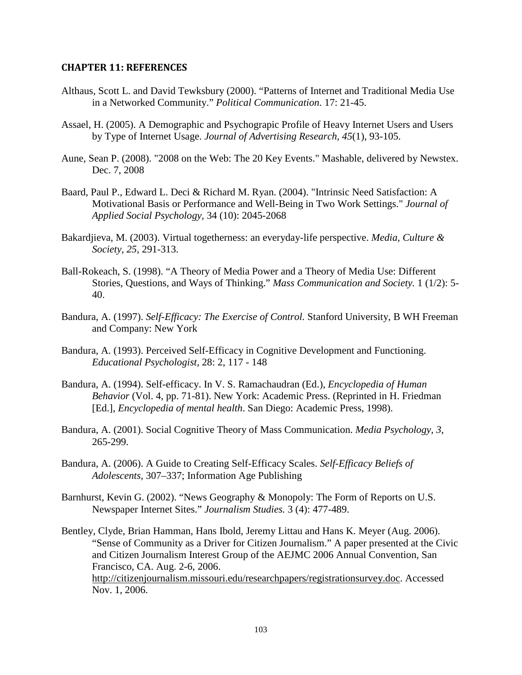## **CHAPTER 11: REFERENCES**

- Althaus, Scott L. and David Tewksbury (2000). "Patterns of Internet and Traditional Media Use in a Networked Community." *Political Communication.* 17: 21-45.
- Assael, H. (2005). A Demographic and Psychograpic Profile of Heavy Internet Users and Users by Type of Internet Usage. *Journal of Advertising Research, 45*(1), 93-105.
- Aune, Sean P. (2008). "2008 on the Web: The 20 Key Events." [Mashable,](http://www.mashable.com/) delivered by Newstex. Dec. 7, 2008
- Baard, Paul P., Edward L. Deci & Richard M. Ryan. (2004). "Intrinsic Need Satisfaction: A Motivational Basis or Performance and Well-Being in Two Work Settings." *Journal of Applied Social Psychology,* 34 (10): 2045-2068
- Bakardjieva, M. (2003). Virtual togetherness: an everyday-life perspective. *Media, Culture & Society, 25*, 291-313.
- Ball-Rokeach, S. (1998). "A Theory of Media Power and a Theory of Media Use: Different Stories, Questions, and Ways of Thinking." *Mass Communication and Society.* 1 (1/2): 5- 40.
- Bandura, A. (1997). *Self-Efficacy: The Exercise of Control.* Stanford University, B WH Freeman and Company: New York
- Bandura, A. (1993). Perceived Self-Efficacy in Cognitive Development and Functioning. *Educational Psychologist,* 28: 2, 117 - 148
- Bandura, A. (1994). Self-efficacy. In V. S. Ramachaudran (Ed.), *Encyclopedia of Human Behavior* (Vol. 4, pp. 71-81). New York: Academic Press. (Reprinted in H. Friedman [Ed.], *Encyclopedia of mental health*. San Diego: Academic Press, 1998).
- Bandura, A. (2001). Social Cognitive Theory of Mass Communication. *Media Psychology, 3*, 265-299.
- Bandura, A. (2006). A Guide to Creating Self-Efficacy Scales. *Self-Efficacy Beliefs of Adolescents,* 307–337; Information Age Publishing
- Barnhurst, Kevin G. (2002). "News Geography & Monopoly: The Form of Reports on U.S. Newspaper Internet Sites." *Journalism Studies.* 3 (4): 477-489.
- Bentley, Clyde, Brian Hamman, Hans Ibold, Jeremy Littau and Hans K. Meyer (Aug. 2006). "Sense of Community as a Driver for Citizen Journalism." A paper presented at the Civic and Citizen Journalism Interest Group of the AEJMC 2006 Annual Convention, San Francisco, CA. Aug. 2-6, 2006. [http://citizenjournalism.missouri.edu/researchpapers/registrationsurvey.doc.](http://citizenjournalism.missouri.edu/researchpapers/registrationsurvey.doc) Accessed Nov. 1, 2006.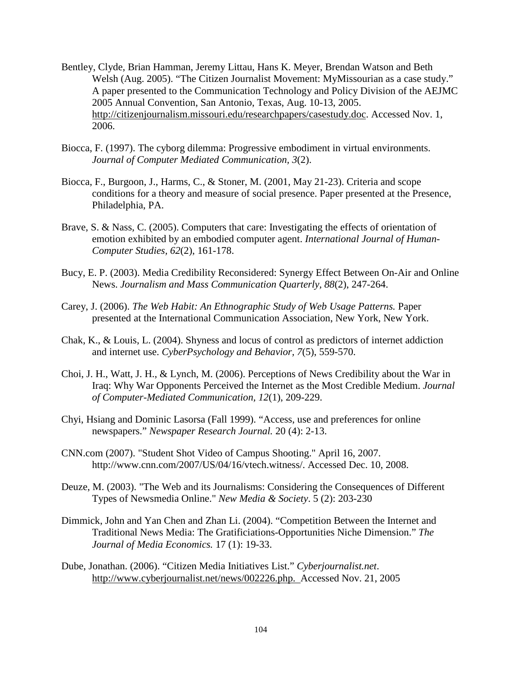- Bentley, Clyde, Brian Hamman, Jeremy Littau, Hans K. Meyer, Brendan Watson and Beth Welsh (Aug. 2005). "The Citizen Journalist Movement: MyMissourian as a case study." A paper presented to the Communication Technology and Policy Division of the AEJMC 2005 Annual Convention, San Antonio, Texas, Aug. 10-13, 2005. [http://citizenjournalism.missouri.edu/researchpapers/casestudy.doc.](http://citizenjournalism.missouri.edu/researchpapers/casestudy.doc) Accessed Nov. 1, 2006.
- Biocca, F. (1997). The cyborg dilemma: Progressive embodiment in virtual environments. *Journal of Computer Mediated Communication, 3*(2).
- Biocca, F., Burgoon, J., Harms, C., & Stoner, M. (2001, May 21-23). Criteria and scope conditions for a theory and measure of social presence. Paper presented at the Presence, Philadelphia, PA.
- Brave, S. & Nass, C. (2005). Computers that care: Investigating the effects of orientation of emotion exhibited by an embodied computer agent. *International Journal of Human-Computer Studies, 62*(2), 161-178.
- Bucy, E. P. (2003). Media Credibility Reconsidered: Synergy Effect Between On-Air and Online News. *Journalism and Mass Communication Quarterly, 88*(2), 247-264.
- Carey, J. (2006). *The Web Habit: An Ethnographic Study of Web Usage Patterns.* Paper presented at the International Communication Association, New York, New York.
- Chak, K., & Louis, L. (2004). Shyness and locus of control as predictors of internet addiction and internet use. *CyberPsychology and Behavior, 7*(5), 559-570.
- Choi, J. H., Watt, J. H., & Lynch, M. (2006). Perceptions of News Credibility about the War in Iraq: Why War Opponents Perceived the Internet as the Most Credible Medium. *Journal of Computer-Mediated Communication, 12*(1), 209-229.
- Chyi, Hsiang and Dominic Lasorsa (Fall 1999). "Access, use and preferences for online newspapers." *Newspaper Research Journal.* 20 (4): 2-13.
- CNN.com (2007). "Student Shot Video of Campus Shooting." April 16, 2007. http://www.cnn.com/2007/US/04/16/vtech.witness/. Accessed Dec. 10, 2008.
- Deuze, M. (2003). "The Web and its Journalisms: Considering the Consequences of Different Types of Newsmedia Online." *New Media & Society*. 5 (2): 203-230
- Dimmick, John and Yan Chen and Zhan Li. (2004). "Competition Between the Internet and Traditional News Media: The Gratificiations-Opportunities Niche Dimension." *The Journal of Media Economics.* 17 (1): 19-33.
- Dube, Jonathan. (2006). "Citizen Media Initiatives List." *Cyberjournalist.net*. [http://www.cyberjournalist.net/news/002226.php. Accessed Nov. 21,](http://www.cyberjournalist.net/news/002226.php.%20Accessed%20Nov.%2021) 2005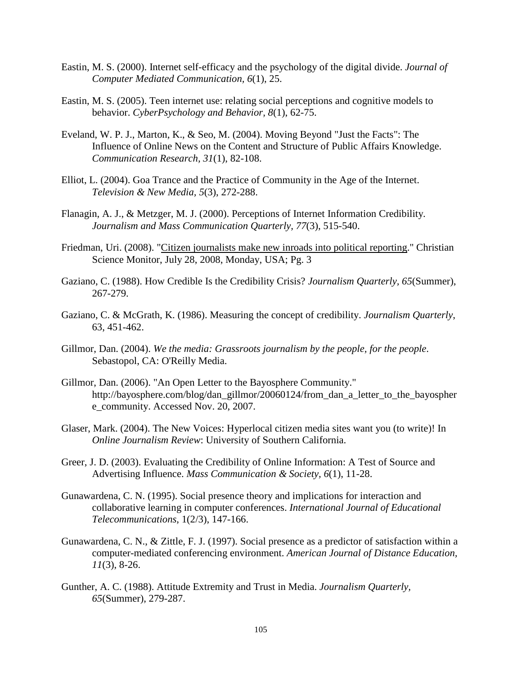- Eastin, M. S. (2000). Internet self-efficacy and the psychology of the digital divide. *Journal of Computer Mediated Communication, 6*(1), 25.
- Eastin, M. S. (2005). Teen internet use: relating social perceptions and cognitive models to behavior. *CyberPsychology and Behavior, 8*(1), 62-75.
- Eveland, W. P. J., Marton, K., & Seo, M. (2004). Moving Beyond "Just the Facts": The Influence of Online News on the Content and Structure of Public Affairs Knowledge. *Communication Research, 31*(1), 82-108.
- Elliot, L. (2004). Goa Trance and the Practice of Community in the Age of the Internet. *Television & New Media, 5*(3), 272-288.
- Flanagin, A. J., & Metzger, M. J. (2000). Perceptions of Internet Information Credibility. *Journalism and Mass Communication Quarterly, 77*(3), 515-540.
- Friedman, Uri. (2008). ["Citizen journalists make new inroads into political reporting.](http://www.lexisnexis.com/us/lnacademic/results/docview/docview.do?docLinkInd=true&risb=21_T6098310634&format=GNBFI&sort=RELEVANCE&startDocNo=1&resultsUrlKey=29_T6098310637&cisb=22_T6098310636&treeMax=true&treeWidth=0&csi=7945&docNo=9)" Christian Science Monitor, July 28, 2008, Monday, USA; Pg. 3
- Gaziano, C. (1988). How Credible Is the Credibility Crisis? *Journalism Quarterly, 65*(Summer), 267-279.
- Gaziano, C. & McGrath, K. (1986). Measuring the concept of credibility. *Journalism Quarterly*, 63, 451-462.
- Gillmor, Dan. (2004). *We the media: Grassroots journalism by the people, for the people*. Sebastopol, CA: O'Reilly Media.
- Gillmor, Dan. (2006). "An Open Letter to the Bayosphere Community." http://bayosphere.com/blog/dan\_gillmor/20060124/from\_dan\_a\_letter\_to\_the\_bayospher e\_community. Accessed Nov. 20, 2007.
- Glaser, Mark. (2004). The New Voices: Hyperlocal citizen media sites want you (to write)! In *Online Journalism Review*: University of Southern California.
- Greer, J. D. (2003). Evaluating the Credibility of Online Information: A Test of Source and Advertising Influence. *Mass Communication & Society, 6*(1), 11-28.
- Gunawardena, C. N. (1995). Social presence theory and implications for interaction and collaborative learning in computer conferences. *International Journal of Educational Telecommunications*, 1(2/3), 147-166.
- Gunawardena, C. N., & Zittle, F. J. (1997). Social presence as a predictor of satisfaction within a computer-mediated conferencing environment. *American Journal of Distance Education, 11*(3), 8-26.
- Gunther, A. C. (1988). Attitude Extremity and Trust in Media. *Journalism Quarterly, 65*(Summer), 279-287.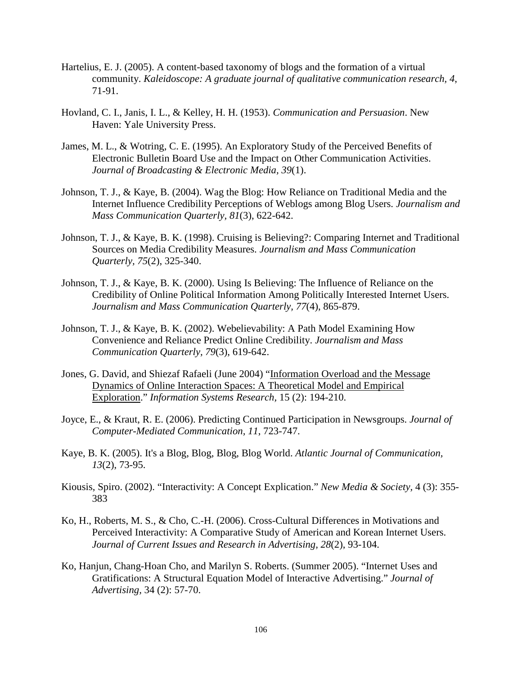- Hartelius, E. J. (2005). A content-based taxonomy of blogs and the formation of a virtual community. *Kaleidoscope: A graduate journal of qualitative communication research, 4*, 71-91.
- Hovland, C. I., Janis, I. L., & Kelley, H. H. (1953). *Communication and Persuasion*. New Haven: Yale University Press.
- James, M. L., & Wotring, C. E. (1995). An Exploratory Study of the Perceived Benefits of Electronic Bulletin Board Use and the Impact on Other Communication Activities. *Journal of Broadcasting & Electronic Media, 39*(1).
- Johnson, T. J., & Kaye, B. (2004). Wag the Blog: How Reliance on Traditional Media and the Internet Influence Credibility Perceptions of Weblogs among Blog Users. *Journalism and Mass Communication Quarterly, 81*(3), 622-642.
- Johnson, T. J., & Kaye, B. K. (1998). Cruising is Believing?: Comparing Internet and Traditional Sources on Media Credibility Measures. *Journalism and Mass Communication Quarterly, 75*(2), 325-340.
- Johnson, T. J., & Kaye, B. K. (2000). Using Is Believing: The Influence of Reliance on the Credibility of Online Political Information Among Politically Interested Internet Users. *Journalism and Mass Communication Quarterly, 77*(4), 865-879.
- Johnson, T. J., & Kaye, B. K. (2002). Webelievability: A Path Model Examining How Convenience and Reliance Predict Online Credibility. *Journalism and Mass Communication Quarterly, 79*(3), 619-642.
- Jones, G. David, and Shiezaf Rafaeli (June 2004) ["Information Overload and the Message](http://sheizaf.rafaeli.net/publications/JonesRavidRafaeliInformationOverloadISR.pdf)  [Dynamics of Online Interaction Spaces: A Theoretical Model and Empirical](http://sheizaf.rafaeli.net/publications/JonesRavidRafaeliInformationOverloadISR.pdf)  [Exploration.](http://sheizaf.rafaeli.net/publications/JonesRavidRafaeliInformationOverloadISR.pdf)" *Information Systems Research,* 15 (2): 194-210.
- Joyce, E., & Kraut, R. E. (2006). Predicting Continued Participation in Newsgroups. *Journal of Computer-Mediated Communication, 11*, 723-747.
- Kaye, B. K. (2005). It's a Blog, Blog, Blog, Blog World. *Atlantic Journal of Communication, 13*(2), 73-95.
- Kiousis, Spiro. (2002). "Interactivity: A Concept Explication." *New Media & Society,* 4 (3): 355- 383
- Ko, H., Roberts, M. S., & Cho, C.-H. (2006). Cross-Cultural Differences in Motivations and Perceived Interactivity: A Comparative Study of American and Korean Internet Users. *Journal of Current Issues and Research in Advertising, 28*(2), 93-104.
- Ko, Hanjun, Chang-Hoan Cho, and Marilyn S. Roberts. (Summer 2005). "Internet Uses and Gratifications: A Structural Equation Model of Interactive Advertising." *Journal of Advertising,* 34 (2): 57-70.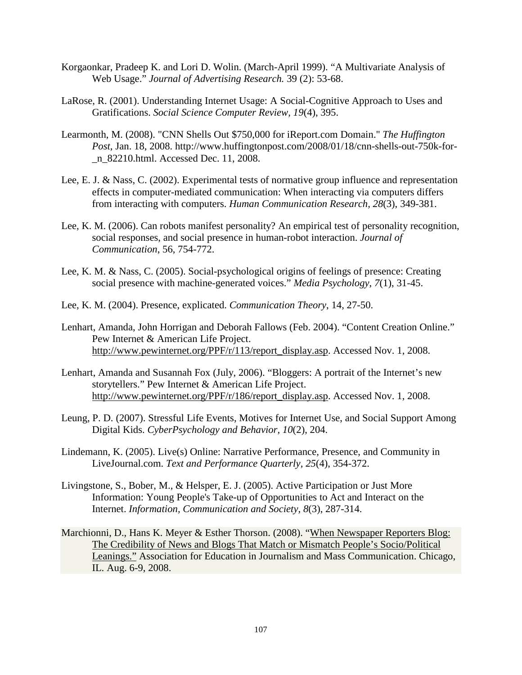- Korgaonkar, Pradeep K. and Lori D. Wolin. (March-April 1999). "A Multivariate Analysis of Web Usage." *Journal of Advertising Research.* 39 (2): 53-68.
- LaRose, R. (2001). Understanding Internet Usage: A Social-Cognitive Approach to Uses and Gratifications. *Social Science Computer Review, 19*(4), 395.
- Learmonth, M. (2008). "CNN Shells Out \$750,000 for iReport.com Domain." *The Huffington Post,* Jan. 18, 2008. http://www.huffingtonpost.com/2008/01/18/cnn-shells-out-750k-for- \_n\_82210.html. Accessed Dec. 11, 2008.
- Lee, E. J. & Nass, C. (2002). Experimental tests of normative group influence and representation effects in computer-mediated communication: When interacting via computers differs from interacting with computers. *Human Communication Research, 28*(3), 349-381.
- Lee, K. M. (2006). Can robots manifest personality? An empirical test of personality recognition, social responses, and social presence in human-robot interaction. *Journal of Communication*, 56, 754-772.
- Lee, K. M. & Nass, C. (2005). Social-psychological origins of feelings of presence: Creating social presence with machine-generated voices." *Media Psychology*, *7*(1), 31-45.
- Lee, K. M. (2004). Presence, explicated. *Communication Theory*, 14, 27-50.
- Lenhart, Amanda, John Horrigan and Deborah Fallows (Feb. 2004). "Content Creation Online." Pew Internet & American Life Project. [http://www.pewinternet.org/PPF/r/113/report\\_display.asp.](http://www.pewinternet.org/PPF/r/113/report_display.asp) Accessed Nov. 1, 2008.
- Lenhart, Amanda and Susannah Fox (July, 2006). "Bloggers: A portrait of the Internet's new storytellers." Pew Internet & American Life Project. [http://www.pewinternet.org/PPF/r/186/report\\_display.asp.](http://www.pewinternet.org/PPF/r/186/report_display.asp) Accessed Nov. 1, 2008.
- Leung, P. D. (2007). Stressful Life Events, Motives for Internet Use, and Social Support Among Digital Kids. *CyberPsychology and Behavior, 10*(2), 204.
- Lindemann, K. (2005). Live(s) Online: Narrative Performance, Presence, and Community in LiveJournal.com. *Text and Performance Quarterly, 25*(4), 354-372.
- Livingstone, S., Bober, M., & Helsper, E. J. (2005). Active Participation or Just More Information: Young People's Take-up of Opportunities to Act and Interact on the Internet. *Information, Communication and Society, 8*(3), 287-314.
- Marchionni, D., Hans K. Meyer & Esther Thorson. (2008). ["When Newspaper Reporters Blog:](http://web.missouri.edu/~hkm3hb/Research/HMEpaperFINAL.doc)  [The Credibility of News and Blogs That Match or Mismatch People's Socio/Political](http://web.missouri.edu/~hkm3hb/Research/HMEpaperFINAL.doc)  [Leanings."](http://web.missouri.edu/~hkm3hb/Research/HMEpaperFINAL.doc) Association for Education in Journalism and Mass Communication. Chicago, IL. Aug. 6-9, 2008.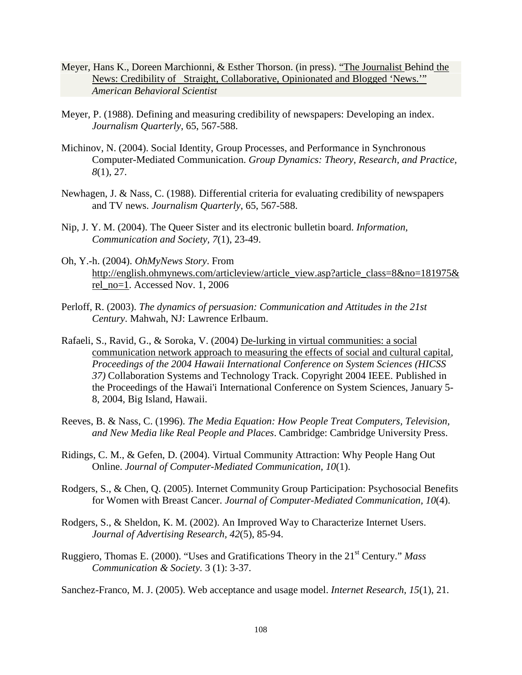- Meyer, Hans K., Doreen Marchionni, & Esther Thorson. (in press). ["The Journalist Behind](http://web.missouri.edu/~hkm3hb/Research/SP%20experiment%20ABS.doc) the [News: Credibility of Straight, Collaborative, Opinionated and Blogged 'News.'"](http://web.missouri.edu/~hkm3hb/Research/SP%20experiment%20ABS.doc) *American Behavioral Scientist*
- Meyer, P. (1988). Defining and measuring credibility of newspapers: Developing an index. *Journalism Quarterly*, 65, 567-588.
- Michinov, N. (2004). Social Identity, Group Processes, and Performance in Synchronous Computer-Mediated Communication. *Group Dynamics: Theory, Research, and Practice, 8*(1), 27.
- Newhagen, J. & Nass, C. (1988). Differential criteria for evaluating credibility of newspapers and TV news. *Journalism Quarterly*, 65, 567-588.
- Nip, J. Y. M. (2004). The Queer Sister and its electronic bulletin board. *Information, Communication and Society, 7*(1), 23-49.
- Oh, Y.-h. (2004). *OhMyNews Story*. From [http://english.ohmynews.com/articleview/article\\_view.asp?article\\_class=8&no=181975&](http://english.ohmynews.com/articleview/article_view.asp?article_class=8&no=181975&rel_no=1) [rel\\_no=1.](http://english.ohmynews.com/articleview/article_view.asp?article_class=8&no=181975&rel_no=1) Accessed Nov. 1, 2006
- Perloff, R. (2003). *The dynamics of persuasion: Communication and Attitudes in the 21st Century*. Mahwah, NJ: Lawrence Erlbaum.
- Rafaeli, S., Ravid, G., & Soroka, V. (2004) [De-lurking in virtual communities: a social](http://sheizaf.rafaeli.net/publications/RafaeliRavidSorokaDeLurking2004Hicss37.pdf)  [communication network approach to measuring the effects of social and cultural capital,](http://sheizaf.rafaeli.net/publications/RafaeliRavidSorokaDeLurking2004Hicss37.pdf) *Proceedings of the 2004 Hawaii International Conference on System Sciences (HICSS 37)* Collaboration Systems and Technology Track. Copyright 2004 IEEE. Published in the Proceedings of the Hawai'i International Conference on System Sciences, January 5- 8, 2004, Big Island, Hawaii.
- Reeves, B. & Nass, C. (1996). *The Media Equation: How People Treat Computers, Television, and New Media like Real People and Places*. Cambridge: Cambridge University Press.
- Ridings, C. M., & Gefen, D. (2004). Virtual Community Attraction: Why People Hang Out Online. *Journal of Computer-Mediated Communication, 10*(1).
- Rodgers, S., & Chen, Q. (2005). Internet Community Group Participation: Psychosocial Benefits for Women with Breast Cancer. *Journal of Computer-Mediated Communication, 10*(4).
- Rodgers, S., & Sheldon, K. M. (2002). An Improved Way to Characterize Internet Users. *Journal of Advertising Research, 42*(5), 85-94.
- Ruggiero, Thomas E. (2000). "Uses and Gratifications Theory in the 21st Century." *Mass Communication & Society.* 3 (1): 3-37.

Sanchez-Franco, M. J. (2005). Web acceptance and usage model. *Internet Research, 15*(1), 21.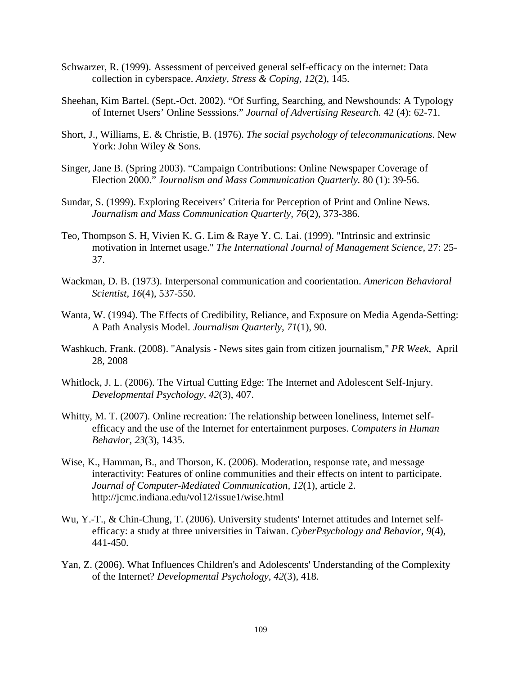- Schwarzer, R. (1999). Assessment of perceived general self-efficacy on the internet: Data collection in cyberspace. *Anxiety, Stress & Coping, 12*(2), 145.
- Sheehan, Kim Bartel. (Sept.-Oct. 2002). "Of Surfing, Searching, and Newshounds: A Typology of Internet Users' Online Sesssions." *Journal of Advertising Research.* 42 (4): 62-71.
- Short, J., Williams, E. & Christie, B. (1976). *The social psychology of telecommunications*. New York: John Wiley & Sons.
- Singer, Jane B. (Spring 2003). "Campaign Contributions: Online Newspaper Coverage of Election 2000." *Journalism and Mass Communication Quarterly.* 80 (1): 39-56.
- Sundar, S. (1999). Exploring Receivers' Criteria for Perception of Print and Online News. *Journalism and Mass Communication Quarterly, 76*(2), 373-386.
- Teo, Thompson S. H, Vivien K. G. Lim & Raye Y. C. Lai. (1999). "Intrinsic and extrinsic motivation in Internet usage." *The International Journal of Management Science,* 27: 25- 37.
- Wackman, D. B. (1973). Interpersonal communication and coorientation. *American Behavioral Scientist, 16*(4), 537-550.
- Wanta, W. (1994). The Effects of Credibility, Reliance, and Exposure on Media Agenda-Setting: A Path Analysis Model. *Journalism Quarterly, 71*(1), 90.
- Washkuch, Frank. (2008). "Analysis News sites gain from citizen journalism," *PR Week*, April 28, 2008
- Whitlock, J. L. (2006). The Virtual Cutting Edge: The Internet and Adolescent Self-Injury. *Developmental Psychology, 42*(3), 407.
- Whitty, M. T. (2007). Online recreation: The relationship between loneliness, Internet selfefficacy and the use of the Internet for entertainment purposes. *Computers in Human Behavior, 23*(3), 1435.
- Wise, K., Hamman, B., and Thorson, K. (2006). Moderation, response rate, and message interactivity: Features of online communities and their effects on intent to participate. *Journal of Computer-Mediated Communication, 12*(1), article 2. [http://jcmc.indiana.edu/vol12/issue1/wise.html](http://jcmc.indiana.edu/vol11/issue4/wise.html)
- Wu, Y.-T., & Chin-Chung, T. (2006). University students' Internet attitudes and Internet selfefficacy: a study at three universities in Taiwan. *CyberPsychology and Behavior, 9*(4), 441-450.
- Yan, Z. (2006). What Influences Children's and Adolescents' Understanding of the Complexity of the Internet? *Developmental Psychology, 42*(3), 418.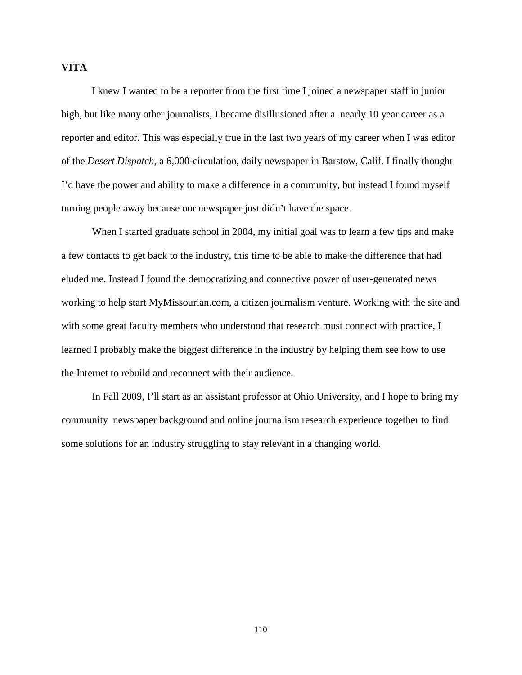# **VITA**

I knew I wanted to be a reporter from the first time I joined a newspaper staff in junior high, but like many other journalists, I became disillusioned after a nearly 10 year career as a reporter and editor. This was especially true in the last two years of my career when I was editor of the *Desert Dispatch*, a 6,000-circulation, daily newspaper in Barstow, Calif. I finally thought I'd have the power and ability to make a difference in a community, but instead I found myself turning people away because our newspaper just didn't have the space.

When I started graduate school in 2004, my initial goal was to learn a few tips and make a few contacts to get back to the industry, this time to be able to make the difference that had eluded me. Instead I found the democratizing and connective power of user-generated news working to help start MyMissourian.com, a citizen journalism venture. Working with the site and with some great faculty members who understood that research must connect with practice, I learned I probably make the biggest difference in the industry by helping them see how to use the Internet to rebuild and reconnect with their audience.

In Fall 2009, I'll start as an assistant professor at Ohio University, and I hope to bring my community newspaper background and online journalism research experience together to find some solutions for an industry struggling to stay relevant in a changing world.

110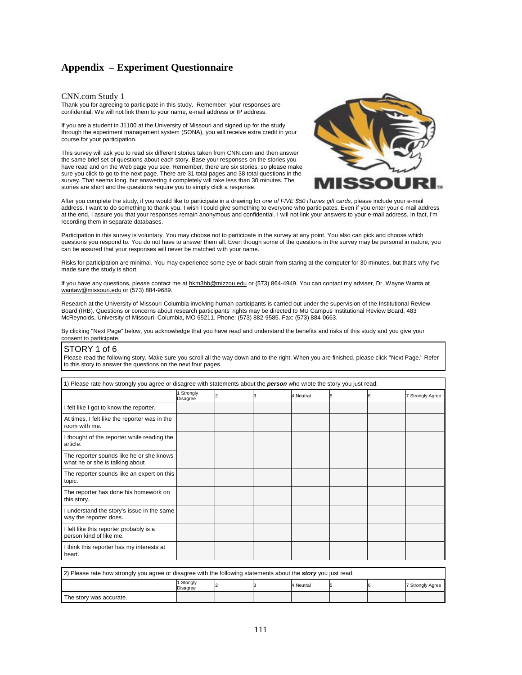# **Appendix – Experiment Questionnaire**

#### CNN.com Study 1

Thank you for agreeing to participate in this study. Remember, your responses are confidential. We will not link them to your name, e-mail address or IP address.

If you are a student in J1100 at the University of Missouri and signed up for the study through the experiment management system (SONA), you will receive extra credit in your course for your participation.

This survey will ask you to read six different stories taken from CNN.com and then answer the same brief set of questions about each story. Base your responses on the stories you have read and on the Web page you see. Remember, there are six stories, so please make sure you click to go to the next page. There are 31 total pages and 38 total questions in the survey. That seems long, but answering it completely will take less than 30 minutes. The stories are short and the questions require you to simply click a response.



After you complete the study, if you would like to participate in a drawing for *one of FIVE \$50 iTunes gift cards,* please include your e-mail address. I want to do something to thank you. I wish I could give something to everyone who participates. Even if you enter your e-mail address at the end, I assure you that your responses remain anonymous and confidential. I will not link your answers to your e-mail address. In fact, I'm recording them in separate databases.

Participation in this survey is voluntary. You may choose not to participate in the survey at any point. You also can pick and choose which questions you respond to. You do not have to answer them all. Even though some of the questions in the survey may be personal in nature, you can be assured that your responses will never be matched with your name.

Risks for participation are minimal. You may experience some eye or back strain from staring at the computer for 30 minutes, but that's why I've made sure the study is short.

If you have any questions, please contact me at [hkm3hb@mizzou.edu](mailto:hkm3hb@mizzou.edu) or (573) 864-4949. You can contact my adviser, Dr. Wayne Wanta at [wantaw@missouri.edu](mailto:wantaw@missouri.edu) or (573) 884-9689.

Research at the University of Missouri-Columbia involving human participants is carried out under the supervision of the Institutional Review Board (IRB). Questions or concerns about research participants' rights may be directed to MU Campus Institutional Review Board, 483 McReynolds, University of Missouri, Columbia, MO 65211. Phone: (573) 882-9585. Fax: (573) 884-0663.

By clicking "Next Page" below, you acknowledge that you have read and understand the benefits and risks of this study and you give your consent to participate.

#### STORY 1 of 6

| 1) Please rate how strongly you agree or disagree with statements about the <b>person</b> who wrote the story you just read: |                             |  |  |           |  |  |                  |  |  |
|------------------------------------------------------------------------------------------------------------------------------|-----------------------------|--|--|-----------|--|--|------------------|--|--|
|                                                                                                                              | Strongly<br><b>Disagree</b> |  |  | 4 Neutral |  |  | 7 Strongly Agree |  |  |
| I felt like I got to know the reporter.                                                                                      |                             |  |  |           |  |  |                  |  |  |
| At times, I felt like the reporter was in the<br>room with me.                                                               |                             |  |  |           |  |  |                  |  |  |
| I thought of the reporter while reading the<br>article.                                                                      |                             |  |  |           |  |  |                  |  |  |
| The reporter sounds like he or she knows<br>what he or she is talking about                                                  |                             |  |  |           |  |  |                  |  |  |
| The reporter sounds like an expert on this<br>topic.                                                                         |                             |  |  |           |  |  |                  |  |  |
| The reporter has done his homework on<br>this story.                                                                         |                             |  |  |           |  |  |                  |  |  |
| understand the story's issue in the same<br>way the reporter does.                                                           |                             |  |  |           |  |  |                  |  |  |
| I felt like this reporter probably is a<br>person kind of like me.                                                           |                             |  |  |           |  |  |                  |  |  |
| I think this reporter has my interests at<br>heart.                                                                          |                             |  |  |           |  |  |                  |  |  |

| [2] Please rate how strongly you agree or disagree with the following statements about the <b>story</b> you just read. |  |  |  |  |  |  |  |  |  |
|------------------------------------------------------------------------------------------------------------------------|--|--|--|--|--|--|--|--|--|
| Stongly<br>4 Neutral<br>7 Strongly Agree<br>Disagree                                                                   |  |  |  |  |  |  |  |  |  |
| The story was accurate.                                                                                                |  |  |  |  |  |  |  |  |  |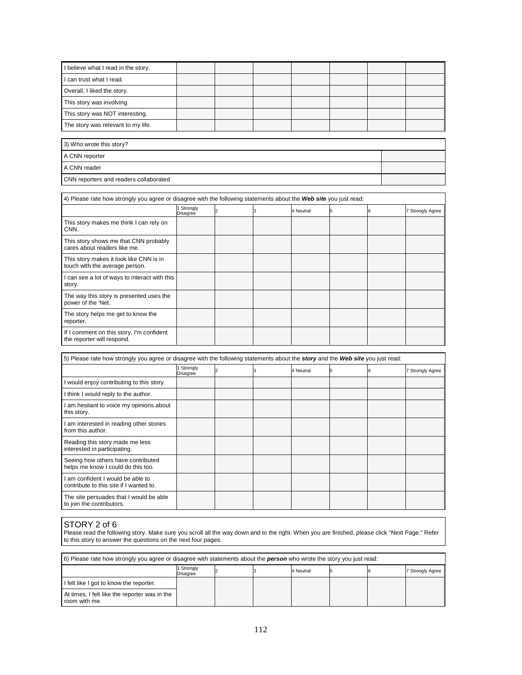| I believe what I read in the story. |  |  |  |  |
|-------------------------------------|--|--|--|--|
| I can trust what I read.            |  |  |  |  |
| Overall, I liked the story.         |  |  |  |  |
| This story was involving.           |  |  |  |  |
| This story was NOT interesting.     |  |  |  |  |
| The story was relevant to my life.  |  |  |  |  |

| 3) Who wrote this story?               |  |  |  |  |  |  |  |
|----------------------------------------|--|--|--|--|--|--|--|
| A CNN reporter                         |  |  |  |  |  |  |  |
| A CNN reader                           |  |  |  |  |  |  |  |
| CNN reporters and readers collaborated |  |  |  |  |  |  |  |

| 4) Please rate how strongly you agree or disagree with the following statements about the Web site you just read: |                      |  |  |           |  |  |                  |  |  |  |
|-------------------------------------------------------------------------------------------------------------------|----------------------|--|--|-----------|--|--|------------------|--|--|--|
|                                                                                                                   | Strongly<br>Disagree |  |  | 4 Neutral |  |  | 7 Strongly Agree |  |  |  |
| This story makes me think I can rely on<br>CNN.                                                                   |                      |  |  |           |  |  |                  |  |  |  |
| This story shows me that CNN probably<br>cares about readers like me.                                             |                      |  |  |           |  |  |                  |  |  |  |
| This story makes it look like CNN is in<br>touch with the average person.                                         |                      |  |  |           |  |  |                  |  |  |  |
| I can see a lot of ways to interact with this<br>story.                                                           |                      |  |  |           |  |  |                  |  |  |  |
| The way this story is presented uses the<br>power of the 'Net.                                                    |                      |  |  |           |  |  |                  |  |  |  |
| The story helps me get to know the<br>reporter.                                                                   |                      |  |  |           |  |  |                  |  |  |  |
| If I comment on this story, I'm confident<br>the reporter will respond.                                           |                      |  |  |           |  |  |                  |  |  |  |

| 5) Please rate how strongly you agree or disagree with the following statements about the <i>story</i> and the Web site you just read: |                      |  |  |           |  |  |                  |  |  |
|----------------------------------------------------------------------------------------------------------------------------------------|----------------------|--|--|-----------|--|--|------------------|--|--|
|                                                                                                                                        | Strongly<br>Disagree |  |  | 4 Neutral |  |  | 7 Strongly Agree |  |  |
| I would enjoy contributing to this story.                                                                                              |                      |  |  |           |  |  |                  |  |  |
| I think I would reply to the author.                                                                                                   |                      |  |  |           |  |  |                  |  |  |
| I am hesitant to voice my opinions about<br>this story.                                                                                |                      |  |  |           |  |  |                  |  |  |
| I am interested in reading other stories<br>from this author.                                                                          |                      |  |  |           |  |  |                  |  |  |
| Reading this story made me less<br>interested in participating.                                                                        |                      |  |  |           |  |  |                  |  |  |
| Seeing how others have contributed<br>helps me know I could do this too.                                                               |                      |  |  |           |  |  |                  |  |  |
| I am confident I would be able to<br>contribute to this site if I wanted to.                                                           |                      |  |  |           |  |  |                  |  |  |
| The site persuades that I would be able<br>to join the contributors.                                                                   |                      |  |  |           |  |  |                  |  |  |

## STORY 2 of 6

| [6] Please rate how strongly you agree or disagree with statements about the <b>person</b> who wrote the story you just read: |                      |  |  |           |  |  |                  |  |  |
|-------------------------------------------------------------------------------------------------------------------------------|----------------------|--|--|-----------|--|--|------------------|--|--|
|                                                                                                                               | Strongly<br>Disagree |  |  | 4 Neutral |  |  | 7 Strongly Agree |  |  |
| I felt like I got to know the reporter.                                                                                       |                      |  |  |           |  |  |                  |  |  |
| At times, I felt like the reporter was in the<br>room with me.                                                                |                      |  |  |           |  |  |                  |  |  |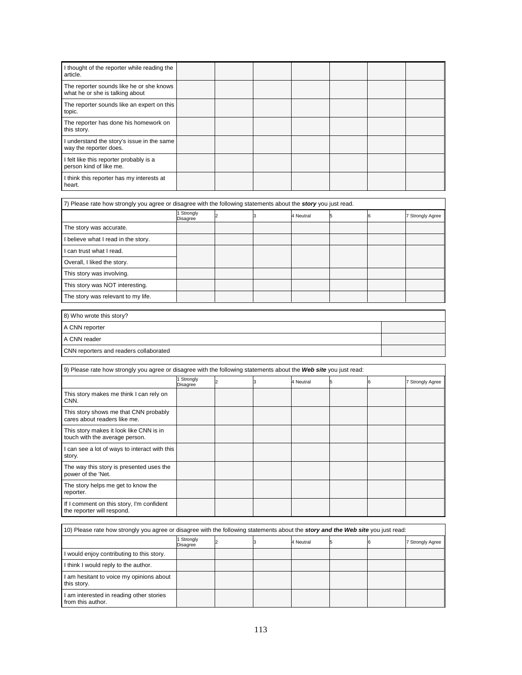| I thought of the reporter while reading the<br>article.                     |  |  |  |  |
|-----------------------------------------------------------------------------|--|--|--|--|
| The reporter sounds like he or she knows<br>what he or she is talking about |  |  |  |  |
| The reporter sounds like an expert on this<br>topic.                        |  |  |  |  |
| The reporter has done his homework on<br>this story.                        |  |  |  |  |
| I understand the story's issue in the same<br>way the reporter does.        |  |  |  |  |
| I felt like this reporter probably is a<br>person kind of like me.          |  |  |  |  |
| I think this reporter has my interests at<br>heart.                         |  |  |  |  |

| 7) Please rate how strongly you agree or disagree with the following statements about the <i>story</i> you just read. |                      |  |  |           |  |  |                         |  |  |
|-----------------------------------------------------------------------------------------------------------------------|----------------------|--|--|-----------|--|--|-------------------------|--|--|
|                                                                                                                       | Strongly<br>Disagree |  |  | 4 Neutral |  |  | <b>7 Strongly Agree</b> |  |  |
| The story was accurate.                                                                                               |                      |  |  |           |  |  |                         |  |  |
| believe what I read in the story.                                                                                     |                      |  |  |           |  |  |                         |  |  |
| can trust what I read.                                                                                                |                      |  |  |           |  |  |                         |  |  |
| Overall, I liked the story.                                                                                           |                      |  |  |           |  |  |                         |  |  |
| This story was involving.                                                                                             |                      |  |  |           |  |  |                         |  |  |
| This story was NOT interesting.                                                                                       |                      |  |  |           |  |  |                         |  |  |
| The story was relevant to my life.                                                                                    |                      |  |  |           |  |  |                         |  |  |

| 8) Who wrote this story?               |  |  |  |  |  |  |  |
|----------------------------------------|--|--|--|--|--|--|--|
| A CNN reporter                         |  |  |  |  |  |  |  |
| A CNN reader                           |  |  |  |  |  |  |  |
| CNN reporters and readers collaborated |  |  |  |  |  |  |  |

| 9) Please rate how strongly you agree or disagree with the following statements about the Web site you just read: |                      |  |  |           |   |  |                  |  |  |
|-------------------------------------------------------------------------------------------------------------------|----------------------|--|--|-----------|---|--|------------------|--|--|
|                                                                                                                   | Strongly<br>Disagree |  |  | 4 Neutral | ь |  | 7 Strongly Agree |  |  |
| This story makes me think I can rely on<br>CNN.                                                                   |                      |  |  |           |   |  |                  |  |  |
| This story shows me that CNN probably<br>cares about readers like me.                                             |                      |  |  |           |   |  |                  |  |  |
| This story makes it look like CNN is in<br>touch with the average person.                                         |                      |  |  |           |   |  |                  |  |  |
| can see a lot of ways to interact with this<br>story.                                                             |                      |  |  |           |   |  |                  |  |  |
| The way this story is presented uses the<br>power of the 'Net.                                                    |                      |  |  |           |   |  |                  |  |  |
| The story helps me get to know the<br>reporter.                                                                   |                      |  |  |           |   |  |                  |  |  |
| If I comment on this story, I'm confident<br>the reporter will respond.                                           |                      |  |  |           |   |  |                  |  |  |

| 10) Please rate how strongly you agree or disagree with the following statements about the <b>story and the Web site</b> you just read: |                      |  |  |           |  |  |                         |  |  |
|-----------------------------------------------------------------------------------------------------------------------------------------|----------------------|--|--|-----------|--|--|-------------------------|--|--|
|                                                                                                                                         | Strongly<br>Disagree |  |  | 4 Neutral |  |  | <b>7 Strongly Agree</b> |  |  |
| would enjoy contributing to this story.                                                                                                 |                      |  |  |           |  |  |                         |  |  |
| I think I would reply to the author.                                                                                                    |                      |  |  |           |  |  |                         |  |  |
| I am hesitant to voice my opinions about<br>this story.                                                                                 |                      |  |  |           |  |  |                         |  |  |
| am interested in reading other stories<br>from this author.                                                                             |                      |  |  |           |  |  |                         |  |  |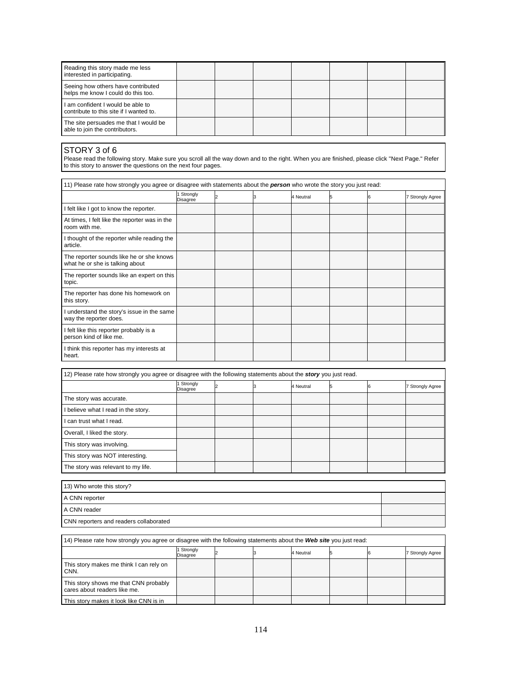| Reading this story made me less<br>interested in participating.                |  |  |  |  |
|--------------------------------------------------------------------------------|--|--|--|--|
| Seeing how others have contributed<br>helps me know I could do this too.       |  |  |  |  |
| I I am confident I would be able to<br>contribute to this site if I wanted to. |  |  |  |  |
| The site persuades me that I would be<br>able to join the contributors.        |  |  |  |  |

## STORY 3 of 6

| 11) Please rate how strongly you agree or disagree with statements about the <b>person</b> who wrote the story you just read: |                      |  |  |           |   |  |                  |  |  |
|-------------------------------------------------------------------------------------------------------------------------------|----------------------|--|--|-----------|---|--|------------------|--|--|
|                                                                                                                               | Strongly<br>Disagree |  |  | 4 Neutral | 5 |  | 7 Strongly Agree |  |  |
| felt like I got to know the reporter.                                                                                         |                      |  |  |           |   |  |                  |  |  |
| At times, I felt like the reporter was in the<br>room with me.                                                                |                      |  |  |           |   |  |                  |  |  |
| thought of the reporter while reading the<br>article.                                                                         |                      |  |  |           |   |  |                  |  |  |
| The reporter sounds like he or she knows<br>what he or she is talking about                                                   |                      |  |  |           |   |  |                  |  |  |
| The reporter sounds like an expert on this<br>topic.                                                                          |                      |  |  |           |   |  |                  |  |  |
| The reporter has done his homework on<br>this story.                                                                          |                      |  |  |           |   |  |                  |  |  |
| understand the story's issue in the same<br>way the reporter does.                                                            |                      |  |  |           |   |  |                  |  |  |
| felt like this reporter probably is a<br>person kind of like me.                                                              |                      |  |  |           |   |  |                  |  |  |
| think this reporter has my interests at<br>heart.                                                                             |                      |  |  |           |   |  |                  |  |  |

| 12) Please rate how strongly you agree or disagree with the following statements about the <i>story</i> you just read. |                      |  |  |           |  |  |                       |  |  |
|------------------------------------------------------------------------------------------------------------------------|----------------------|--|--|-----------|--|--|-----------------------|--|--|
|                                                                                                                        | Strongly<br>Disagree |  |  | 4 Neutral |  |  | <b>Strongly Agree</b> |  |  |
| The story was accurate.                                                                                                |                      |  |  |           |  |  |                       |  |  |
| believe what I read in the story.                                                                                      |                      |  |  |           |  |  |                       |  |  |
| can trust what I read.                                                                                                 |                      |  |  |           |  |  |                       |  |  |
| Overall, I liked the story.                                                                                            |                      |  |  |           |  |  |                       |  |  |
| This story was involving.                                                                                              |                      |  |  |           |  |  |                       |  |  |
| This story was NOT interesting.                                                                                        |                      |  |  |           |  |  |                       |  |  |
| The story was relevant to my life.                                                                                     |                      |  |  |           |  |  |                       |  |  |

| 13) Who wrote this story?              |  |
|----------------------------------------|--|
| A CNN reporter                         |  |
| A CNN reader                           |  |
| CNN reporters and readers collaborated |  |

| 14) Please rate how strongly you agree or disagree with the following statements about the Web site you just read: |                      |  |  |           |  |  |                  |  |  |
|--------------------------------------------------------------------------------------------------------------------|----------------------|--|--|-----------|--|--|------------------|--|--|
|                                                                                                                    | Strongly<br>Disagree |  |  | 4 Neutral |  |  | 7 Strongly Agree |  |  |
| This story makes me think I can rely on<br>CNN.                                                                    |                      |  |  |           |  |  |                  |  |  |
| This story shows me that CNN probably<br>cares about readers like me.                                              |                      |  |  |           |  |  |                  |  |  |
| This story makes it look like CNN is in                                                                            |                      |  |  |           |  |  |                  |  |  |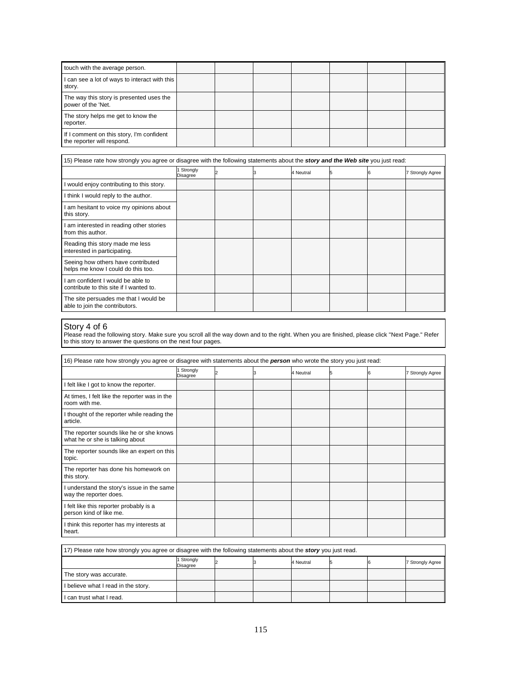| touch with the average person.                                          |  |  |  |  |
|-------------------------------------------------------------------------|--|--|--|--|
| can see a lot of ways to interact with this<br>story.                   |  |  |  |  |
| The way this story is presented uses the<br>power of the 'Net.          |  |  |  |  |
| The story helps me get to know the<br>reporter.                         |  |  |  |  |
| If I comment on this story, I'm confident<br>the reporter will respond. |  |  |  |  |

| 15) Please rate how strongly you agree or disagree with the following statements about the <i>story and the Web site</i> you just read: |                      |  |  |           |   |  |                |  |  |
|-----------------------------------------------------------------------------------------------------------------------------------------|----------------------|--|--|-----------|---|--|----------------|--|--|
|                                                                                                                                         | Strongly<br>Disagree |  |  | 4 Neutral | ь |  | Strongly Agree |  |  |
| I would enjoy contributing to this story.                                                                                               |                      |  |  |           |   |  |                |  |  |
| I think I would reply to the author.                                                                                                    |                      |  |  |           |   |  |                |  |  |
| am hesitant to voice my opinions about<br>this story.                                                                                   |                      |  |  |           |   |  |                |  |  |
| am interested in reading other stories<br>from this author.                                                                             |                      |  |  |           |   |  |                |  |  |
| Reading this story made me less<br>interested in participating.                                                                         |                      |  |  |           |   |  |                |  |  |
| Seeing how others have contributed<br>helps me know I could do this too.                                                                |                      |  |  |           |   |  |                |  |  |
| I am confident I would be able to<br>contribute to this site if I wanted to.                                                            |                      |  |  |           |   |  |                |  |  |
| The site persuades me that I would be<br>able to join the contributors.                                                                 |                      |  |  |           |   |  |                |  |  |

| 16) Please rate how strongly you agree or disagree with statements about the <b>person</b> who wrote the story you just read: |                             |  |  |           |   |  |                  |  |  |
|-------------------------------------------------------------------------------------------------------------------------------|-----------------------------|--|--|-----------|---|--|------------------|--|--|
|                                                                                                                               | Strongly<br><b>Disagree</b> |  |  | 4 Neutral | 5 |  | 7 Strongly Agree |  |  |
| I felt like I got to know the reporter.                                                                                       |                             |  |  |           |   |  |                  |  |  |
| At times, I felt like the reporter was in the<br>room with me.                                                                |                             |  |  |           |   |  |                  |  |  |
| I thought of the reporter while reading the<br>article.                                                                       |                             |  |  |           |   |  |                  |  |  |
| The reporter sounds like he or she knows<br>what he or she is talking about                                                   |                             |  |  |           |   |  |                  |  |  |
| The reporter sounds like an expert on this<br>topic.                                                                          |                             |  |  |           |   |  |                  |  |  |
| The reporter has done his homework on<br>this story.                                                                          |                             |  |  |           |   |  |                  |  |  |
| I understand the story's issue in the same<br>way the reporter does.                                                          |                             |  |  |           |   |  |                  |  |  |
| I felt like this reporter probably is a<br>person kind of like me.                                                            |                             |  |  |           |   |  |                  |  |  |
| I think this reporter has my interests at<br>heart.                                                                           |                             |  |  |           |   |  |                  |  |  |

| 17) Please rate how strongly you agree or disagree with the following statements about the <i>story</i> you just read. |                      |  |  |           |  |  |                  |  |
|------------------------------------------------------------------------------------------------------------------------|----------------------|--|--|-----------|--|--|------------------|--|
|                                                                                                                        | Strongly<br>Disagree |  |  | 4 Neutral |  |  | 7 Strongly Agree |  |
| The story was accurate.                                                                                                |                      |  |  |           |  |  |                  |  |
| I believe what I read in the story.                                                                                    |                      |  |  |           |  |  |                  |  |
| I can trust what I read.                                                                                               |                      |  |  |           |  |  |                  |  |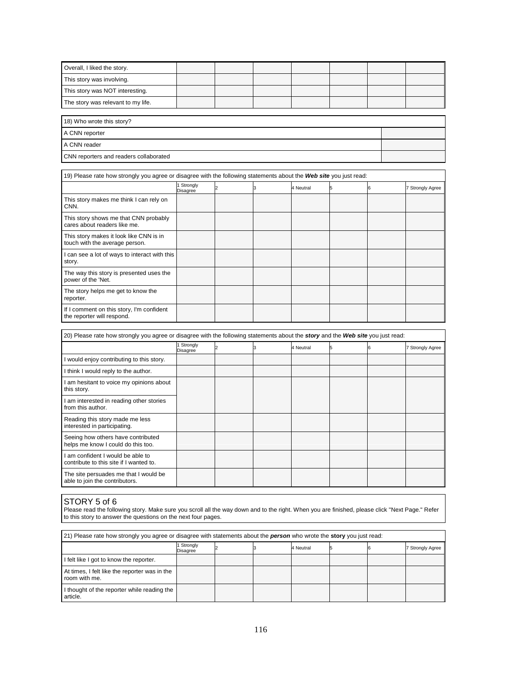| Overall, I liked the story.        |  |  |  |  |
|------------------------------------|--|--|--|--|
| This story was involving.          |  |  |  |  |
| This story was NOT interesting.    |  |  |  |  |
| The story was relevant to my life. |  |  |  |  |

18) Who wrote this story?

| <b>10)</b> VVIID WIDLD LIND SLOTY:     |  |
|----------------------------------------|--|
| A CNN reporter                         |  |
| A CNN reader                           |  |
| CNN reporters and readers collaborated |  |

| 19) Please rate how strongly you agree or disagree with the following statements about the Web site you just read: |                      |  |  |           |  |  |                         |  |  |
|--------------------------------------------------------------------------------------------------------------------|----------------------|--|--|-----------|--|--|-------------------------|--|--|
|                                                                                                                    | Strongly<br>Disagree |  |  | 4 Neutral |  |  | <b>7 Strongly Agree</b> |  |  |
| This story makes me think I can rely on<br>CNN.                                                                    |                      |  |  |           |  |  |                         |  |  |
| This story shows me that CNN probably<br>cares about readers like me.                                              |                      |  |  |           |  |  |                         |  |  |
| This story makes it look like CNN is in<br>touch with the average person.                                          |                      |  |  |           |  |  |                         |  |  |
| I can see a lot of ways to interact with this<br>story.                                                            |                      |  |  |           |  |  |                         |  |  |
| The way this story is presented uses the<br>power of the 'Net.                                                     |                      |  |  |           |  |  |                         |  |  |
| The story helps me get to know the<br>reporter.                                                                    |                      |  |  |           |  |  |                         |  |  |
| If I comment on this story, I'm confident<br>the reporter will respond.                                            |                      |  |  |           |  |  |                         |  |  |

| 20) Please rate how strongly you agree or disagree with the following statements about the story and the Web site you just read: |                      |  |  |           |  |  |                  |  |  |
|----------------------------------------------------------------------------------------------------------------------------------|----------------------|--|--|-----------|--|--|------------------|--|--|
|                                                                                                                                  | Strongly<br>Disagree |  |  | 4 Neutral |  |  | 7 Strongly Agree |  |  |
| would enjoy contributing to this story.                                                                                          |                      |  |  |           |  |  |                  |  |  |
| think I would reply to the author.                                                                                               |                      |  |  |           |  |  |                  |  |  |
| am hesitant to voice my opinions about<br>this story.                                                                            |                      |  |  |           |  |  |                  |  |  |
| am interested in reading other stories<br>from this author.                                                                      |                      |  |  |           |  |  |                  |  |  |
| Reading this story made me less<br>interested in participating.                                                                  |                      |  |  |           |  |  |                  |  |  |
| Seeing how others have contributed<br>helps me know I could do this too.                                                         |                      |  |  |           |  |  |                  |  |  |
| am confident I would be able to<br>contribute to this site if I wanted to.                                                       |                      |  |  |           |  |  |                  |  |  |
| The site persuades me that I would be<br>able to join the contributors.                                                          |                      |  |  |           |  |  |                  |  |  |

#### STORY 5 of 6

| 21) Please rate how strongly you agree or disagree with statements about the <b>person</b> who wrote the <b>story</b> you just read: |                      |  |  |           |  |  |                  |  |
|--------------------------------------------------------------------------------------------------------------------------------------|----------------------|--|--|-----------|--|--|------------------|--|
|                                                                                                                                      | Strongly<br>Disagree |  |  | 4 Neutral |  |  | 7 Strongly Agree |  |
| I felt like I got to know the reporter.                                                                                              |                      |  |  |           |  |  |                  |  |
| At times, I felt like the reporter was in the<br>room with me.                                                                       |                      |  |  |           |  |  |                  |  |
| I thought of the reporter while reading the<br>article.                                                                              |                      |  |  |           |  |  |                  |  |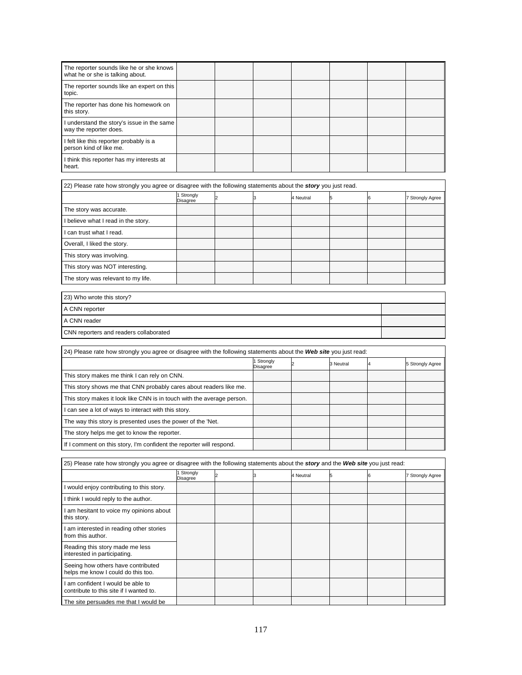| The reporter sounds like he or she knows<br>what he or she is talking about. |  |  |  |  |
|------------------------------------------------------------------------------|--|--|--|--|
| The reporter sounds like an expert on this<br>topic.                         |  |  |  |  |
| The reporter has done his homework on<br>this story.                         |  |  |  |  |
| I understand the story's issue in the same<br>way the reporter does.         |  |  |  |  |
| I felt like this reporter probably is a<br>person kind of like me.           |  |  |  |  |
| I think this reporter has my interests at<br>heart.                          |  |  |  |  |

| 22) Please rate how strongly you agree or disagree with the following statements about the <i>story</i> you just read. |                      |  |  |           |  |  |                  |  |
|------------------------------------------------------------------------------------------------------------------------|----------------------|--|--|-----------|--|--|------------------|--|
|                                                                                                                        | Strongly<br>Disagree |  |  | 4 Neutral |  |  | 7 Strongly Agree |  |
| The story was accurate.                                                                                                |                      |  |  |           |  |  |                  |  |
| believe what I read in the story.                                                                                      |                      |  |  |           |  |  |                  |  |
| can trust what I read.                                                                                                 |                      |  |  |           |  |  |                  |  |
| Overall, I liked the story.                                                                                            |                      |  |  |           |  |  |                  |  |
| This story was involving.                                                                                              |                      |  |  |           |  |  |                  |  |
| This story was NOT interesting.                                                                                        |                      |  |  |           |  |  |                  |  |
| The story was relevant to my life.                                                                                     |                      |  |  |           |  |  |                  |  |

| 23) Who wrote this story?              |  |
|----------------------------------------|--|
| A CNN reporter                         |  |
| A CNN reader                           |  |
| CNN reporters and readers collaborated |  |
|                                        |  |

24) Please rate how strongly you agree or disagree with the following statements about the *Web site* you just read:

|                                                                        | <b>i</b> Strongly<br>Disagree | 3 Neutral | 5 Strongly Agree |
|------------------------------------------------------------------------|-------------------------------|-----------|------------------|
| This story makes me think I can rely on CNN.                           |                               |           |                  |
| This story shows me that CNN probably cares about readers like me.     |                               |           |                  |
| This story makes it look like CNN is in touch with the average person. |                               |           |                  |
| can see a lot of ways to interact with this story.                     |                               |           |                  |
| The way this story is presented uses the power of the 'Net.            |                               |           |                  |
| The story helps me get to know the reporter.                           |                               |           |                  |
| If I comment on this story, I'm confident the reporter will respond.   |                               |           |                  |

|                                                                            | Strongly<br>Disagree |  | 4 Neutral |  | Strongly Agree |
|----------------------------------------------------------------------------|----------------------|--|-----------|--|----------------|
| would enjoy contributing to this story.                                    |                      |  |           |  |                |
| I think I would reply to the author.                                       |                      |  |           |  |                |
| am hesitant to voice my opinions about<br>this story.                      |                      |  |           |  |                |
| am interested in reading other stories<br>from this author.                |                      |  |           |  |                |
| Reading this story made me less<br>interested in participating.            |                      |  |           |  |                |
| Seeing how others have contributed<br>helps me know I could do this too.   |                      |  |           |  |                |
| am confident I would be able to<br>contribute to this site if I wanted to. |                      |  |           |  |                |
| The site persuades me that I would be                                      |                      |  |           |  |                |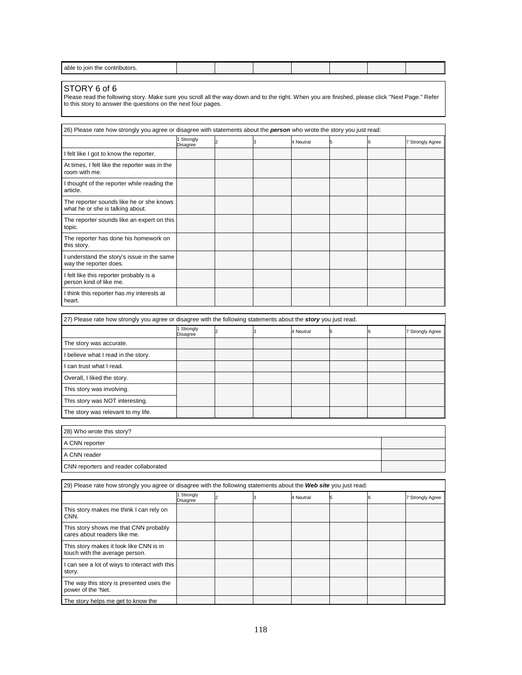| able<br>$ -$<br><b>JOIP</b><br>contributors.<br>TD. |  |  |  |  |
|-----------------------------------------------------|--|--|--|--|
|                                                     |  |  |  |  |

#### STORY 6 of 6

| 26) Please rate how strongly you agree or disagree with statements about the <b>person</b> who wrote the story you just read: |                      |                |  |           |  |    |                  |  |  |
|-------------------------------------------------------------------------------------------------------------------------------|----------------------|----------------|--|-----------|--|----|------------------|--|--|
|                                                                                                                               | Strongly<br>Disagree | $\overline{2}$ |  | 4 Neutral |  | 16 | 7 Strongly Agree |  |  |
| I felt like I got to know the reporter.                                                                                       |                      |                |  |           |  |    |                  |  |  |
| At times, I felt like the reporter was in the<br>room with me.                                                                |                      |                |  |           |  |    |                  |  |  |
| I thought of the reporter while reading the<br>article.                                                                       |                      |                |  |           |  |    |                  |  |  |
| The reporter sounds like he or she knows<br>what he or she is talking about.                                                  |                      |                |  |           |  |    |                  |  |  |
| The reporter sounds like an expert on this<br>topic.                                                                          |                      |                |  |           |  |    |                  |  |  |
| The reporter has done his homework on<br>this story.                                                                          |                      |                |  |           |  |    |                  |  |  |
| understand the story's issue in the same<br>way the reporter does.                                                            |                      |                |  |           |  |    |                  |  |  |
| I felt like this reporter probably is a<br>person kind of like me.                                                            |                      |                |  |           |  |    |                  |  |  |
| I think this reporter has my interests at<br>heart.                                                                           |                      |                |  |           |  |    |                  |  |  |

| [27] Please rate how strongly you agree or disagree with the following statements about the <i>story</i> you just read. |                      |  |  |           |  |  |                  |  |  |
|-------------------------------------------------------------------------------------------------------------------------|----------------------|--|--|-----------|--|--|------------------|--|--|
|                                                                                                                         | Strongly<br>Disagree |  |  | 4 Neutral |  |  | 7 Strongly Agree |  |  |
| The story was accurate.                                                                                                 |                      |  |  |           |  |  |                  |  |  |
| I believe what I read in the story.                                                                                     |                      |  |  |           |  |  |                  |  |  |
| can trust what I read.                                                                                                  |                      |  |  |           |  |  |                  |  |  |
| Overall, I liked the story.                                                                                             |                      |  |  |           |  |  |                  |  |  |
| This story was involving.                                                                                               |                      |  |  |           |  |  |                  |  |  |
| This story was NOT interesting.                                                                                         |                      |  |  |           |  |  |                  |  |  |
| The story was relevant to my life.                                                                                      |                      |  |  |           |  |  |                  |  |  |

| 28) Who wrote this story?             |  |
|---------------------------------------|--|
| A CNN reporter                        |  |
| A CNN reader                          |  |
| CNN reporters and reader collaborated |  |

| [29] Please rate how strongly you agree or disagree with the following statements about the Web site you just read: |                      |  |  |           |  |  |                  |  |  |
|---------------------------------------------------------------------------------------------------------------------|----------------------|--|--|-----------|--|--|------------------|--|--|
|                                                                                                                     | Strongly<br>Disagree |  |  | 4 Neutral |  |  | 7 Strongly Agree |  |  |
| This story makes me think I can rely on<br>CNN.                                                                     |                      |  |  |           |  |  |                  |  |  |
| This story shows me that CNN probably<br>cares about readers like me.                                               |                      |  |  |           |  |  |                  |  |  |
| This story makes it look like CNN is in<br>touch with the average person.                                           |                      |  |  |           |  |  |                  |  |  |
| can see a lot of ways to interact with this<br>story.                                                               |                      |  |  |           |  |  |                  |  |  |
| The way this story is presented uses the<br>power of the 'Net.                                                      |                      |  |  |           |  |  |                  |  |  |
| The story helps me get to know the                                                                                  |                      |  |  |           |  |  |                  |  |  |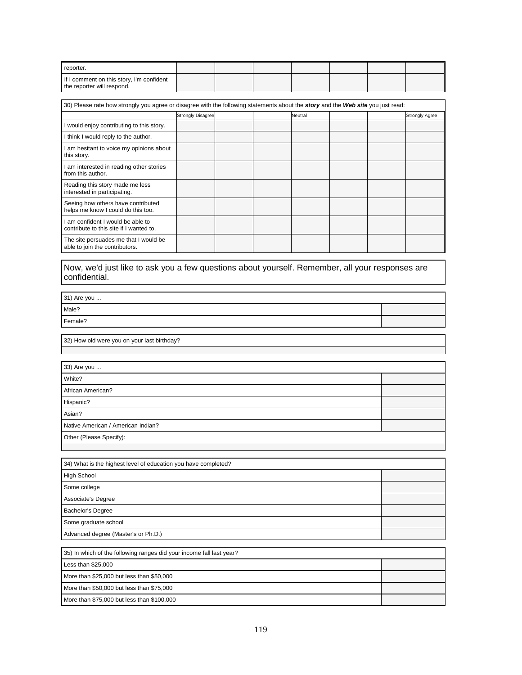| reporter.                                                               |  |  |  |  |
|-------------------------------------------------------------------------|--|--|--|--|
| If I comment on this story, I'm confident<br>the reporter will respond. |  |  |  |  |

| 30) Please rate how strongly you agree or disagree with the following statements about the story and the Web site you just read: |                          |  |  |         |  |                       |
|----------------------------------------------------------------------------------------------------------------------------------|--------------------------|--|--|---------|--|-----------------------|
|                                                                                                                                  | <b>Strongly Disagree</b> |  |  | Neutral |  | <b>Strongly Agree</b> |
| would enjoy contributing to this story.                                                                                          |                          |  |  |         |  |                       |
| I think I would reply to the author.                                                                                             |                          |  |  |         |  |                       |
| am hesitant to voice my opinions about<br>this story.                                                                            |                          |  |  |         |  |                       |
| am interested in reading other stories<br>from this author.                                                                      |                          |  |  |         |  |                       |
| Reading this story made me less<br>interested in participating.                                                                  |                          |  |  |         |  |                       |
| Seeing how others have contributed<br>helps me know I could do this too.                                                         |                          |  |  |         |  |                       |
| am confident I would be able to<br>contribute to this site if I wanted to.                                                       |                          |  |  |         |  |                       |
| The site persuades me that I would be<br>able to join the contributors.                                                          |                          |  |  |         |  |                       |

#### Now, we'd just like to ask you a few questions about yourself. Remember, all your responses are confidential.

| 31) Are you                                                    |  |
|----------------------------------------------------------------|--|
| Male?                                                          |  |
| Female?                                                        |  |
|                                                                |  |
| 32) How old were you on your last birthday?                    |  |
|                                                                |  |
|                                                                |  |
| 33) Are you                                                    |  |
| White?                                                         |  |
| African American?                                              |  |
| Hispanic?                                                      |  |
| Asian?                                                         |  |
| Native American / American Indian?                             |  |
| Other (Please Specify):                                        |  |
|                                                                |  |
|                                                                |  |
| 34) What is the highest level of education you have completed? |  |
| <b>High School</b>                                             |  |
| Some college                                                   |  |
| Associate's Degree                                             |  |

Bachelor's Degree Some graduate school Advanced degree (Master's or Ph.D.)

| 35) In which of the following ranges did your income fall last year? |  |
|----------------------------------------------------------------------|--|
| Less than \$25,000                                                   |  |
| More than \$25,000 but less than \$50,000                            |  |
| More than \$50,000 but less than \$75,000                            |  |
| More than \$75,000 but less than \$100,000                           |  |